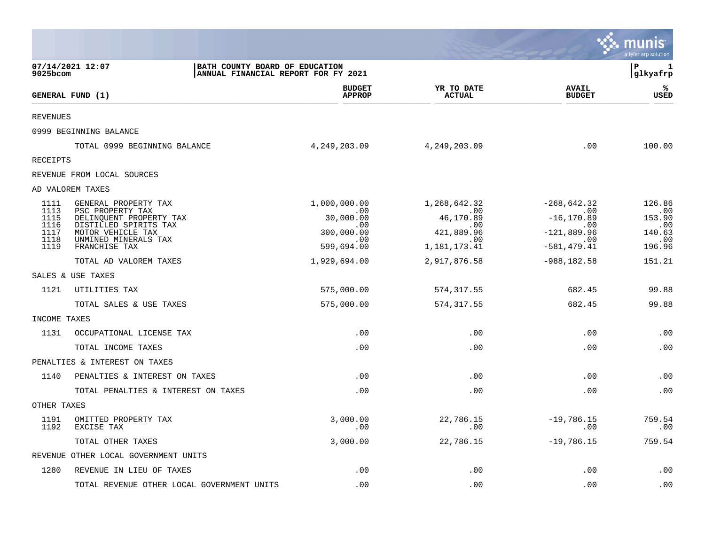|                              |                                                                                     |                                                                       |                                          |                                               | munis<br>a tyler erp solution  |
|------------------------------|-------------------------------------------------------------------------------------|-----------------------------------------------------------------------|------------------------------------------|-----------------------------------------------|--------------------------------|
| 9025bcom                     | 07/14/2021 12:07                                                                    | BATH COUNTY BOARD OF EDUCATION<br>ANNUAL FINANCIAL REPORT FOR FY 2021 |                                          |                                               | ΙP<br>1<br>glkyafrp            |
|                              | GENERAL FUND (1)                                                                    | <b>BUDGET</b><br><b>APPROP</b>                                        | YR TO DATE<br><b>ACTUAL</b>              | <b>AVAIL</b><br><b>BUDGET</b>                 | ℁<br>USED                      |
| <b>REVENUES</b>              |                                                                                     |                                                                       |                                          |                                               |                                |
|                              | 0999 BEGINNING BALANCE                                                              |                                                                       |                                          |                                               |                                |
|                              | TOTAL 0999 BEGINNING BALANCE                                                        | 4, 249, 203.09                                                        | 4,249,203.09                             | .00                                           | 100.00                         |
| <b>RECEIPTS</b>              |                                                                                     |                                                                       |                                          |                                               |                                |
|                              | REVENUE FROM LOCAL SOURCES                                                          |                                                                       |                                          |                                               |                                |
|                              | AD VALOREM TAXES                                                                    |                                                                       |                                          |                                               |                                |
| 1111<br>1113<br>1115         | GENERAL PROPERTY TAX<br>PSC PROPERTY TAX<br>DELINQUENT PROPERTY TAX                 | 1,000,000.00<br>.00<br>30,000.00                                      | 1,268,642.32<br>.00<br>46,170.89         | $-268,642.32$<br>.00<br>$-16, 170.89$         | 126.86<br>.00<br>153.90        |
| 1116<br>1117<br>1118<br>1119 | DISTILLED SPIRITS TAX<br>MOTOR VEHICLE TAX<br>UNMINED MINERALS TAX<br>FRANCHISE TAX | .00<br>300,000.00<br>.00<br>599,694.00                                | .00<br>421,889.96<br>.00<br>1,181,173.41 | .00<br>$-121,889.96$<br>.00<br>$-581, 479.41$ | .00<br>140.63<br>.00<br>196.96 |
|                              | TOTAL AD VALOREM TAXES                                                              | 1,929,694.00                                                          | 2,917,876.58                             | $-988, 182.58$                                | 151.21                         |
|                              | SALES & USE TAXES                                                                   |                                                                       |                                          |                                               |                                |
| 1121                         | UTILITIES TAX                                                                       | 575,000.00                                                            | 574, 317.55                              | 682.45                                        | 99.88                          |
|                              | TOTAL SALES & USE TAXES                                                             | 575,000.00                                                            | 574, 317.55                              | 682.45                                        | 99.88                          |
| INCOME TAXES                 |                                                                                     |                                                                       |                                          |                                               |                                |
| 1131                         | OCCUPATIONAL LICENSE TAX                                                            | .00                                                                   | .00                                      | .00                                           | .00                            |
|                              | TOTAL INCOME TAXES                                                                  | .00                                                                   | .00                                      | .00                                           | .00                            |
|                              | PENALTIES & INTEREST ON TAXES                                                       |                                                                       |                                          |                                               |                                |
| 1140                         | PENALTIES & INTEREST ON TAXES                                                       | .00                                                                   | .00                                      | .00                                           | .00                            |
|                              | TOTAL PENALTIES & INTEREST ON TAXES                                                 | .00                                                                   | .00                                      | .00                                           | .00                            |
| OTHER TAXES                  |                                                                                     |                                                                       |                                          |                                               |                                |
| 1191<br>1192                 | OMITTED PROPERTY TAX<br>EXCISE TAX                                                  | 3,000.00<br>.00                                                       | 22,786.15<br>.00                         | $-19,786.15$<br>.00                           | 759.54<br>.00                  |
|                              | TOTAL OTHER TAXES                                                                   | 3,000.00                                                              | 22,786.15                                | $-19,786.15$                                  | 759.54                         |
|                              | REVENUE OTHER LOCAL GOVERNMENT UNITS                                                |                                                                       |                                          |                                               |                                |
| 1280                         | REVENUE IN LIEU OF TAXES                                                            | .00                                                                   | .00                                      | .00                                           | .00                            |
|                              | TOTAL REVENUE OTHER LOCAL GOVERNMENT UNITS                                          | .00                                                                   | .00                                      | .00                                           | .00                            |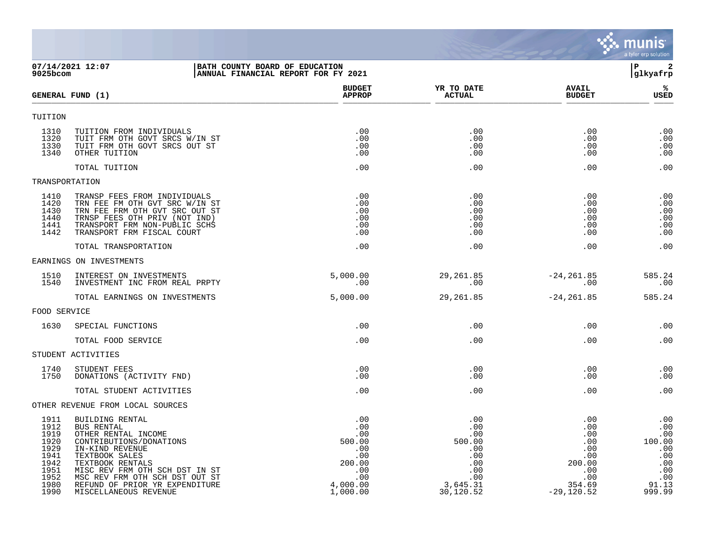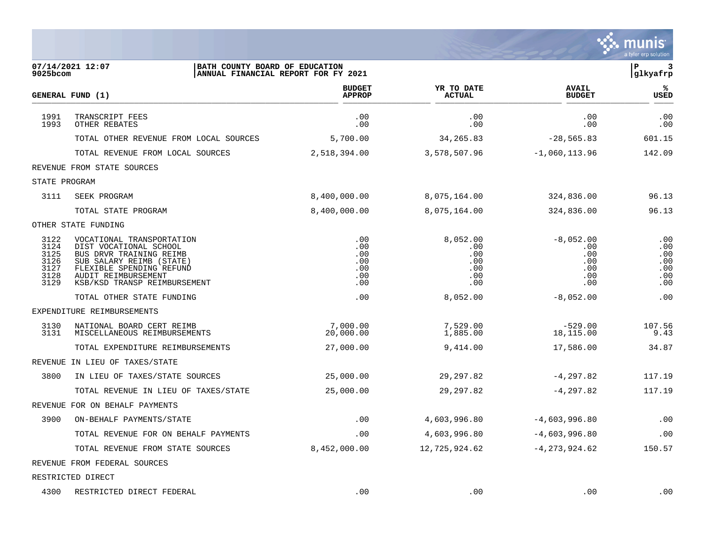|                                                      |                                                                                                                                                                                               |                                               |                                                    |                                                       | munis<br>a tyler erp solution                 |
|------------------------------------------------------|-----------------------------------------------------------------------------------------------------------------------------------------------------------------------------------------------|-----------------------------------------------|----------------------------------------------------|-------------------------------------------------------|-----------------------------------------------|
| 9025bcom                                             | 07/14/2021 12:07<br>BATH COUNTY BOARD OF EDUCATION<br>ANNUAL FINANCIAL REPORT FOR FY 2021                                                                                                     |                                               |                                                    |                                                       | l P<br>3<br> glkyafrp                         |
|                                                      | <b>GENERAL FUND (1)</b>                                                                                                                                                                       | <b>BUDGET</b><br><b>APPROP</b>                | YR TO DATE<br><b>ACTUAL</b>                        | <b>AVAIL</b><br><b>BUDGET</b>                         | %≽<br>USED                                    |
| 1991<br>1993                                         | TRANSCRIPT FEES<br>OTHER REBATES                                                                                                                                                              | .00<br>.00                                    | .00<br>.00                                         | .00<br>.00                                            | .00<br>.00                                    |
|                                                      | TOTAL OTHER REVENUE FROM LOCAL SOURCES                                                                                                                                                        | 5,700.00                                      | 34, 265.83                                         | $-28,565.83$                                          | 601.15                                        |
|                                                      | TOTAL REVENUE FROM LOCAL SOURCES                                                                                                                                                              | 2,518,394.00                                  | 3,578,507.96                                       | $-1,060,113.96$                                       | 142.09                                        |
|                                                      | REVENUE FROM STATE SOURCES                                                                                                                                                                    |                                               |                                                    |                                                       |                                               |
| STATE PROGRAM                                        |                                                                                                                                                                                               |                                               |                                                    |                                                       |                                               |
| 3111                                                 | SEEK PROGRAM                                                                                                                                                                                  | 8,400,000.00                                  | 8,075,164.00                                       | 324,836.00                                            | 96.13                                         |
|                                                      | TOTAL STATE PROGRAM                                                                                                                                                                           | 8,400,000.00                                  | 8,075,164.00                                       | 324,836.00                                            | 96.13                                         |
|                                                      | OTHER STATE FUNDING                                                                                                                                                                           |                                               |                                                    |                                                       |                                               |
| 3122<br>3124<br>3125<br>3126<br>3127<br>3128<br>3129 | VOCATIONAL TRANSPORTATION<br>DIST VOCATIONAL SCHOOL<br>BUS DRVR TRAINING REIMB<br>SUB SALARY REIMB (STATE)<br>FLEXIBLE SPENDING REFUND<br>AUDIT REIMBURSEMENT<br>KSB/KSD TRANSP REIMBURSEMENT | .00<br>.00<br>.00<br>.00<br>.00<br>.00<br>.00 | 8,052.00<br>.00<br>.00<br>.00<br>.00<br>.00<br>.00 | $-8,052.00$<br>.00<br>.00<br>.00<br>.00<br>.00<br>.00 | .00<br>.00<br>.00<br>.00<br>.00<br>.00<br>.00 |
|                                                      | TOTAL OTHER STATE FUNDING                                                                                                                                                                     | .00                                           | 8,052.00                                           | $-8,052.00$                                           | .00                                           |
|                                                      | EXPENDITURE REIMBURSEMENTS                                                                                                                                                                    |                                               |                                                    |                                                       |                                               |
| 3130<br>3131                                         | NATIONAL BOARD CERT REIMB<br>MISCELLANEOUS REIMBURSEMENTS                                                                                                                                     | 7,000.00<br>20,000.00                         | 7,529.00<br>1,885.00                               | $-529.00$<br>18,115.00                                | 107.56<br>9.43                                |
|                                                      | TOTAL EXPENDITURE REIMBURSEMENTS                                                                                                                                                              | 27,000.00                                     | 9,414.00                                           | 17,586.00                                             | 34.87                                         |
|                                                      | REVENUE IN LIEU OF TAXES/STATE                                                                                                                                                                |                                               |                                                    |                                                       |                                               |
| 3800                                                 | IN LIEU OF TAXES/STATE SOURCES                                                                                                                                                                | 25,000.00                                     | 29,297.82                                          | $-4,297.82$                                           | 117.19                                        |
|                                                      | TOTAL REVENUE IN LIEU OF TAXES/STATE                                                                                                                                                          | 25,000.00                                     | 29,297.82                                          | $-4,297.82$                                           | 117.19                                        |
|                                                      | REVENUE FOR ON BEHALF PAYMENTS                                                                                                                                                                |                                               |                                                    |                                                       |                                               |
| 3900                                                 | ON-BEHALF PAYMENTS/STATE                                                                                                                                                                      | $.00 \,$                                      | 4,603,996.80                                       | $-4,603,996.80$                                       | .00                                           |
|                                                      | TOTAL REVENUE FOR ON BEHALF PAYMENTS                                                                                                                                                          | .00                                           | 4,603,996.80                                       | $-4,603,996.80$                                       | .00                                           |
|                                                      | TOTAL REVENUE FROM STATE SOURCES                                                                                                                                                              | 8,452,000.00                                  | 12,725,924.62                                      | $-4, 273, 924.62$                                     | 150.57                                        |
|                                                      | REVENUE FROM FEDERAL SOURCES                                                                                                                                                                  |                                               |                                                    |                                                       |                                               |
|                                                      | RESTRICTED DIRECT                                                                                                                                                                             |                                               |                                                    |                                                       |                                               |

4300 RESTRICTED DIRECT FEDERAL .00 .00 .00 .00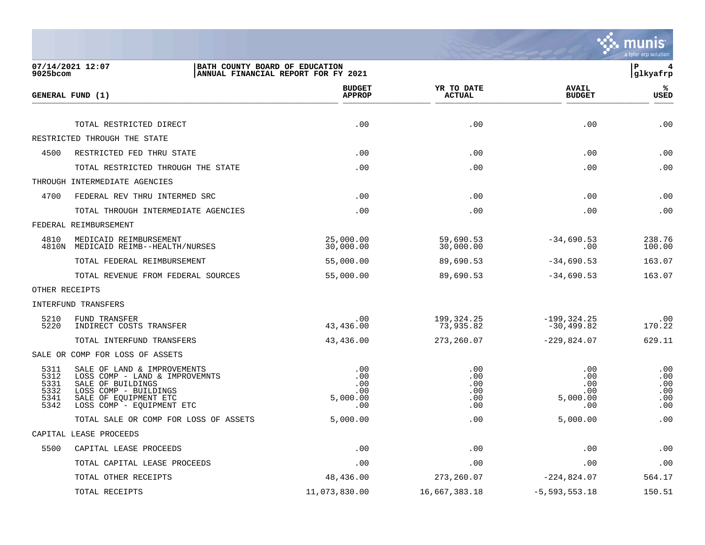

| $9025$ bcom                                  | 07/14/2021 12:07<br>BATH COUNTY BOARD OF EDUCATION                                                                                                                | ANNUAL FINANCIAL REPORT FOR FY 2021         |                                        |                                             | ΙP<br>4<br> glkyafrp                   |
|----------------------------------------------|-------------------------------------------------------------------------------------------------------------------------------------------------------------------|---------------------------------------------|----------------------------------------|---------------------------------------------|----------------------------------------|
|                                              | GENERAL FUND (1)                                                                                                                                                  | <b>BUDGET</b><br><b>APPROP</b>              | YR TO DATE<br><b>ACTUAL</b>            | <b>AVAIL</b><br><b>BUDGET</b>               | ℁<br><b>USED</b>                       |
|                                              | TOTAL RESTRICTED DIRECT                                                                                                                                           | .00                                         | .00                                    | .00                                         | .00                                    |
|                                              | RESTRICTED THROUGH THE STATE                                                                                                                                      |                                             |                                        |                                             |                                        |
| 4500                                         | RESTRICTED FED THRU STATE                                                                                                                                         | .00                                         | .00                                    | .00                                         | .00                                    |
|                                              | TOTAL RESTRICTED THROUGH THE STATE                                                                                                                                | .00                                         | .00                                    | .00                                         | .00                                    |
|                                              | THROUGH INTERMEDIATE AGENCIES                                                                                                                                     |                                             |                                        |                                             |                                        |
| 4700                                         | FEDERAL REV THRU INTERMED SRC                                                                                                                                     | .00                                         | .00                                    | .00                                         | .00                                    |
|                                              | TOTAL THROUGH INTERMEDIATE AGENCIES                                                                                                                               | .00                                         | .00                                    | .00                                         | .00                                    |
|                                              | FEDERAL REIMBURSEMENT                                                                                                                                             |                                             |                                        |                                             |                                        |
| 4810                                         | MEDICAID REIMBURSEMENT<br>4810N MEDICAID REIMB--HEALTH/NURSES                                                                                                     | 25,000.00<br>30,000.00                      | 59,690.53<br>30,000.00                 | $-34,690.53$<br>.00                         | 238.76<br>100.00                       |
|                                              | TOTAL FEDERAL REIMBURSEMENT                                                                                                                                       | 55,000.00                                   | 89,690.53                              | $-34,690.53$                                | 163.07                                 |
|                                              | TOTAL REVENUE FROM FEDERAL SOURCES                                                                                                                                | 55,000.00                                   | 89,690.53                              | $-34,690.53$                                | 163.07                                 |
| OTHER RECEIPTS                               |                                                                                                                                                                   |                                             |                                        |                                             |                                        |
|                                              | <b>INTERFUND TRANSFERS</b>                                                                                                                                        |                                             |                                        |                                             |                                        |
| 5210<br>5220                                 | FUND TRANSFER<br>INDIRECT COSTS TRANSFER                                                                                                                          | .00<br>43,436.00                            | 199,324.25<br>73,935.82                | $-199, 324.25$<br>-30,499.82                | .00<br>170.22                          |
|                                              | TOTAL INTERFUND TRANSFERS                                                                                                                                         | 43,436.00                                   | 273,260.07                             | $-229,824.07$                               | 629.11                                 |
|                                              | SALE OR COMP FOR LOSS OF ASSETS                                                                                                                                   |                                             |                                        |                                             |                                        |
| 5311<br>5312<br>5331<br>5332<br>5341<br>5342 | SALE OF LAND & IMPROVEMENTS<br>LOSS COMP - LAND & IMPROVEMNTS<br>SALE OF BUILDINGS<br>LOSS COMP - BUILDINGS<br>SALE OF EQUIPMENT ETC<br>LOSS COMP - EQUIPMENT ETC | .00<br>.00<br>.00<br>.00<br>5,000.00<br>.00 | .00<br>.00<br>.00<br>.00<br>.00<br>.00 | .00<br>.00<br>.00<br>.00<br>5,000.00<br>.00 | .00<br>.00<br>.00<br>.00<br>.00<br>.00 |
|                                              | TOTAL SALE OR COMP FOR LOSS OF ASSETS                                                                                                                             | 5,000.00                                    | .00                                    | 5,000.00                                    | .00                                    |
|                                              | CAPITAL LEASE PROCEEDS                                                                                                                                            |                                             |                                        |                                             |                                        |
| 5500                                         | CAPITAL LEASE PROCEEDS                                                                                                                                            | .00                                         | .00                                    | .00                                         | .00                                    |
|                                              | TOTAL CAPITAL LEASE PROCEEDS                                                                                                                                      | .00                                         | .00                                    | .00                                         | .00                                    |
|                                              | TOTAL OTHER RECEIPTS                                                                                                                                              | 48,436.00                                   | 273,260.07                             | $-224,824.07$                               | 564.17                                 |
|                                              | TOTAL RECEIPTS                                                                                                                                                    | 11,073,830.00                               | 16,667,383.18                          | $-5,593,553.18$                             | 150.51                                 |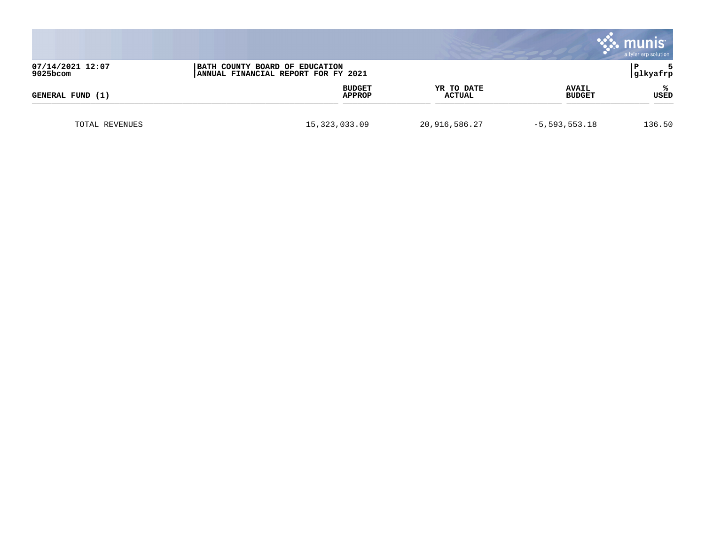|                                                                                                       |                 |                         |                             |                               | munis<br>a tyler erp solution |
|-------------------------------------------------------------------------------------------------------|-----------------|-------------------------|-----------------------------|-------------------------------|-------------------------------|
| 07/14/2021 12:07<br>BATH COUNTY BOARD OF EDUCATION<br>9025bcom<br>ANNUAL FINANCIAL REPORT FOR FY 2021 |                 |                         |                             | glkyafrp                      |                               |
| GENERAL FUND (1)                                                                                      |                 | <b>BUDGET</b><br>APPROP | YR TO DATE<br><b>ACTUAL</b> | <b>AVAIL</b><br><b>BUDGET</b> | ℁<br><b>USED</b>              |
| TOTAL REVENUES                                                                                        | 15, 323, 033.09 |                         | 20,916,586.27               | $-5,593,553.18$               | 136.50                        |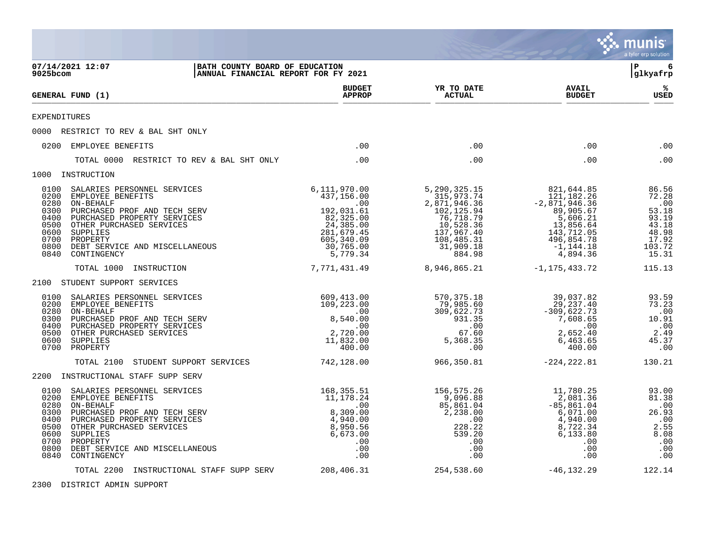|                                                                              |                                                                                                                                                                                                                                   |                                                                                                                                |                                                                                                                                          |                                                                                                                                           | munis<br>a tyler erp solution                                                             |
|------------------------------------------------------------------------------|-----------------------------------------------------------------------------------------------------------------------------------------------------------------------------------------------------------------------------------|--------------------------------------------------------------------------------------------------------------------------------|------------------------------------------------------------------------------------------------------------------------------------------|-------------------------------------------------------------------------------------------------------------------------------------------|-------------------------------------------------------------------------------------------|
| 9025bcom                                                                     | 07/14/2021 12:07                                                                                                                                                                                                                  | BATH COUNTY BOARD OF EDUCATION<br>ANNUAL FINANCIAL REPORT FOR FY 2021                                                          |                                                                                                                                          |                                                                                                                                           | ΙP<br>6<br> glkyafrp                                                                      |
|                                                                              | GENERAL FUND (1)                                                                                                                                                                                                                  | <b>BUDGET</b><br><b>APPROP</b>                                                                                                 | YR TO DATE<br><b>ACTUAL</b>                                                                                                              | <b>AVAIL</b><br><b>BUDGET</b>                                                                                                             | ℁<br>USED                                                                                 |
| <b>EXPENDITURES</b>                                                          |                                                                                                                                                                                                                                   |                                                                                                                                |                                                                                                                                          |                                                                                                                                           |                                                                                           |
|                                                                              | 0000 RESTRICT TO REV & BAL SHT ONLY                                                                                                                                                                                               |                                                                                                                                |                                                                                                                                          |                                                                                                                                           |                                                                                           |
|                                                                              | 0200 EMPLOYEE BENEFITS                                                                                                                                                                                                            | .00                                                                                                                            | .00                                                                                                                                      | .00                                                                                                                                       | .00                                                                                       |
|                                                                              | TOTAL 0000 RESTRICT TO REV & BAL SHT ONLY                                                                                                                                                                                         | .00                                                                                                                            | .00                                                                                                                                      | .00                                                                                                                                       | .00                                                                                       |
|                                                                              | 1000 INSTRUCTION                                                                                                                                                                                                                  |                                                                                                                                |                                                                                                                                          |                                                                                                                                           |                                                                                           |
| 0100<br>0200<br>0280<br>0300<br>0400<br>0500<br>0600<br>0700<br>0800<br>0840 | SALARIES PERSONNEL SERVICES<br>EMPLOYEE BENEFITS<br>ON-BEHALF<br>PURCHASED PROF AND TECH SERV<br>PURCHASED PROPERTY SERVICES<br>OTHER PURCHASED SERVICES<br>SUPPLIES<br>PROPERTY<br>DEBT SERVICE AND MISCELLANEOUS<br>CONTINGENCY | 6,111,970.00<br>437,156.00<br>.00<br>192,031.61<br>82,325.00<br>24,385.00<br>281,679.45<br>605,340.09<br>30,765.00<br>5,779.34 | 5, 290, 325. 15<br>315,973.74<br>2,871,946.36<br>102,125.94<br>76,718.79<br>10,528.36<br>137,967.40<br>108,485.31<br>31,909.18<br>884.98 | 821,644.85<br>121,182.26<br>$-2,871,946.36$<br>89,905.67<br>5,606.21<br>13,856.64<br>143,712.05<br>496,854.78<br>$-1, 144.18$<br>4,894.36 | 86.56<br>72.28<br>.00<br>53.18<br>93.19<br>$43.18$<br>$48.98$<br>17.92<br>103.72<br>15.31 |
|                                                                              | TOTAL 1000<br>INSTRUCTION                                                                                                                                                                                                         | 7,771,431.49                                                                                                                   | 8,946,865.21                                                                                                                             | $-1, 175, 433.72$                                                                                                                         | 115.13                                                                                    |
|                                                                              | 2100 STUDENT SUPPORT SERVICES                                                                                                                                                                                                     |                                                                                                                                |                                                                                                                                          |                                                                                                                                           |                                                                                           |
| 0100<br>0200<br>0280<br>0300<br>0400<br>0500<br>0600                         | SALARIES PERSONNEL SERVICES<br>EMPLOYEE BENEFITS<br>ON-BEHALF<br>PURCHASED PROF AND TECH SERV<br>PURCHASED PROPERTY SERVICES<br>OTHER PURCHASED SERVICES<br>SUPPLIES<br>0700 PROPERTY                                             | 609,413.00<br>109,223.00<br>$\overline{\phantom{0}}$ .00<br>8,540.00<br>.00<br>2,720.00<br>11,832.00<br>400.00                 | 570,375.18<br>79,985.60<br>309,622.73<br>931.35<br>.00<br>67.60<br>5,368.35<br>.00                                                       | 39,037.82<br>29,237.40<br>$-309,622.73$<br>7,608.65<br>.00<br>2,652.40<br>6,463.65<br>400.00                                              | 93.59<br>73.23<br>.00<br>10.91<br>.00<br>2.49<br>45.37<br>.00                             |
|                                                                              | STUDENT SUPPORT SERVICES<br>TOTAL 2100                                                                                                                                                                                            | 742,128.00                                                                                                                     | 966,350.81                                                                                                                               | $-224, 222.81$                                                                                                                            | 130.21                                                                                    |
|                                                                              | 2200 INSTRUCTIONAL STAFF SUPP SERV                                                                                                                                                                                                |                                                                                                                                |                                                                                                                                          |                                                                                                                                           |                                                                                           |
| 0100<br>0200<br>0280<br>0300<br>0400<br>0500<br>0600<br>0700<br>0800<br>0840 | SALARIES PERSONNEL SERVICES<br>EMPLOYEE BENEFITS<br>ON-BEHALF<br>PURCHASED PROF AND TECH SERV<br>PURCHASED PROPERTY SERVICES<br>OTHER PURCHASED SERVICES<br>SUPPLIES<br>PROPERTY<br>DEBT SERVICE AND MISCELLANEOUS<br>CONTINGENCY | 168,355.51<br>11,178.24<br>.00<br>8,309.00<br>4,940.00<br>8,950.56<br>6,673.00<br>$.00 \,$<br>.00<br>.00                       | 156,575.26<br>9,096.88<br>85,861.04<br>2,238.00<br>.00<br>228.22<br>539.20<br>.00<br>.00<br>.00                                          | 11,780.25<br>2,081.36<br>$-85, 861.04$<br>6,071.00<br>4,940.00<br>8,722.34<br>6,133.80<br>.00<br>.00<br>.00                               | 93.00<br>81.38<br>.00<br>26.93<br>.00<br>2.55<br>8.08<br>.00<br>.00<br>.00                |
|                                                                              | TOTAL 2200 INSTRUCTIONAL STAFF SUPP SERV                                                                                                                                                                                          | 208,406.31                                                                                                                     | 254,538.60                                                                                                                               | $-46, 132.29$                                                                                                                             | 122.14                                                                                    |

2300 DISTRICT ADMIN SUPPORT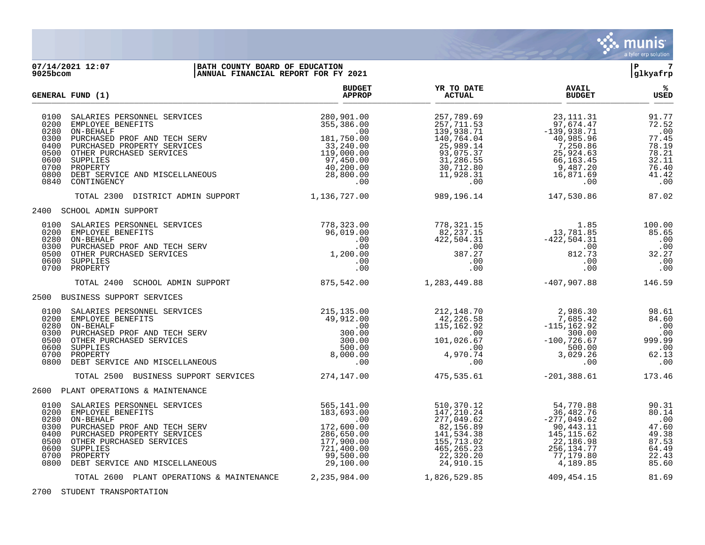

## **07/14/2021 12:07 |BATH COUNTY BOARD OF EDUCATION |P 7 9025bcom |ANNUAL FINANCIAL REPORT FOR FY 2021 |glkyafrp**

| GENERAL FUND (1)                                                             |                                                                                                                                                                                                                                   | <b>BUDGET</b><br><b>APPROP</b>                                                                                              | YR TO DATE<br><b>ACTUAL</b>                                                                                                       | <b>AVAIL</b><br><b>BUDGET</b>                                                                                                | ℁<br><b>USED</b>                                                                   |
|------------------------------------------------------------------------------|-----------------------------------------------------------------------------------------------------------------------------------------------------------------------------------------------------------------------------------|-----------------------------------------------------------------------------------------------------------------------------|-----------------------------------------------------------------------------------------------------------------------------------|------------------------------------------------------------------------------------------------------------------------------|------------------------------------------------------------------------------------|
| 0100<br>0200<br>0280<br>0300<br>0400<br>0500<br>0600<br>0700<br>0800<br>0840 | SALARIES PERSONNEL SERVICES<br>EMPLOYEE BENEFITS<br>ON-BEHALF<br>PURCHASED PROF AND TECH SERV<br>PURCHASED PROPERTY SERVICES<br>OTHER PURCHASED SERVICES<br>SUPPLIES<br>PROPERTY<br>DEBT SERVICE AND MISCELLANEOUS<br>CONTINGENCY | 280,901.00<br>355,386.00<br>.00<br>181,750.00<br>33,240.00<br>119,000.00<br>97,450.00<br>40,200.00<br>28,800.00<br>$.00 \,$ | 257,789.69<br>257,711.53<br>139,938.71<br>140,764.04<br>25,989.14<br>93,075.37<br>31,286.55<br>30,712.80<br>11,928.31<br>$.00 \,$ | 23, 111. 31<br>97,674.47<br>$-139,938.71$<br>40,985.96<br>7,250.86<br>25,924.63<br>66,163.45<br>9,487.20<br>16,871.69<br>.00 | 91.77<br>72.52<br>.00<br>77.45<br>78.19<br>78.21<br>32.11<br>76.40<br>41.42<br>.00 |
|                                                                              | TOTAL 2300 DISTRICT ADMIN SUPPORT                                                                                                                                                                                                 | 1,136,727.00                                                                                                                | 989, 196.14                                                                                                                       | 147,530.86                                                                                                                   | 87.02                                                                              |
|                                                                              | 2400 SCHOOL ADMIN SUPPORT                                                                                                                                                                                                         |                                                                                                                             |                                                                                                                                   |                                                                                                                              |                                                                                    |
| 0100<br>0200<br>0280 ON-BEHALF<br>0300<br>0500<br>0600<br>0700               | SALARIES PERSONNEL SERVICES<br>EMPLOYEE BENEFITS<br>PURCHASED PROF AND TECH SERV<br>OTHER PURCHASED SERVICES<br>SUPPLIES<br>PROPERTY                                                                                              | 778,323.00<br>96,019.00<br>.00<br>.00<br>1,200.00<br>$.00\,$<br>.00                                                         | 778,321.15<br>82, 237.15<br>422,504.31<br>00.<br>דל 387<br>387.27<br>.00<br>.00                                                   | 1.85<br>13,781.85<br>$-422,504.31$<br>$00$ .<br>812.72<br>812.73<br>.00<br>.00                                               | 100.00<br>85.65<br>.00<br>.00<br>32.27<br>.00<br>.00                               |
|                                                                              | TOTAL 2400<br>SCHOOL ADMIN SUPPORT                                                                                                                                                                                                | 875,542.00                                                                                                                  | 1,283,449.88                                                                                                                      | $-407,907.88$                                                                                                                | 146.59                                                                             |
|                                                                              | 2500 BUSINESS SUPPORT SERVICES                                                                                                                                                                                                    |                                                                                                                             |                                                                                                                                   |                                                                                                                              |                                                                                    |
| 0100<br>0200<br>0280<br>0300<br>0500<br>0600<br>0700<br>0800                 | SALARIES PERSONNEL SERVICES<br>EMPLOYEE BENEFITS<br>ON-BEHALF<br>PURCHASED PROF AND TECH SERV<br>OTHER PURCHASED SERVICES<br>SUPPLIES<br>PROPERTY<br>DEBT SERVICE AND MISCELLANEOUS                                               | 215, 135.00<br>49,912.00<br>.00<br>300.00<br>300.00<br>500.00<br>8,000.00<br>.00                                            | 212,148.70<br>42,226.58<br>115,162.92<br>.00<br>101,026.67<br>00.<br>4,970.74<br>.00                                              | 2,986.36<br>7,685.42<br>-115,162.92<br>300.00<br>-100.32<br>500.00<br>3,029.26<br>.00                                        | 98.61<br>84.60<br>.00<br>.00<br>999.99<br>$\ldots$<br>62.13<br>.00                 |
|                                                                              | TOTAL 2500 BUSINESS SUPPORT SERVICES                                                                                                                                                                                              | 274,147.00                                                                                                                  | 475,535.61                                                                                                                        | $-201, 388.61$                                                                                                               | 173.46                                                                             |
|                                                                              | 2600 PLANT OPERATIONS & MAINTENANCE                                                                                                                                                                                               |                                                                                                                             |                                                                                                                                   |                                                                                                                              |                                                                                    |
| 0100<br>0200<br>0280<br>0300<br>0400<br>0500<br>0600<br>0700<br>0800         | SALARIES PERSONNEL SERVICES<br>EMPLOYEE BENEFITS<br>ON-BEHALF<br>PURCHASED PROF AND TECH SERV<br>PURCHASED PROPERTY SERVICES<br>OTHER PURCHASED SERVICES<br>SUPPLIES<br>PROPERTY<br>DEBT SERVICE AND MISCELLANEOUS                | 565,141.00<br>183,693.00<br>.00<br>172,600.00<br>286,650.00<br>177,900.00<br>721,400.00<br>99,500.00<br>29,100.00           | 510,370.12<br>147,210.24<br>277,049.62<br>82,156.89<br>141,534.38<br>155,713.02<br>465, 265. 23<br>22,320.20<br>24,910.15         | 54,770.88<br>36,482.76<br>$-277,049.62$<br>90,443.11<br>145, 115.62<br>22,186.98<br>256,134.77<br>77,179.80<br>4,189.85      | 90.31<br>80.14<br>.00<br>47.60<br>49.38<br>87.53<br>64.49<br>22.43<br>85.60        |
|                                                                              | TOTAL 2600 PLANT OPERATIONS & MAINTENANCE                                                                                                                                                                                         | 2,235,984.00                                                                                                                | 1,826,529.85                                                                                                                      | 409,454.15                                                                                                                   | 81.69                                                                              |

2700 STUDENT TRANSPORTATION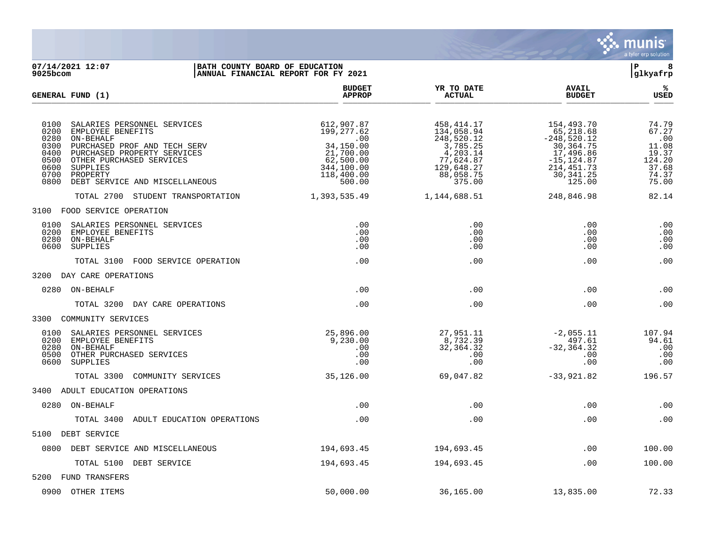

07/14/2021 12:07 **| BATH COUNTY BOARD OF EDUCATION**<br> **07/14/2021 12:07** | **BATH COUNTY BOARD OF EDUCATION**<br> **P** 8<br> **BANNUAL FINANCIAL REPORT FOR FY 2021 ANNUAL FINANCIAL REPORT FOR FY 2021 BUDGET YR TO DATE AVAIL % GENERAL FUND (1) APPROP ACTUAL BUDGET USED**  $\frac{A_{\text{H}^{\text{F}}\text{N}}}{A_{\text{H}}\text{N}}$   $\frac{A_{\text{H}}\text{N}}{A_{\text{H}}\text{N}}$   $\frac{A_{\text{H}}\text{N}}{A_{\text{H}}\text{N}}$   $\frac{A_{\text{H}}\text{N}}{A_{\text{H}}\text{N}}$   $\frac{B_{\text{H}}\text{N}}{B_{\text{H}}\text{N}}$  0100 SALARIES PERSONNEL SERVICES 612,907.87 458,414.17 154,493.70 74.79 0200 EMPLOYEE BENEFITS 199,277.62 134,058.94 65,218.68 67.27 0280 ON-BEHALF .00 248,520.12 -248,520.12 .00 0300 PURCHASED PROF AND TECH SERV 34,150.00 34,150.00 37,785.25 30,364.75 30,364.75 11.08<br>0400 PURCHASED PROPERTY SERVICES 30,3785.25 30,364.75 11.08 0400 PURCHASED PROPERTY SERVICES <br>0500 OTHER PURCHASED SERVICES 62,500.00 0 77,624.87 -15,124.87 124.20 0500 OTHER PURCHASED SERVICES 62,500.00 62,500.00 77,624.87 -15,124.87 124.20<br>0600 SUPPLIES 37.68 344,100.00 129,648.27 214,451.73 37.68 0600 SUPPLIES 344,100.00 129,648.27 214,451.73 37.68 0700 PROPERTY 118,400.00 88,058.75 30,341.25 74.37 0700 PROPERTY 74.37<br>0800 DEBT SERVICE AND MISCELLANEOUS 500.00 500.00 500.00 375.00 375.00 375.00 375.00 125.00 75.00 TOTAL 2700 STUDENT TRANSPORTATION 1,393,535.49 1,144,688.51 248,846.98 82.14 3100 FOOD SERVICE OPERATION 0100 SALARIES PERSONNEL SERVICES .00 .00 .00 .00 0200 EMPLOYEE BENEFITS .00 .00 .00 .00 0280 ON-BEHALF .00 .00 .00 .00 0600 SUPPLIES .00 .00 .00 .00 TOTAL 3100 FOOD SERVICE OPERATION .00 .00 .00 .00 3200 DAY CARE OPERATIONS 0280 ON-BEHALF .00 .00 .00 .00 TOTAL 3200 DAY CARE OPERATIONS .00 .00 .00 .00 3300 COMMUNITY SERVICES 0100 SALARIES PERSONNEL SERVICES 25,896.00 27,951.11 -2,055.11 107.94 0200 EMPLOYEE BENEFITS 9,230.00 8,732.39 497.61 94.61 0280 ON-BEHALF .00 32,364.32 -32,364.32 .00 0500 OTHER PURCHASED SERVICES .00 .00 .00 .00 0600 SUPPLIES .00 .00 .00 .00 TOTAL 3300 COMMUNITY SERVICES 35,126.00 69,047.82 -33,921.82 196.57 3400 ADULT EDUCATION OPERATIONS 0280 ON-BEHALF .00 .00 .00 .00 TOTAL 3400 ADULT EDUCATION OPERATIONS .00 .00 .00 .00 5100 DEBT SERVICE 0800 DEBT SERVICE AND MISCELLANEOUS 194,693.45 194,693.45 .00 100.00 TOTAL 5100 DEBT SERVICE  $194,693.45$   $194,693.45$   $194,693.45$   $100.00$ 5200 FUND TRANSFERS

0900 OTHER ITEMS 50,000.00 36,165.00 13,835.00 72.33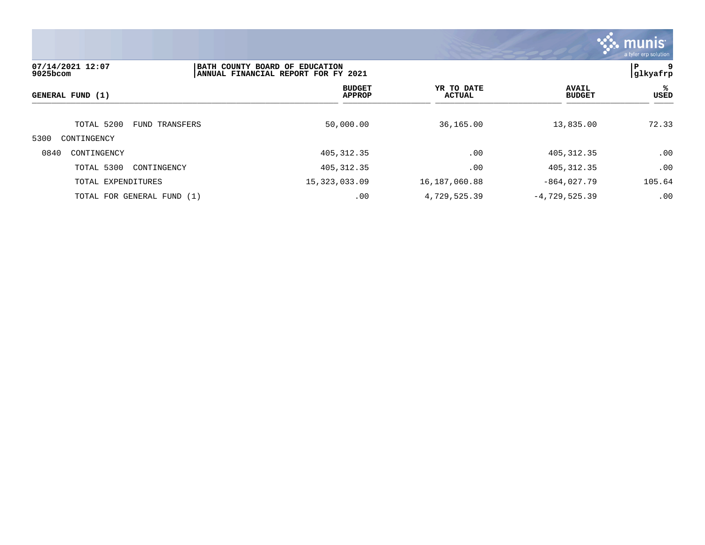

| 07/14/2021 12:07<br>$9025$ bcom   |                | BATH COUNTY BOARD OF EDUCATION<br>ANNUAL FINANCIAL REPORT FOR FY 2021 |                                |                      |                 |                               | 9<br>P<br> glkyafrp |
|-----------------------------------|----------------|-----------------------------------------------------------------------|--------------------------------|----------------------|-----------------|-------------------------------|---------------------|
| GENERAL FUND (1)                  |                |                                                                       | <b>BUDGET</b><br><b>APPROP</b> | YR TO DATE<br>ACTUAL |                 | <b>AVAIL</b><br><b>BUDGET</b> | ℁<br>USED           |
| TOTAL 5200<br>5300<br>CONTINGENCY | FUND TRANSFERS |                                                                       | 50,000.00                      | 36,165.00            |                 | 13,835.00                     | 72.33               |
| 0840<br>CONTINGENCY               |                |                                                                       | 405, 312.35                    | .00                  |                 | 405, 312.35                   | .00                 |
| TOTAL 5300                        | CONTINGENCY    |                                                                       | 405, 312.35                    | .00                  |                 | 405, 312.35                   | .00                 |
| TOTAL EXPENDITURES                |                | 15, 323, 033.09                                                       |                                | 16,187,060.88        |                 | $-864,027.79$                 | 105.64              |
| TOTAL FOR GENERAL FUND (1)        |                |                                                                       | .00                            | 4,729,525.39         | $-4,729,525.39$ |                               | .00                 |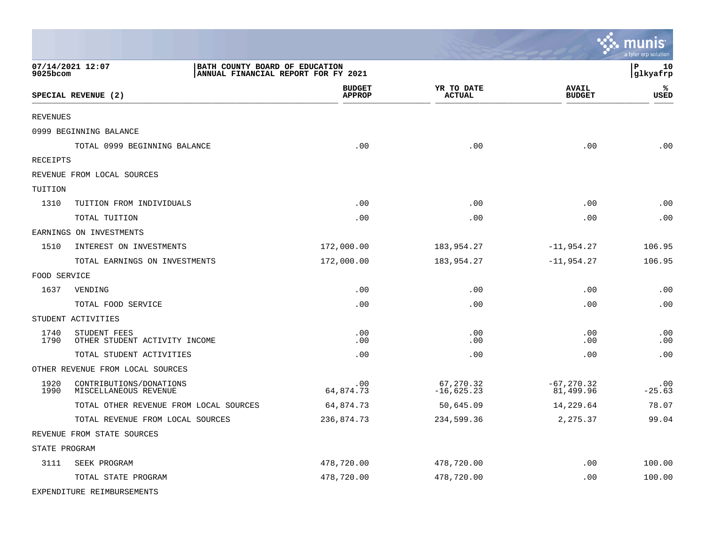|               |                                                    |                                     |                             |                               | a tyler erp solution |
|---------------|----------------------------------------------------|-------------------------------------|-----------------------------|-------------------------------|----------------------|
| 9025bcom      | 07/14/2021 12:07<br>BATH COUNTY BOARD OF EDUCATION | ANNUAL FINANCIAL REPORT FOR FY 2021 |                             |                               | P<br>10<br>glkyafrp  |
|               | SPECIAL REVENUE (2)                                | <b>BUDGET</b><br><b>APPROP</b>      | YR TO DATE<br><b>ACTUAL</b> | <b>AVAIL</b><br><b>BUDGET</b> | ℁<br>USED            |
| REVENUES      |                                                    |                                     |                             |                               |                      |
|               | 0999 BEGINNING BALANCE                             |                                     |                             |                               |                      |
|               | TOTAL 0999 BEGINNING BALANCE                       | .00                                 | .00                         | .00                           | .00                  |
| RECEIPTS      |                                                    |                                     |                             |                               |                      |
|               | REVENUE FROM LOCAL SOURCES                         |                                     |                             |                               |                      |
| TUITION       |                                                    |                                     |                             |                               |                      |
| 1310          | TUITION FROM INDIVIDUALS                           | .00                                 | .00                         | .00                           | .00                  |
|               | TOTAL TUITION                                      | .00                                 | .00                         | .00                           | .00                  |
|               | EARNINGS ON INVESTMENTS                            |                                     |                             |                               |                      |
| 1510          | INTEREST ON INVESTMENTS                            | 172,000.00                          | 183,954.27                  | $-11,954.27$                  | 106.95               |
|               | TOTAL EARNINGS ON INVESTMENTS                      | 172,000.00                          | 183,954.27                  | $-11,954.27$                  | 106.95               |
| FOOD SERVICE  |                                                    |                                     |                             |                               |                      |
| 1637          | VENDING                                            | .00                                 | .00                         | .00                           | .00                  |
|               | TOTAL FOOD SERVICE                                 | .00                                 | .00                         | .00                           | .00                  |
|               | STUDENT ACTIVITIES                                 |                                     |                             |                               |                      |
| 1740<br>1790  | STUDENT FEES<br>OTHER STUDENT ACTIVITY INCOME      | .00<br>.00                          | .00<br>.00                  | .00<br>.00                    | .00<br>.00           |
|               | TOTAL STUDENT ACTIVITIES                           | .00                                 | .00                         | .00                           | .00                  |
|               | OTHER REVENUE FROM LOCAL SOURCES                   |                                     |                             |                               |                      |
| 1920<br>1990  | CONTRIBUTIONS/DONATIONS<br>MISCELLANEOUS REVENUE   | .00<br>64,874.73                    | 67,270.32<br>$-16,625.23$   | $-67, 270.32$<br>81,499.96    | .00<br>$-25.63$      |
|               | TOTAL OTHER REVENUE FROM LOCAL SOURCES             | 64,874.73                           | 50,645.09                   | 14,229.64                     | 78.07                |
|               | TOTAL REVENUE FROM LOCAL SOURCES                   | 236,874.73                          | 234,599.36                  | 2,275.37                      | 99.04                |
|               | REVENUE FROM STATE SOURCES                         |                                     |                             |                               |                      |
| STATE PROGRAM |                                                    |                                     |                             |                               |                      |
| 3111          | SEEK PROGRAM                                       | 478,720.00                          | 478,720.00                  | .00                           | 100.00               |
|               | TOTAL STATE PROGRAM                                | 478,720.00                          | 478,720.00                  | .00                           | 100.00               |
|               | EXPENDITURE REIMBURSEMENTS                         |                                     |                             |                               |                      |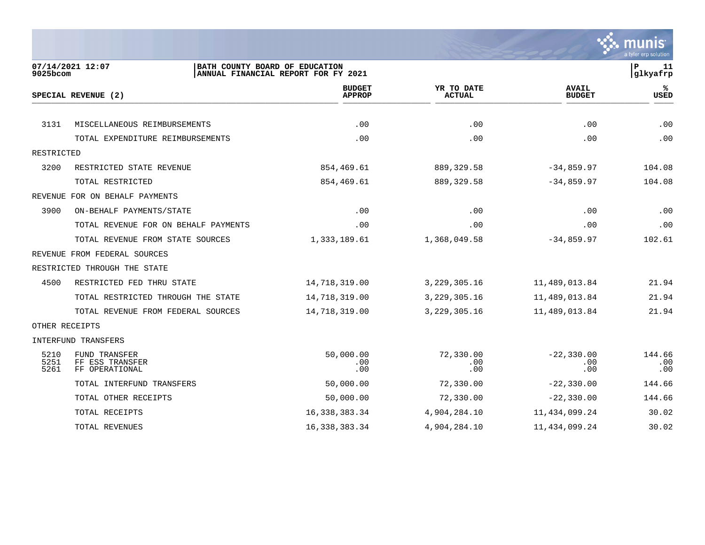

| 9025bcom             | 07/14/2021 12:07                                   | BATH COUNTY BOARD OF EDUCATION<br>ANNUAL FINANCIAL REPORT FOR FY 2021 |                             |                               | P<br>11<br>glkyafrp  |
|----------------------|----------------------------------------------------|-----------------------------------------------------------------------|-----------------------------|-------------------------------|----------------------|
|                      | SPECIAL REVENUE (2)                                | <b>BUDGET</b><br><b>APPROP</b>                                        | YR TO DATE<br><b>ACTUAL</b> | <b>AVAIL</b><br><b>BUDGET</b> | %ะ<br><b>USED</b>    |
|                      |                                                    |                                                                       |                             |                               |                      |
| 3131                 | MISCELLANEOUS REIMBURSEMENTS                       | .00                                                                   | .00                         | .00                           | .00                  |
|                      | TOTAL EXPENDITURE REIMBURSEMENTS                   | .00                                                                   | .00                         | .00                           | .00                  |
| RESTRICTED           |                                                    |                                                                       |                             |                               |                      |
| 3200                 | RESTRICTED STATE REVENUE                           | 854,469.61                                                            | 889, 329.58                 | $-34,859.97$                  | 104.08               |
|                      | TOTAL RESTRICTED                                   | 854,469.61                                                            | 889, 329.58                 | $-34,859.97$                  | 104.08               |
|                      | REVENUE FOR ON BEHALF PAYMENTS                     |                                                                       |                             |                               |                      |
| 3900                 | ON-BEHALF PAYMENTS/STATE                           | .00                                                                   | .00                         | .00                           | .00                  |
|                      | TOTAL REVENUE FOR ON BEHALF PAYMENTS               | .00                                                                   | .00                         | .00                           | .00                  |
|                      | TOTAL REVENUE FROM STATE SOURCES                   | 1,333,189.61                                                          | 1,368,049.58                | $-34,859.97$                  | 102.61               |
|                      | REVENUE FROM FEDERAL SOURCES                       |                                                                       |                             |                               |                      |
|                      | RESTRICTED THROUGH THE STATE                       |                                                                       |                             |                               |                      |
| 4500                 | RESTRICTED FED THRU STATE                          | 14,718,319.00                                                         | 3, 229, 305. 16             | 11,489,013.84                 | 21.94                |
|                      | TOTAL RESTRICTED THROUGH THE STATE                 | 14,718,319.00                                                         | 3, 229, 305. 16             | 11,489,013.84                 | 21.94                |
|                      | TOTAL REVENUE FROM FEDERAL SOURCES                 | 14,718,319.00                                                         | 3, 229, 305. 16             | 11,489,013.84                 | 21.94                |
| OTHER RECEIPTS       |                                                    |                                                                       |                             |                               |                      |
|                      | INTERFUND TRANSFERS                                |                                                                       |                             |                               |                      |
| 5210<br>5251<br>5261 | FUND TRANSFER<br>FF ESS TRANSFER<br>FF OPERATIONAL | 50,000.00<br>.00<br>.00                                               | 72,330.00<br>.00<br>.00     | $-22, 330.00$<br>.00<br>.00   | 144.66<br>.00<br>.00 |
|                      | TOTAL INTERFUND TRANSFERS                          | 50,000.00                                                             | 72,330.00                   | $-22, 330.00$                 | 144.66               |
|                      | TOTAL OTHER RECEIPTS                               | 50,000.00                                                             | 72,330.00                   | $-22, 330.00$                 | 144.66               |
|                      | TOTAL RECEIPTS                                     | 16, 338, 383. 34                                                      | 4,904,284.10                | 11, 434, 099. 24              | 30.02                |
|                      | TOTAL REVENUES                                     | 16, 338, 383. 34                                                      | 4,904,284.10                | 11,434,099.24                 | 30.02                |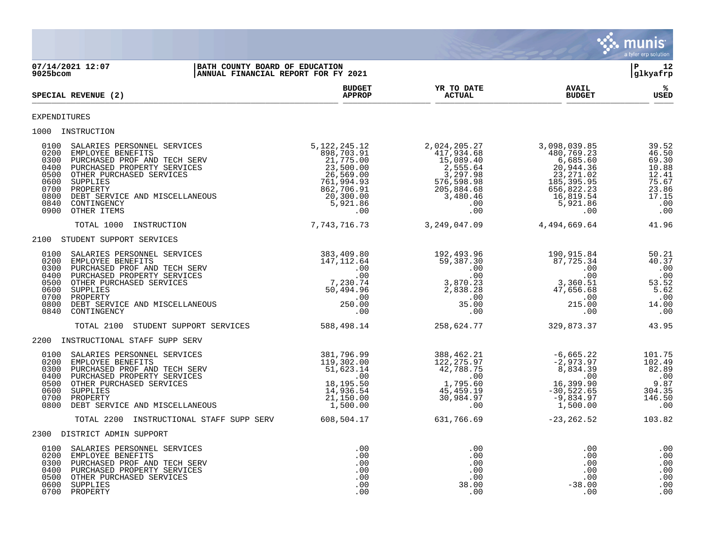

07/14/2021 12:07 **| BATH COUNTY BOARD OF EDUCATION**<br> **07/14/2021 12:07 | P** 12<br> **D BATH COUNTY BOARD OF EDUCATION |ANNUAL FINANCIAL REPORT FOR FY 2021 BUDGET YR TO DATE AVAIL %**  $SPECTAL REVIEW (2)$  $\frac{\text{AFR} + \text{R}}{\text{AFR}}$ EXPENDITURES 1000 INSTRUCTION<br>0100 SALARIES PERSONNEL SERVICES<br>0200 EMPLOYEE BENEFITS<br>0300 PURCHASED PROF AND TECH SERV<br>0400 PURCHASED PROPERTY SERVICES<br>0500 OTHER PURCHASED SERVICES 0100 SALARIES PERSONNEL SERVICES 5,122,245.12 2,024,205.27 3,098,039.85 39.52 0200 EMPLOYEE BENEFITS 898,703.91 417,934.68 480,769.23 46.50 0300 PURCHASED PROF AND TECH SERV 21,775.00 15,089.40 6,685.60 69.30 0400 PURCHASED PROPERTY SERVICES 23,500.00 2,555.64 20,944.36 10.88 0500 OTHER PURCHASED SERVICES 26,569.00 3,297.98 23,271.02 12.41 0600 SUPPLIES 761,994.93 576,598.98 185,395.95 75.67 0700 PROPERTY 862,706.91 205,884.68 656,822.23 23.86 0800 DEBT SERVICE AND MISCELLANEOUS 20,300.00 3,480.46 16,819.54 17.15 0840 CONTINGENCY 5,921.86 .00 5,921.86 .00 0900 OTHER ITEMS .00 .00 .00 .00 TOTAL 1000 INSTRUCTION <br>  $7,743,716.73$ <br>  $3,249,047.09$   $4,494,669.64$   $41.96$ 2100 STUDENT SUPPORT SERVICES 0100 SALARIES PERSONNEL SERVICES 383,409.80 192,493.96 190,915.84 50.21 0200 EMPLOYEE BENEFITS 147,112.64 59,387.30 87,725.34 40.37 0300 PURCHASED PROF AND TECH SERV .00 .00 .00 .00 0400 PURCHASED PROPERTY SERVICES .00 .00 .00 .00 0500 OTHER PURCHASED SERVICES 7,230.74 3,870.23 3,360.51 53.52 0600 SUPPLIES 50,494.96 2,838.28 47,656.68 5.62 0700 PROPERTY .00 .00 .00 .00 0800 DEBT SERVICE AND MISCELLANEOUS 250.00 35.00 215.00 14.00 0840 CONTINGENCY .00 .00 .00 .00 TOTAL 2100 STUDENT SUPPORT SERVICES 588,498.14 258,624.77 329,873.37 43.95 2200 INSTRUCTIONAL STAFF SUPP SERV 0100 SALARIES PERSONNEL SERVICES 381,796.99 388,462.21 -6,665.22 101.75 0200 EMPLOYEE BENEFITS 119,302.00 122,275.97 -2,973.97 102.49 0300 PURCHASED PROF AND TECH SERV 51,623.14 42,788.75 8,834.39 82.89 0400 PURCHASED PROPERTY SERVICES .00 .00 .00 .00 0500 OTHER PURCHASED SERVICES 18,195.50 1,795.60 16,399.90 9.87 0600 SUPPLIES 14,936.54 45,459.19 -30,522.65 304.35 0700 PROPERTY 21,150.00 30,984.97 -9,834.97 146.50 0800 DEBT SERVICE AND MISCELLANEOUS **1,500.00** 1,500.00 .00 .00 .00 .00 .00 .00 .00 .00 TOTAL 2200 INSTRUCTIONAL STAFF SUPP SERV 608,504.17 631,766.69 -23,262.52 103.82 2300 DISTRICT ADMIN SUPPORT 0100 SALARIES PERSONNEL SERVICES .00 .00 .00 .00 0200 EMPLOYEE BENEFITS .00 .00 .00 .00 0300 PURCHASED PROF AND TECH SERV .00 .00 .00 .00 0400 PURCHASED PROPERTY SERVICES .00 .00 .00 .00 0500 OTHER PURCHASED SERVICES .00 .00 .00 .00 0600 SUPPLIES .00 38.00 -38.00 .00

0700 PROPERTY .00 .00 .00 .00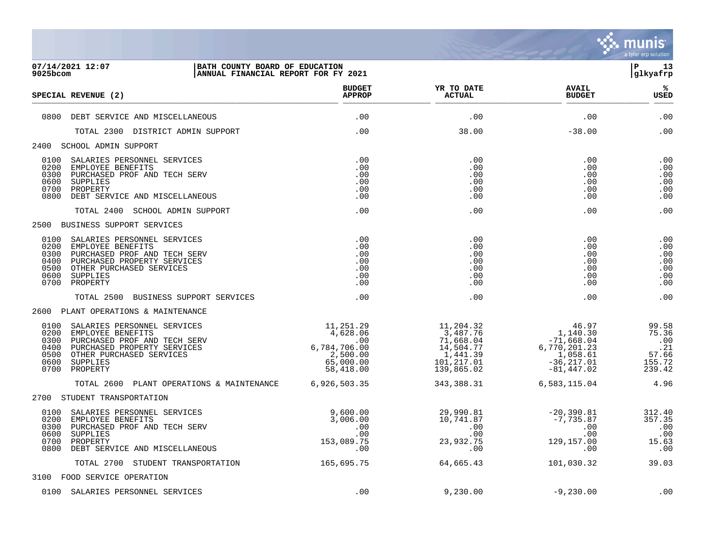

| 9025bcom                                             | 07/14/2021 12:07<br>BATH COUNTY BOARD OF EDUCATION<br>ANNUAL FINANCIAL REPORT FOR FY 2021                                                                           |                                                                                                                                                                  |                                                                                          |                                                                                                             | l P<br>13<br> glkyafrp                                    |
|------------------------------------------------------|---------------------------------------------------------------------------------------------------------------------------------------------------------------------|------------------------------------------------------------------------------------------------------------------------------------------------------------------|------------------------------------------------------------------------------------------|-------------------------------------------------------------------------------------------------------------|-----------------------------------------------------------|
|                                                      | SPECIAL REVENUE (2)                                                                                                                                                 | <b>BUDGET</b><br><b>APPROP</b>                                                                                                                                   | YR TO DATE<br><b>ACTUAL</b>                                                              | <b>AVAIL</b><br><b>BUDGET</b>                                                                               | %ะ<br><b>USED</b>                                         |
| 0800                                                 | DEBT SERVICE AND MISCELLANEOUS                                                                                                                                      | .00                                                                                                                                                              | .00                                                                                      | .00                                                                                                         | .00                                                       |
|                                                      | TOTAL 2300 DISTRICT ADMIN SUPPORT                                                                                                                                   | .00                                                                                                                                                              | 38.00                                                                                    | $-38.00$                                                                                                    | .00                                                       |
|                                                      | 2400 SCHOOL ADMIN SUPPORT                                                                                                                                           |                                                                                                                                                                  |                                                                                          |                                                                                                             |                                                           |
| 0200<br>0300<br>0600<br>0700<br>0800                 | 0100 SALARIES PERSONNEL SERVICES<br>EMPLOYEE BENEFITS<br>PURCHASED PROF AND TECH SERV<br>SUPPLIES<br>PROPERTY<br>DEBT SERVICE AND MISCELLANEOUS                     | .00<br>.00<br>.00<br>.00<br>.00<br>.00                                                                                                                           | .00<br>.00<br>.00<br>.00<br>.00<br>.00                                                   | .00<br>.00<br>.00<br>.00<br>.00<br>.00                                                                      | .00<br>.00<br>.00<br>.00<br>.00<br>.00                    |
|                                                      | TOTAL 2400 SCHOOL ADMIN SUPPORT                                                                                                                                     | .00                                                                                                                                                              | .00                                                                                      | .00                                                                                                         | .00                                                       |
|                                                      | 2500 BUSINESS SUPPORT SERVICES                                                                                                                                      |                                                                                                                                                                  |                                                                                          |                                                                                                             |                                                           |
| 0100<br>0200<br>0300<br>0400<br>0500<br>0600<br>0700 | SALARIES PERSONNEL SERVICES<br>EMPLOYEE BENEFITS<br>PURCHASED PROF AND TECH SERV<br>PURCHASED PROPERTY SERVICES<br>OTHER PURCHASED SERVICES<br>SUPPLIES<br>PROPERTY | .00<br>.00<br>.00<br>.00<br>.00<br>.00<br>.00                                                                                                                    | .00<br>.00<br>.00<br>.00<br>.00<br>.00<br>.00                                            | .00<br>.00<br>.00<br>.00<br>.00<br>.00<br>.00                                                               | .00<br>.00<br>.00<br>.00<br>.00<br>.00<br>.00             |
|                                                      | TOTAL 2500 BUSINESS SUPPORT SERVICES                                                                                                                                | .00                                                                                                                                                              | .00                                                                                      | .00                                                                                                         | .00                                                       |
|                                                      | 2600 PLANT OPERATIONS & MAINTENANCE                                                                                                                                 |                                                                                                                                                                  |                                                                                          |                                                                                                             |                                                           |
| 0100<br>0200<br>0300<br>0400<br>0500<br>0600<br>0700 | SALARIES PERSONNEL SERVICES<br>EMPLOYEE BENEFITS<br>PURCHASED PROF AND TECH SERV<br>PURCHASED PROPERTY SERVICES<br>OTHER PURCHASED SERVICES<br>SUPPLIES<br>PROPERTY | $\begin{array}{r} 11\,, 251\,.\, 29 \\ 4\,, 628\,.\, 06 \\ .00 \\ 6\,, 784\,, 706\,.\, 00 \\ 2\,, 500\,.\, 00 \end{array}$<br>2,500.00<br>65,000.00<br>58,418.00 | 11,204.32<br>3,487.76<br>71,668.04<br>14,504.77<br>1,441.39<br>101, 217.01<br>139,865.02 | 46.97<br>$1,140.30$<br>$-6.04$<br>$-71,668.04$<br>6,770,201.23<br>1,058.61<br>$-36, 217.01$<br>$-81,447.02$ | 99.58<br>75.36<br>.00<br>.21<br>57.66<br>155.72<br>239.42 |
|                                                      | TOTAL 2600 PLANT OPERATIONS & MAINTENANCE                                                                                                                           | 6,926,503.35                                                                                                                                                     | 343, 388.31                                                                              | 6,583,115.04                                                                                                | 4.96                                                      |
|                                                      | 2700 STUDENT TRANSPORTATION                                                                                                                                         |                                                                                                                                                                  |                                                                                          |                                                                                                             |                                                           |
| 0100<br>0200<br>0300<br>0600<br>0700<br>0800         | SALARIES PERSONNEL SERVICES<br>EMPLOYEE BENEFITS<br>PURCHASED PROF AND TECH SERV<br>SUPPLIES<br>PROPERTY<br>DEBT SERVICE AND MISCELLANEOUS                          | 9,600.00<br>3,006.00<br>.00<br>.00<br>153,089.75<br>.00                                                                                                          | 29,990.81<br>10,741.87<br>.00<br>.00<br>23,932.75<br>.00                                 | $-20,390.81$<br>$-7,735.87$<br>.00<br>.00<br>129,157.00<br>.00                                              | 312.40<br>357.35<br>.00<br>.00<br>15.63<br>$\ldots$ 00    |
|                                                      | TOTAL 2700 STUDENT TRANSPORTATION                                                                                                                                   | 165,695.75                                                                                                                                                       | 64,665.43                                                                                | 101,030.32                                                                                                  | 39.03                                                     |
|                                                      | 3100 FOOD SERVICE OPERATION                                                                                                                                         |                                                                                                                                                                  |                                                                                          |                                                                                                             |                                                           |
|                                                      | 0100 SALARIES PERSONNEL SERVICES                                                                                                                                    | .00                                                                                                                                                              | 9,230.00                                                                                 | $-9,230.00$                                                                                                 | .00                                                       |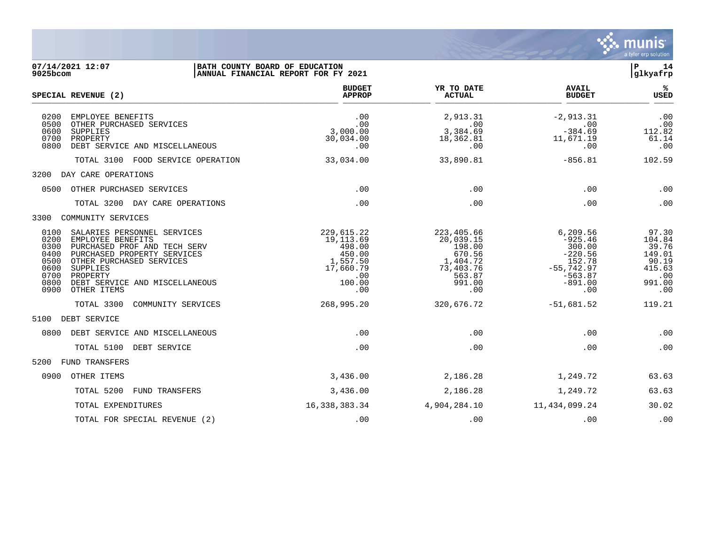

| 07/14/2021 12:07<br>BATH COUNTY BOARD OF EDUCATION<br>$9025$ bcom                                                                                                                                                                                                                            | ANNUAL FINANCIAL REPORT FOR FY 2021                                                           |                                                                                                 |                                                                                                         | 14<br>P<br>glkyafrp                                                           |
|----------------------------------------------------------------------------------------------------------------------------------------------------------------------------------------------------------------------------------------------------------------------------------------------|-----------------------------------------------------------------------------------------------|-------------------------------------------------------------------------------------------------|---------------------------------------------------------------------------------------------------------|-------------------------------------------------------------------------------|
| SPECIAL REVENUE (2)                                                                                                                                                                                                                                                                          | <b>BUDGET</b><br><b>APPROP</b>                                                                | YR TO DATE<br><b>ACTUAL</b>                                                                     | <b>AVAIL</b><br><b>BUDGET</b>                                                                           | %ะ<br><b>USED</b>                                                             |
| 0200<br>EMPLOYEE BENEFITS<br>0500<br>OTHER PURCHASED SERVICES<br>0600<br>SUPPLIES<br>0700<br>PROPERTY<br>0800<br>DEBT SERVICE AND MISCELLANEOUS                                                                                                                                              | .00<br>.00<br>3,000.00<br>30,034.00<br>.00                                                    | 2,913.31<br>.00<br>3,384.69<br>18,362.81<br>.00                                                 | $-2,913.31$<br>$\overline{\phantom{0}}$ .00<br>$-384.69$<br>11,671.19<br>.00                            | .00<br>.00<br>112.82<br>61.14<br>.00                                          |
| TOTAL 3100 FOOD SERVICE OPERATION                                                                                                                                                                                                                                                            | 33,034.00                                                                                     | 33,890.81                                                                                       | $-856.81$                                                                                               | 102.59                                                                        |
| DAY CARE OPERATIONS<br>3200                                                                                                                                                                                                                                                                  |                                                                                               |                                                                                                 |                                                                                                         |                                                                               |
| 0500<br>OTHER PURCHASED SERVICES                                                                                                                                                                                                                                                             | .00                                                                                           | .00                                                                                             | .00                                                                                                     | .00                                                                           |
| TOTAL 3200 DAY CARE OPERATIONS                                                                                                                                                                                                                                                               | .00                                                                                           | .00                                                                                             | .00                                                                                                     | .00                                                                           |
| COMMUNITY SERVICES<br>3300                                                                                                                                                                                                                                                                   |                                                                                               |                                                                                                 |                                                                                                         |                                                                               |
| 0100<br>SALARIES PERSONNEL SERVICES<br>0200<br>EMPLOYEE BENEFITS<br>0300<br>PURCHASED PROF AND TECH SERV<br>0400<br>PURCHASED PROPERTY SERVICES<br>0500<br>OTHER PURCHASED SERVICES<br>0600<br>SUPPLIES<br>0700<br>PROPERTY<br>0800<br>DEBT SERVICE AND MISCELLANEOUS<br>0900<br>OTHER ITEMS | 229,615.22<br>19, 113.69<br>498.00<br>450.00<br>1,557.50<br>17,660.79<br>.00<br>100.00<br>.00 | 223,405.66<br>20,039.15<br>198.00<br>670.56<br>1,404.72<br>73,403.76<br>563.87<br>991.00<br>.00 | 6,209.56<br>$-925.46$<br>300.00<br>$-220.56$<br>152.78<br>$-55,742.97$<br>$-563.87$<br>$-891.00$<br>.00 | 97.30<br>104.84<br>39.76<br>149.01<br>90.19<br>415.63<br>.00<br>991.00<br>.00 |
| TOTAL 3300<br>COMMUNITY SERVICES                                                                                                                                                                                                                                                             | 268,995.20                                                                                    | 320,676.72                                                                                      | $-51,681.52$                                                                                            | 119.21                                                                        |
| 5100 DEBT SERVICE                                                                                                                                                                                                                                                                            |                                                                                               |                                                                                                 |                                                                                                         |                                                                               |
| 0800<br>DEBT SERVICE AND MISCELLANEOUS                                                                                                                                                                                                                                                       | .00                                                                                           | .00                                                                                             | .00                                                                                                     | .00                                                                           |
| TOTAL 5100 DEBT SERVICE                                                                                                                                                                                                                                                                      | .00                                                                                           | .00                                                                                             | .00                                                                                                     | .00                                                                           |
| FUND TRANSFERS<br>5200                                                                                                                                                                                                                                                                       |                                                                                               |                                                                                                 |                                                                                                         |                                                                               |
| 0900<br>OTHER ITEMS                                                                                                                                                                                                                                                                          | 3,436.00                                                                                      | 2,186.28                                                                                        | 1,249.72                                                                                                | 63.63                                                                         |
| TOTAL 5200<br>FUND TRANSFERS                                                                                                                                                                                                                                                                 | 3,436.00                                                                                      | 2,186.28                                                                                        | 1,249.72                                                                                                | 63.63                                                                         |
| TOTAL EXPENDITURES                                                                                                                                                                                                                                                                           | 16,338,383.34                                                                                 | 4,904,284.10                                                                                    | 11,434,099.24                                                                                           | 30.02                                                                         |
| TOTAL FOR SPECIAL REVENUE (2)                                                                                                                                                                                                                                                                | .00                                                                                           | .00                                                                                             | .00                                                                                                     | .00                                                                           |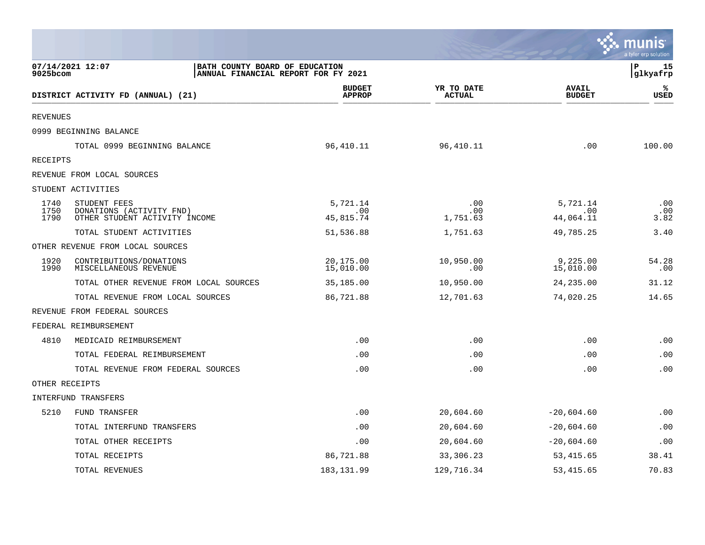|                      |                                                                                           |                                |                             |                               | ः munis<br>a tyler erp solution |
|----------------------|-------------------------------------------------------------------------------------------|--------------------------------|-----------------------------|-------------------------------|---------------------------------|
| 9025bcom             | 07/14/2021 12:07<br>BATH COUNTY BOARD OF EDUCATION<br>ANNUAL FINANCIAL REPORT FOR FY 2021 |                                |                             |                               | l P<br>15<br>glkyafrp           |
|                      | DISTRICT ACTIVITY FD (ANNUAL) (21)                                                        | <b>BUDGET</b><br><b>APPROP</b> | YR TO DATE<br><b>ACTUAL</b> | <b>AVAIL</b><br><b>BUDGET</b> | ℁<br><b>USED</b>                |
| <b>REVENUES</b>      |                                                                                           |                                |                             |                               |                                 |
|                      | 0999 BEGINNING BALANCE                                                                    |                                |                             |                               |                                 |
|                      | TOTAL 0999 BEGINNING BALANCE                                                              | 96,410.11                      | 96,410.11                   | .00                           | 100.00                          |
| RECEIPTS             |                                                                                           |                                |                             |                               |                                 |
|                      | REVENUE FROM LOCAL SOURCES                                                                |                                |                             |                               |                                 |
|                      | STUDENT ACTIVITIES                                                                        |                                |                             |                               |                                 |
| 1740<br>1750<br>1790 | STUDENT FEES<br>DONATIONS (ACTIVITY FND)<br>OTHER STUDENT ACTIVITY INCOME                 | 5,721.14<br>.00<br>45,815.74   | .00<br>.00<br>1,751.63      | 5,721.14<br>.00<br>44,064.11  | .00<br>.00<br>3.82              |
|                      | TOTAL STUDENT ACTIVITIES                                                                  | 51,536.88                      | 1,751.63                    | 49,785.25                     | 3.40                            |
|                      | OTHER REVENUE FROM LOCAL SOURCES                                                          |                                |                             |                               |                                 |
| 1920<br>1990         | CONTRIBUTIONS/DONATIONS<br>MISCELLANEOUS REVENUE                                          | 20,175.00<br>15,010.00         | 10,950.00<br>.00            | 9,225.00<br>15,010.00         | 54.28<br>.00                    |
|                      | TOTAL OTHER REVENUE FROM LOCAL SOURCES                                                    | 35,185.00                      | 10,950.00                   | 24, 235.00                    | 31.12                           |
|                      | TOTAL REVENUE FROM LOCAL SOURCES                                                          | 86,721.88                      | 12,701.63                   | 74,020.25                     | 14.65                           |
|                      | REVENUE FROM FEDERAL SOURCES                                                              |                                |                             |                               |                                 |
|                      | FEDERAL REIMBURSEMENT                                                                     |                                |                             |                               |                                 |
| 4810                 | MEDICAID REIMBURSEMENT                                                                    | .00                            | .00                         | .00                           | .00                             |
|                      | TOTAL FEDERAL REIMBURSEMENT                                                               | .00                            | .00                         | .00                           | .00                             |
|                      | TOTAL REVENUE FROM FEDERAL SOURCES                                                        | .00                            | .00                         | .00                           | .00                             |
| OTHER RECEIPTS       |                                                                                           |                                |                             |                               |                                 |
|                      | INTERFUND TRANSFERS                                                                       |                                |                             |                               |                                 |
| 5210                 | <b>FUND TRANSFER</b>                                                                      | .00                            | 20,604.60                   | $-20,604.60$                  | .00                             |
|                      | TOTAL INTERFUND TRANSFERS                                                                 | .00                            | 20,604.60                   | $-20,604.60$                  | .00                             |
|                      | TOTAL OTHER RECEIPTS                                                                      | .00                            | 20,604.60                   | $-20,604.60$                  | .00                             |
|                      | TOTAL RECEIPTS                                                                            | 86,721.88                      | 33,306.23                   | 53,415.65                     | 38.41                           |
|                      | TOTAL REVENUES                                                                            | 183,131.99                     | 129,716.34                  | 53, 415.65                    | 70.83                           |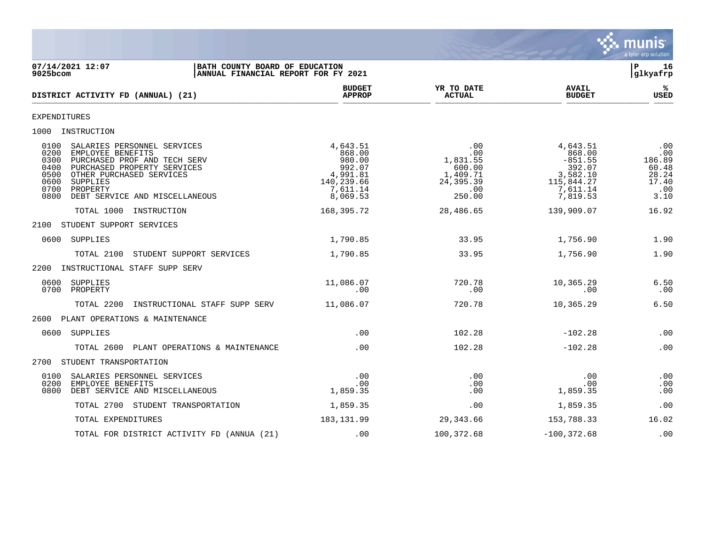

07/14/2021 12:07 **| BATH COUNTY BOARD OF EDUCATION**<br> **07/14/2021 12:07 | P** 16<br> **DEPENDING ANNUAL FINANCIAL REPORT FOR FY 2021** ANNUAL FINANCIAL REPORT FOR FY 2021 **BUDGET YR TO DATE AVAIL %**  $DISTRICT ACTIVITY FD (ANNUAL) (21)$  $\frac{MFACF}{MFACF}$  . Actival  $\frac{MFACF}{MFACF}$  . Actival  $\frac{MFACF}{MFACF}$  . Actival  $\frac{MFACF}{MFACF}$  . Actival  $\frac{MFACF}{MFACF}$ EXPENDITURES 1000 INSTRUCTION 0100 SALARIES PERSONNEL SERVICES 4,643.51 .00 4,643.51 .00 0200 EMPLOYEE BENEFITS 868.00 .00 868.00 .00 0300 PURCHASED PROF AND TECH SERV 980.00 1,831.55 -851.55 186.89 0400 PURCHASED PROPERTY SERVICES 992.07 600.00 392.07 60.48 0500 OTHER PURCHASED SERVICES (1,991.81 1,409.71 3,582.10 28.24<br>0600 SUPPLIES (1,409.71 3,582.10 28.24 115,844.27 17.40<br>0700 PROPERTY (11.14 7,611.14 1,991.81 115,844.27 17.40<br>0800 DEBT SERVICE AND MISCELLANEOUS (1,610.53 0600 SUPPLIES 140,239.66 24,395.39 115,844.27 17.40 0700 PROPERTY 7,611.14 .00 7,611.14 .00 0800 DEBT SERVICE AND MISCELLANEOUS 8,069.53 250.00 7,819.53 3.10 TOTAL 1000 INSTRUCTION 168,395.72 28,486.65 139,909.07 16.92 2100 STUDENT SUPPORT SERVICES 0600 SUPPLIES 1,790.85 33.95 1,756.90 1.90 TOTAL 2100 STUDENT SUPPORT SERVICES 1,790.85 33.95 1,756.90 1.90 2200 INSTRUCTIONAL STAFF SUPP SERV 0600 SUPPLIES 11,086.07 720.78 10,365.29 6.50 0700 PROPERTY .00 .00 .00 .00 TOTAL 2200 INSTRUCTIONAL STAFF SUPP SERV 11,086.07 720.78 10,365.29 6.50 2600 PLANT OPERATIONS & MAINTENANCE 0600 SUPPLIES .00 102.28 -102.28 .00 TOTAL 2600 PLANT OPERATIONS & MAINTENANCE ... 00 .00 .00 ... 102.28 -102.28 -102.28 .00 2700 STUDENT TRANSPORTATION 0100 SALARIES PERSONNEL SERVICES .00 .00 .00 .00 0200 EMPLOYEE BENEFITS .00 .00 .00 .00 0800 DEBT SERVICE AND MISCELLANEOUS TOTAL 2700 STUDENT TRANSPORTATION 1,859.35 .00 00 1,859.35 .00 TOTAL EXPENDITURES 16.02 183,131.99 29,343.66 153,788.33 16.02 TOTAL FOR DISTRICT ACTIVITY FD (ANNUA (21) .00 100,372.68 -100,372.68 .00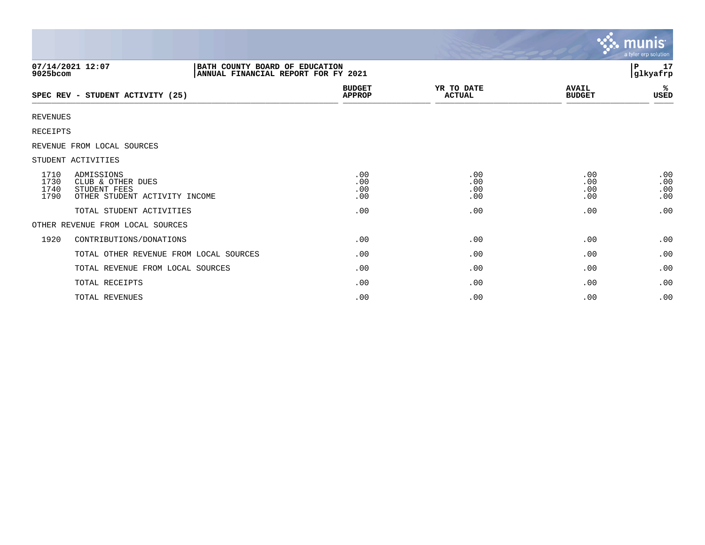|                              |                                                                                  |                                |                             |                               | ∣ mu <u>nıs</u> '<br>a tyler erp solution |
|------------------------------|----------------------------------------------------------------------------------|--------------------------------|-----------------------------|-------------------------------|-------------------------------------------|
| 07/14/2021 12:07<br>9025bcom | BATH COUNTY BOARD OF EDUCATION<br>ANNUAL FINANCIAL REPORT FOR FY 2021            |                                |                             |                               | 17<br>P<br>glkyafrp                       |
|                              | SPEC REV - STUDENT ACTIVITY (25)                                                 | <b>BUDGET</b><br><b>APPROP</b> | YR TO DATE<br><b>ACTUAL</b> | <b>AVAIL</b><br><b>BUDGET</b> | %ะ<br>USED                                |
| <b>REVENUES</b>              |                                                                                  |                                |                             |                               |                                           |
| <b>RECEIPTS</b>              |                                                                                  |                                |                             |                               |                                           |
|                              | REVENUE FROM LOCAL SOURCES                                                       |                                |                             |                               |                                           |
| STUDENT ACTIVITIES           |                                                                                  |                                |                             |                               |                                           |
| 1710<br>1730<br>1740<br>1790 | ADMISSIONS<br>CLUB & OTHER DUES<br>STUDENT FEES<br>OTHER STUDENT ACTIVITY INCOME | .00<br>.00<br>.00<br>.00       | .00<br>.00<br>.00<br>.00    | .00<br>.00<br>.00<br>.00      | .00<br>.00<br>.00<br>.00                  |
|                              | TOTAL STUDENT ACTIVITIES                                                         | .00                            | .00                         | .00                           | .00                                       |
|                              | OTHER REVENUE FROM LOCAL SOURCES                                                 |                                |                             |                               |                                           |
| 1920                         | CONTRIBUTIONS/DONATIONS                                                          | .00                            | .00                         | .00                           | .00                                       |
|                              | TOTAL OTHER REVENUE FROM LOCAL SOURCES                                           | .00                            | .00                         | .00                           | .00                                       |
|                              | TOTAL REVENUE FROM LOCAL SOURCES                                                 | .00                            | .00                         | .00                           | .00                                       |
|                              | TOTAL RECEIPTS                                                                   | .00                            | .00                         | .00                           | .00                                       |
|                              | TOTAL REVENUES                                                                   | .00                            | .00                         | .00                           | .00                                       |

and the contract of the contract of the contract of the contract of the contract of the contract of the contract of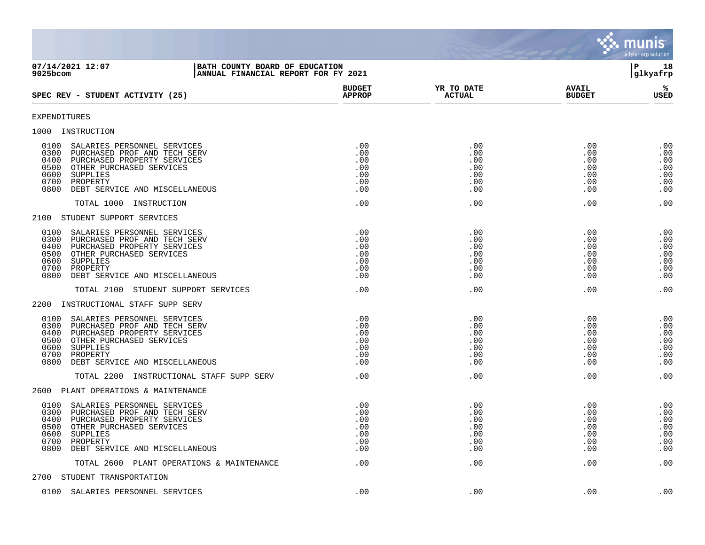|                                                                                                                                                                                                                                                                                                                                                           |                                                      |                                                      |                                                      | munis<br>a tyler erp solution                        |
|-----------------------------------------------------------------------------------------------------------------------------------------------------------------------------------------------------------------------------------------------------------------------------------------------------------------------------------------------------------|------------------------------------------------------|------------------------------------------------------|------------------------------------------------------|------------------------------------------------------|
| 07/14/2021 12:07<br>BATH COUNTY BOARD OF EDUCATION<br>9025bcom<br>ANNUAL FINANCIAL REPORT FOR FY 2021                                                                                                                                                                                                                                                     |                                                      |                                                      |                                                      | ΙP<br>18<br>glkyafrp                                 |
| SPEC REV - STUDENT ACTIVITY (25)                                                                                                                                                                                                                                                                                                                          | <b>BUDGET</b><br><b>APPROP</b>                       | YR TO DATE<br><b>ACTUAL</b>                          | <b>AVAIL</b><br><b>BUDGET</b>                        | %ะ<br>USED                                           |
| EXPENDITURES                                                                                                                                                                                                                                                                                                                                              |                                                      |                                                      |                                                      |                                                      |
| 1000 INSTRUCTION                                                                                                                                                                                                                                                                                                                                          |                                                      |                                                      |                                                      |                                                      |
| 0100<br>SALARIES PERSONNEL SERVICES<br>0300<br>PURCHASED PROF AND TECH SERV<br>0400<br>PURCHASED PROPERTY SERVICES<br>0500<br>OTHER PURCHASED SERVICES<br>0600<br>SUPPLIES<br>0700<br>PROPERTY<br>0800<br>DEBT SERVICE AND MISCELLANEOUS                                                                                                                  | .00<br>.00<br>.00<br>.00<br>.00<br>.00<br>.00        | .00<br>.00<br>.00<br>.00<br>.00<br>.00<br>.00        | .00<br>.00<br>.00<br>.00<br>.00<br>.00<br>.00        | .00<br>.00<br>.00<br>.00<br>.00<br>.00<br>.00        |
| TOTAL 1000 INSTRUCTION                                                                                                                                                                                                                                                                                                                                    | .00                                                  | .00                                                  | .00                                                  | .00                                                  |
| 2100 STUDENT SUPPORT SERVICES<br>0100<br>SALARIES PERSONNEL SERVICES<br>0300<br>PURCHASED PROF AND TECH SERV<br>0400<br>PURCHASED PROPERTY SERVICES<br>OTHER PURCHASED SERVICES<br>0500<br>0600<br>SUPPLIES<br>0700<br>PROPERTY<br>0800<br>DEBT SERVICE AND MISCELLANEOUS<br>TOTAL 2100 STUDENT SUPPORT SERVICES<br>INSTRUCTIONAL STAFF SUPP SERV<br>2200 | .00<br>.00<br>.00<br>.00<br>.00<br>.00<br>.00<br>.00 | .00<br>.00<br>.00<br>.00<br>.00<br>.00<br>.00<br>.00 | .00<br>.00<br>.00<br>.00<br>.00<br>.00<br>.00<br>.00 | .00<br>.00<br>.00<br>.00<br>.00<br>.00<br>.00<br>.00 |
| 0100<br>SALARIES PERSONNEL SERVICES<br>0300<br>PURCHASED PROF AND TECH SERV<br>0400<br>PURCHASED PROPERTY SERVICES<br>0500<br>OTHER PURCHASED SERVICES<br>0600<br>SUPPLIES<br>0700<br>PROPERTY<br>0800<br>DEBT SERVICE AND MISCELLANEOUS<br>TOTAL 2200 INSTRUCTIONAL STAFF SUPP SERV                                                                      | .00<br>.00<br>.00<br>.00<br>.00<br>.00<br>.00<br>.00 | .00<br>.00<br>.00<br>.00<br>.00<br>.00<br>.00<br>.00 | .00<br>.00<br>.00<br>.00<br>.00<br>.00<br>.00<br>.00 | .00<br>.00<br>.00<br>.00<br>.00<br>.00<br>.00<br>.00 |
| 2600<br>PLANT OPERATIONS & MAINTENANCE                                                                                                                                                                                                                                                                                                                    |                                                      |                                                      |                                                      |                                                      |
| 0100<br>SALARIES PERSONNEL SERVICES<br>0300<br>PURCHASED PROF AND TECH SERV<br>0400<br>PURCHASED PROPERTY SERVICES<br>0500 OTHER PURCHASED SERVICES<br>0600 SUPPLIES<br>0700 PROPERTY<br>0800<br>DEBT SERVICE AND MISCELLANEOUS                                                                                                                           | .00<br>.00<br>.00<br>.00<br>.00<br>.00<br>.00        | .00<br>.00<br>.00<br>.00<br>.00<br>.00<br>.00        | .00<br>.00<br>.00<br>.00<br>.00<br>.00<br>.00        | .00<br>.00<br>.00<br>.00<br>.00<br>.00<br>.00        |
| TOTAL 2600 PLANT OPERATIONS & MAINTENANCE                                                                                                                                                                                                                                                                                                                 | .00                                                  | .00                                                  | .00                                                  | .00                                                  |
| 2700 STUDENT TRANSPORTATION                                                                                                                                                                                                                                                                                                                               |                                                      |                                                      |                                                      |                                                      |
| 0100 SALARIES PERSONNEL SERVICES                                                                                                                                                                                                                                                                                                                          | .00                                                  | .00                                                  | .00                                                  | .00                                                  |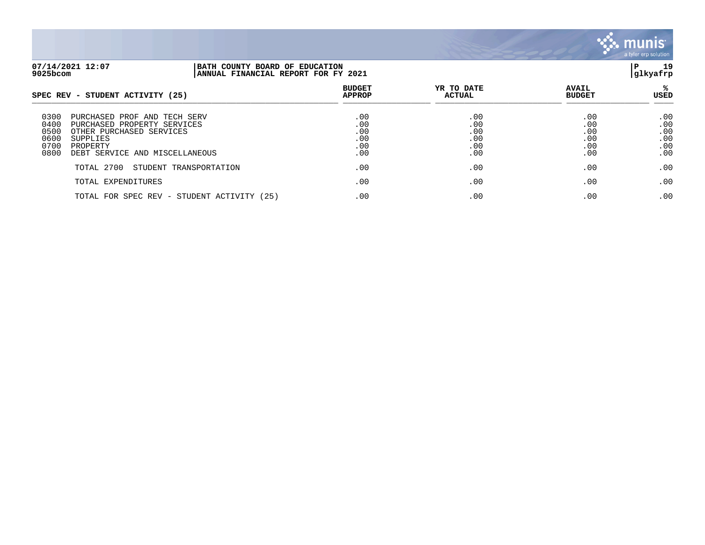

| 07/14/2021 12:07<br>9025bcom                                                                                                                                                                      | BATH COUNTY BOARD OF EDUCATION<br>ANNUAL FINANCIAL REPORT FOR FY 2021 |                                        |                                        |                                        |                                        |  |
|---------------------------------------------------------------------------------------------------------------------------------------------------------------------------------------------------|-----------------------------------------------------------------------|----------------------------------------|----------------------------------------|----------------------------------------|----------------------------------------|--|
| SPEC REV - STUDENT ACTIVITY (25)                                                                                                                                                                  |                                                                       | <b>BUDGET</b><br><b>APPROP</b>         | YR TO DATE<br><b>ACTUAL</b>            | <b>AVAIL</b><br><b>BUDGET</b>          | USED                                   |  |
| 0300<br>PURCHASED PROF AND TECH SERV<br>0400<br>PURCHASED PROPERTY SERVICES<br>0500<br>OTHER PURCHASED SERVICES<br>0600<br>SUPPLIES<br>0700<br>PROPERTY<br>0800<br>DEBT SERVICE AND MISCELLANEOUS |                                                                       | .00<br>.00<br>.00<br>.00<br>.00<br>.00 | .00<br>.00<br>.00<br>.00<br>.00<br>.00 | .00<br>.00<br>.00<br>.00<br>.00<br>.00 | .00<br>.00<br>.00<br>.00<br>.00<br>.00 |  |
| TOTAL 2700                                                                                                                                                                                        | STUDENT TRANSPORTATION                                                | .00                                    | .00                                    | .00                                    | .00                                    |  |
| TOTAL EXPENDITURES                                                                                                                                                                                |                                                                       | .00                                    | .00                                    | .00                                    | .00                                    |  |
|                                                                                                                                                                                                   | TOTAL FOR SPEC REV - STUDENT ACTIVITY (25)                            | .00                                    | .00                                    | .00                                    | .00                                    |  |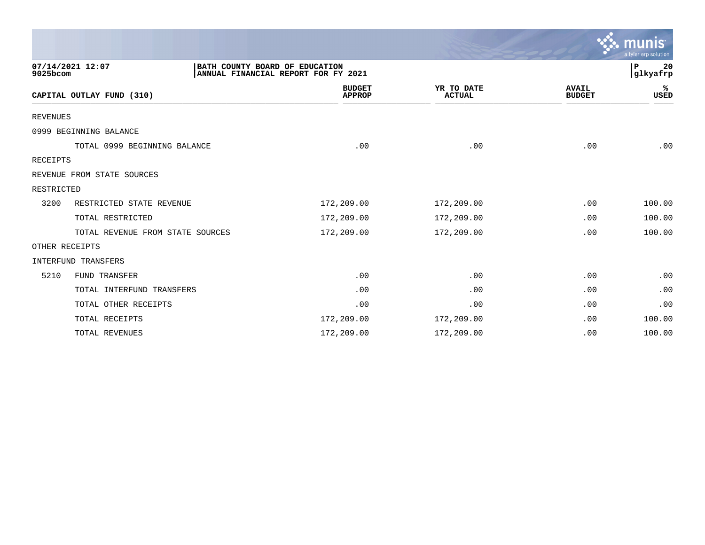|                 |                                                    |                                     |                             |                               | a tyler erp solution |
|-----------------|----------------------------------------------------|-------------------------------------|-----------------------------|-------------------------------|----------------------|
| 9025bcom        | 07/14/2021 12:07<br>BATH COUNTY BOARD OF EDUCATION | ANNUAL FINANCIAL REPORT FOR FY 2021 |                             |                               | P<br>20<br>glkyafrp  |
|                 | CAPITAL OUTLAY FUND (310)                          | <b>BUDGET</b><br><b>APPROP</b>      | YR TO DATE<br><b>ACTUAL</b> | <b>AVAIL</b><br><b>BUDGET</b> | ℁<br><b>USED</b>     |
| <b>REVENUES</b> |                                                    |                                     |                             |                               |                      |
|                 | 0999 BEGINNING BALANCE                             |                                     |                             |                               |                      |
|                 | TOTAL 0999 BEGINNING BALANCE                       | .00                                 | .00                         | .00                           | .00                  |
| RECEIPTS        |                                                    |                                     |                             |                               |                      |
|                 | REVENUE FROM STATE SOURCES                         |                                     |                             |                               |                      |
| RESTRICTED      |                                                    |                                     |                             |                               |                      |
| 3200            | RESTRICTED STATE REVENUE                           | 172,209.00                          | 172,209.00                  | .00                           | 100.00               |
|                 | TOTAL RESTRICTED                                   | 172,209.00                          | 172,209.00                  | .00                           | 100.00               |
|                 | TOTAL REVENUE FROM STATE SOURCES                   | 172,209.00                          | 172,209.00                  | .00                           | 100.00               |
|                 | OTHER RECEIPTS                                     |                                     |                             |                               |                      |
|                 | <b>INTERFUND TRANSFERS</b>                         |                                     |                             |                               |                      |
| 5210            | FUND TRANSFER                                      | .00                                 | .00                         | .00                           | .00                  |
|                 | TOTAL INTERFUND TRANSFERS                          | .00                                 | .00                         | .00                           | .00                  |
|                 | TOTAL OTHER RECEIPTS                               | .00                                 | .00                         | .00                           | .00                  |
|                 | TOTAL RECEIPTS                                     | 172,209.00                          | 172,209.00                  | .00                           | 100.00               |
|                 | TOTAL REVENUES                                     | 172,209.00                          | 172,209.00                  | .00                           | 100.00               |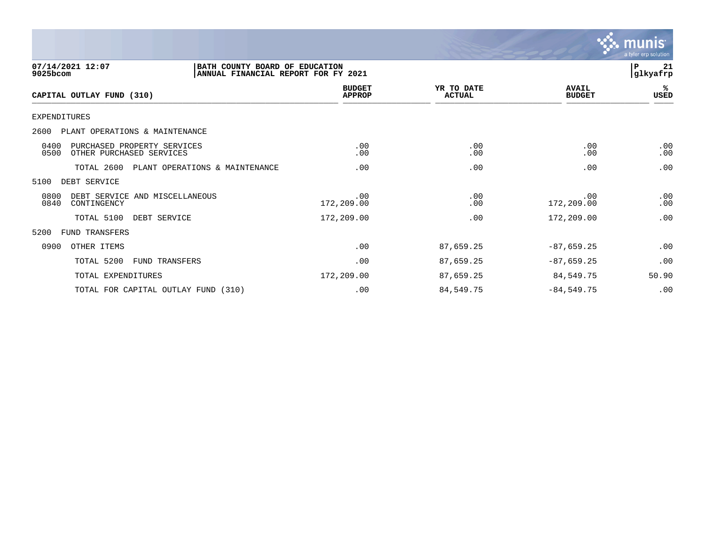

| 07/14/2021 12:07<br>9025bcom                                            | BATH COUNTY BOARD OF EDUCATION<br>ANNUAL FINANCIAL REPORT FOR FY 2021 |                                |                             |                               | 21<br>$\mathbf{P}$<br> glkyafrp |
|-------------------------------------------------------------------------|-----------------------------------------------------------------------|--------------------------------|-----------------------------|-------------------------------|---------------------------------|
| CAPITAL OUTLAY FUND (310)                                               |                                                                       | <b>BUDGET</b><br><b>APPROP</b> | YR TO DATE<br><b>ACTUAL</b> | <b>AVAIL</b><br><b>BUDGET</b> | %ะ<br>USED                      |
| EXPENDITURES                                                            |                                                                       |                                |                             |                               |                                 |
| 2600<br>PLANT OPERATIONS & MAINTENANCE                                  |                                                                       |                                |                             |                               |                                 |
| 0400<br>PURCHASED PROPERTY SERVICES<br>0500<br>OTHER PURCHASED SERVICES |                                                                       | .00<br>.00                     | .00<br>.00                  | .00<br>.00                    | .00<br>.00                      |
| TOTAL 2600                                                              | PLANT OPERATIONS & MAINTENANCE                                        | .00                            | .00                         | .00                           | .00                             |
| 5100<br>DEBT SERVICE                                                    |                                                                       |                                |                             |                               |                                 |
| 0800<br>DEBT SERVICE AND MISCELLANEOUS<br>0840<br>CONTINGENCY           |                                                                       | .00<br>172,209.00              | .00<br>.00                  | .00<br>172,209.00             | .00<br>.00                      |
| TOTAL 5100                                                              | DEBT SERVICE                                                          | 172,209.00                     | .00                         | 172,209.00                    | .00                             |
| 5200<br>FUND TRANSFERS                                                  |                                                                       |                                |                             |                               |                                 |
| 0900<br>OTHER ITEMS                                                     |                                                                       | .00                            | 87,659.25                   | $-87,659.25$                  | .00                             |
| TOTAL 5200                                                              | <b>FUND TRANSFERS</b>                                                 | .00                            | 87,659.25                   | $-87,659.25$                  | .00                             |
| TOTAL EXPENDITURES                                                      |                                                                       | 172,209.00                     | 87,659.25                   | 84,549.75                     | 50.90                           |
| TOTAL FOR CAPITAL OUTLAY FUND (310)                                     |                                                                       | .00                            | 84,549.75                   | $-84,549.75$                  | .00                             |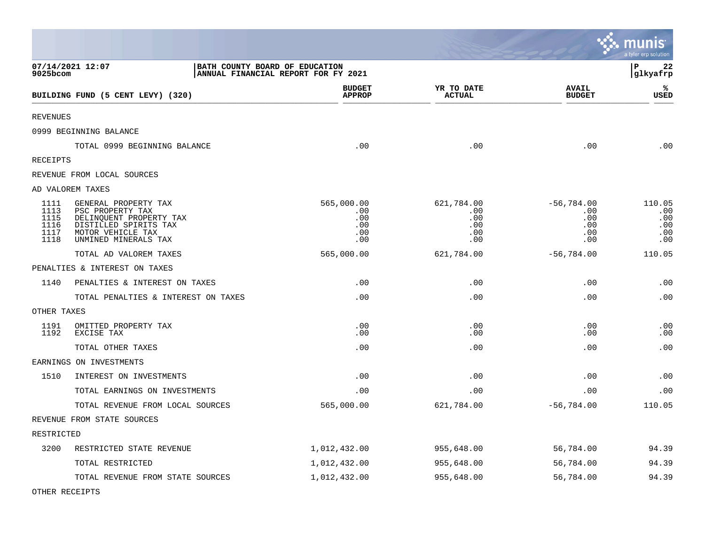|                                              |                                                                                                                                           |                                |                                               |                                               |                                                 | <u>ະ: munis</u><br>a tyler erp solution   |
|----------------------------------------------|-------------------------------------------------------------------------------------------------------------------------------------------|--------------------------------|-----------------------------------------------|-----------------------------------------------|-------------------------------------------------|-------------------------------------------|
| 9025bcom                                     | 07/14/2021 12:07                                                                                                                          | BATH COUNTY BOARD OF EDUCATION | ANNUAL FINANCIAL REPORT FOR FY 2021           |                                               |                                                 | $\, {\bf P}$<br>22<br>glkyafrp            |
|                                              | BUILDING FUND (5 CENT LEVY) (320)                                                                                                         |                                | <b>BUDGET</b><br><b>APPROP</b>                | YR TO DATE<br><b>ACTUAL</b>                   | <b>AVAIL</b><br><b>BUDGET</b>                   | %<br><b>USED</b>                          |
| <b>REVENUES</b>                              |                                                                                                                                           |                                |                                               |                                               |                                                 |                                           |
|                                              | 0999 BEGINNING BALANCE                                                                                                                    |                                |                                               |                                               |                                                 |                                           |
|                                              | TOTAL 0999 BEGINNING BALANCE                                                                                                              |                                | .00                                           | .00                                           | .00                                             | .00                                       |
| RECEIPTS                                     |                                                                                                                                           |                                |                                               |                                               |                                                 |                                           |
|                                              | REVENUE FROM LOCAL SOURCES                                                                                                                |                                |                                               |                                               |                                                 |                                           |
|                                              | AD VALOREM TAXES                                                                                                                          |                                |                                               |                                               |                                                 |                                           |
| 1111<br>1113<br>1115<br>1116<br>1117<br>1118 | GENERAL PROPERTY TAX<br>PSC PROPERTY TAX<br>DELINQUENT PROPERTY TAX<br>DISTILLED SPIRITS TAX<br>MOTOR VEHICLE TAX<br>UNMINED MINERALS TAX |                                | 565,000.00<br>.00<br>.00<br>.00<br>.00<br>.00 | 621,784.00<br>.00<br>.00<br>.00<br>.00<br>.00 | $-56,784.00$<br>.00<br>.00<br>.00<br>.00<br>.00 | 110.05<br>.00<br>.00<br>.00<br>.00<br>.00 |
|                                              | TOTAL AD VALOREM TAXES                                                                                                                    |                                | 565,000.00                                    | 621,784.00                                    | $-56,784.00$                                    | 110.05                                    |
|                                              | PENALTIES & INTEREST ON TAXES                                                                                                             |                                |                                               |                                               |                                                 |                                           |
| 1140                                         | PENALTIES & INTEREST ON TAXES                                                                                                             |                                | .00                                           | .00                                           | .00                                             | .00                                       |
|                                              | TOTAL PENALTIES & INTEREST ON TAXES                                                                                                       |                                | .00                                           | .00                                           | .00                                             | .00                                       |
| OTHER TAXES                                  |                                                                                                                                           |                                |                                               |                                               |                                                 |                                           |
| 1191<br>1192                                 | OMITTED PROPERTY TAX<br>EXCISE TAX                                                                                                        |                                | .00<br>.00                                    | .00<br>.00                                    | .00<br>.00                                      | .00<br>.00                                |
|                                              | TOTAL OTHER TAXES                                                                                                                         |                                | .00                                           | .00                                           | .00                                             | .00                                       |
|                                              | EARNINGS ON INVESTMENTS                                                                                                                   |                                |                                               |                                               |                                                 |                                           |
| 1510                                         | INTEREST ON INVESTMENTS                                                                                                                   |                                | .00                                           | .00                                           | .00                                             | .00                                       |
|                                              | TOTAL EARNINGS ON INVESTMENTS                                                                                                             |                                | .00                                           | .00                                           | .00                                             | .00                                       |
|                                              | TOTAL REVENUE FROM LOCAL SOURCES                                                                                                          |                                | 565,000.00                                    | 621,784.00                                    | $-56,784.00$                                    | 110.05                                    |
|                                              | REVENUE FROM STATE SOURCES                                                                                                                |                                |                                               |                                               |                                                 |                                           |
| RESTRICTED                                   |                                                                                                                                           |                                |                                               |                                               |                                                 |                                           |
| 3200                                         | RESTRICTED STATE REVENUE                                                                                                                  |                                | 1,012,432.00                                  | 955,648.00                                    | 56,784.00                                       | 94.39                                     |
|                                              | TOTAL RESTRICTED                                                                                                                          |                                | 1,012,432.00                                  | 955,648.00                                    | 56,784.00                                       | 94.39                                     |
|                                              | TOTAL REVENUE FROM STATE SOURCES                                                                                                          |                                | 1,012,432.00                                  | 955,648.00                                    | 56,784.00                                       | 94.39                                     |

 $\mathcal{L}$ 

OTHER RECEIPTS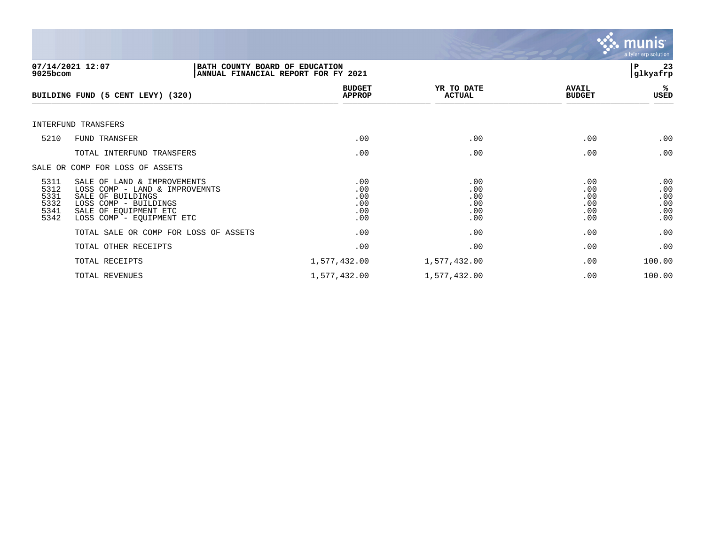

| 9025bcom                                     | 07/14/2021 12:07<br>BATH COUNTY BOARD OF EDUCATION<br>ANNUAL FINANCIAL REPORT FOR FY 2021                                                                         |                                        |                                        |                                        | ΙP<br>23<br> glkyafrp                  |
|----------------------------------------------|-------------------------------------------------------------------------------------------------------------------------------------------------------------------|----------------------------------------|----------------------------------------|----------------------------------------|----------------------------------------|
|                                              | BUILDING FUND (5 CENT LEVY) (320)                                                                                                                                 | <b>BUDGET</b><br><b>APPROP</b>         | YR TO DATE<br><b>ACTUAL</b>            | <b>AVAIL</b><br><b>BUDGET</b>          | %ะ<br>USED                             |
|                                              | INTERFUND TRANSFERS                                                                                                                                               |                                        |                                        |                                        |                                        |
| 5210                                         | FUND TRANSFER                                                                                                                                                     | .00                                    | .00                                    | .00                                    | .00                                    |
|                                              | TOTAL INTERFUND TRANSFERS                                                                                                                                         | .00                                    | .00                                    | .00                                    | .00                                    |
|                                              | SALE OR COMP FOR LOSS OF ASSETS                                                                                                                                   |                                        |                                        |                                        |                                        |
| 5311<br>5312<br>5331<br>5332<br>5341<br>5342 | SALE OF LAND & IMPROVEMENTS<br>LOSS COMP - LAND & IMPROVEMNTS<br>SALE OF BUILDINGS<br>LOSS COMP - BUILDINGS<br>SALE OF EQUIPMENT ETC<br>LOSS COMP - EQUIPMENT ETC | .00<br>.00<br>.00<br>.00<br>.00<br>.00 | .00<br>.00<br>.00<br>.00<br>.00<br>.00 | .00<br>.00<br>.00<br>.00<br>.00<br>.00 | .00<br>.00<br>.00<br>.00<br>.00<br>.00 |
|                                              | TOTAL SALE OR COMP FOR LOSS OF ASSETS                                                                                                                             | .00                                    | .00                                    | .00                                    | .00                                    |
|                                              | TOTAL OTHER RECEIPTS                                                                                                                                              | .00                                    | .00                                    | .00                                    | .00                                    |
|                                              | TOTAL RECEIPTS                                                                                                                                                    | 1,577,432.00                           | 1,577,432.00                           | .00                                    | 100.00                                 |
|                                              | TOTAL REVENUES                                                                                                                                                    | 1,577,432.00                           | 1,577,432.00                           | .00                                    | 100.00                                 |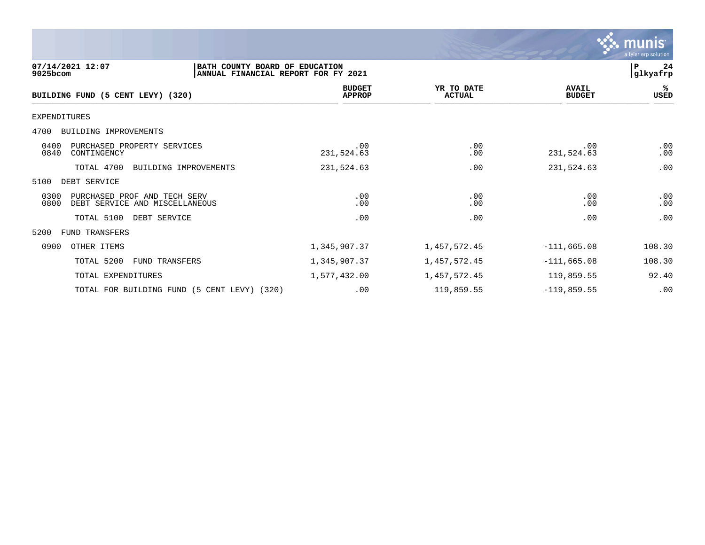

| 07/14/2021 12:07<br>9025bcom                                                   | BATH COUNTY BOARD OF EDUCATION<br>ANNUAL FINANCIAL REPORT FOR FY 2021 |                                |                             |                               | P<br>24<br>glkyafrp |
|--------------------------------------------------------------------------------|-----------------------------------------------------------------------|--------------------------------|-----------------------------|-------------------------------|---------------------|
| BUILDING FUND (5 CENT LEVY) (320)                                              |                                                                       | <b>BUDGET</b><br><b>APPROP</b> | YR TO DATE<br><b>ACTUAL</b> | <b>AVAIL</b><br><b>BUDGET</b> | %<br>USED           |
| EXPENDITURES                                                                   |                                                                       |                                |                             |                               |                     |
| BUILDING IMPROVEMENTS<br>4700                                                  |                                                                       |                                |                             |                               |                     |
| 0400<br>PURCHASED PROPERTY SERVICES<br>0840<br>CONTINGENCY                     |                                                                       | .00<br>231,524.63              | .00<br>.00                  | .00<br>231,524.63             | .00<br>.00          |
| TOTAL 4700                                                                     | BUILDING IMPROVEMENTS                                                 | 231,524.63                     | .00                         | 231,524.63                    | .00                 |
| 5100<br>DEBT SERVICE                                                           |                                                                       |                                |                             |                               |                     |
| 0300<br>PURCHASED PROF AND TECH SERV<br>0800<br>DEBT SERVICE AND MISCELLANEOUS |                                                                       | .00<br>.00                     | .00<br>.00                  | .00<br>.00                    | .00<br>.00          |
| TOTAL 5100<br>DEBT SERVICE                                                     |                                                                       | .00                            | .00                         | .00                           | .00                 |
| FUND TRANSFERS<br>5200                                                         |                                                                       |                                |                             |                               |                     |
| 0900<br>OTHER ITEMS                                                            |                                                                       | 1,345,907.37                   | 1,457,572.45                | $-111,665.08$                 | 108.30              |
| TOTAL 5200<br>FUND TRANSFERS                                                   |                                                                       | 1,345,907.37                   | 1,457,572.45                | $-111,665.08$                 | 108.30              |
| TOTAL EXPENDITURES                                                             |                                                                       | 1,577,432.00                   | 1,457,572.45                | 119,859.55                    | 92.40               |
| TOTAL FOR BUILDING FUND (5 CENT LEVY) (320)                                    |                                                                       | .00                            | 119,859.55                  | $-119,859.55$                 | .00                 |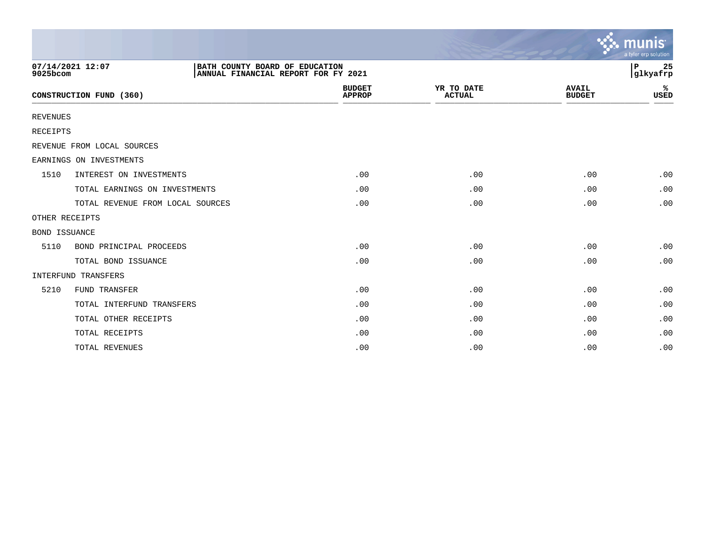|                      |                                  |                                                                       |                                |                             |                               | munis<br>a tyler erp solution |
|----------------------|----------------------------------|-----------------------------------------------------------------------|--------------------------------|-----------------------------|-------------------------------|-------------------------------|
| 9025bcom             | 07/14/2021 12:07                 | BATH COUNTY BOARD OF EDUCATION<br>ANNUAL FINANCIAL REPORT FOR FY 2021 |                                |                             |                               | ∣P<br>25<br>glkyafrp          |
|                      | CONSTRUCTION FUND (360)          |                                                                       | <b>BUDGET</b><br><b>APPROP</b> | YR TO DATE<br><b>ACTUAL</b> | <b>AVAIL</b><br><b>BUDGET</b> | ℁<br><b>USED</b>              |
| <b>REVENUES</b>      |                                  |                                                                       |                                |                             |                               |                               |
| RECEIPTS             |                                  |                                                                       |                                |                             |                               |                               |
|                      | REVENUE FROM LOCAL SOURCES       |                                                                       |                                |                             |                               |                               |
|                      | EARNINGS ON INVESTMENTS          |                                                                       |                                |                             |                               |                               |
| 1510                 | INTEREST ON INVESTMENTS          |                                                                       | .00                            | .00                         | .00                           | .00                           |
|                      | TOTAL EARNINGS ON INVESTMENTS    |                                                                       | .00                            | .00                         | .00                           | .00                           |
|                      | TOTAL REVENUE FROM LOCAL SOURCES |                                                                       | .00                            | .00                         | .00                           | .00                           |
|                      | OTHER RECEIPTS                   |                                                                       |                                |                             |                               |                               |
| <b>BOND ISSUANCE</b> |                                  |                                                                       |                                |                             |                               |                               |
| 5110                 | BOND PRINCIPAL PROCEEDS          |                                                                       | .00                            | .00                         | .00                           | .00                           |
|                      | TOTAL BOND ISSUANCE              |                                                                       | .00                            | .00                         | .00                           | .00                           |
|                      | INTERFUND TRANSFERS              |                                                                       |                                |                             |                               |                               |
| 5210                 | <b>FUND TRANSFER</b>             |                                                                       | .00                            | .00                         | .00                           | .00                           |
|                      | TOTAL INTERFUND TRANSFERS        |                                                                       | .00                            | .00                         | .00                           | .00                           |
|                      | TOTAL OTHER RECEIPTS             |                                                                       | .00                            | .00                         | .00                           | .00                           |
|                      | TOTAL RECEIPTS                   |                                                                       | .00                            | .00                         | .00                           | .00                           |
|                      | TOTAL REVENUES                   |                                                                       | .00                            | .00                         | .00                           | .00                           |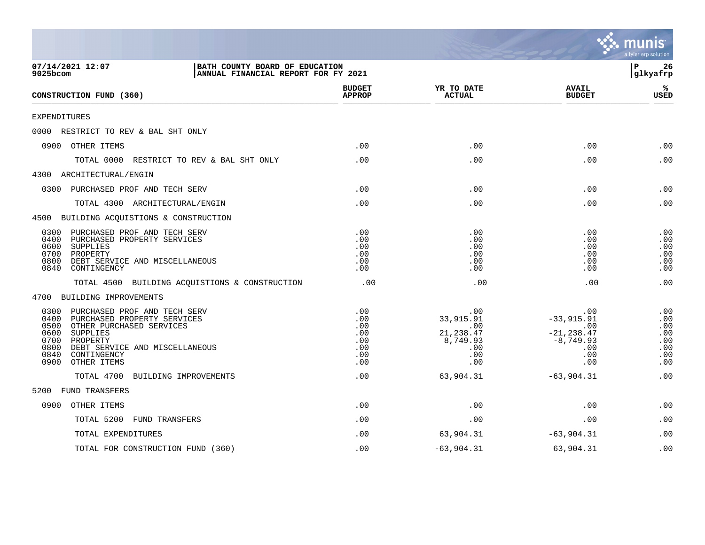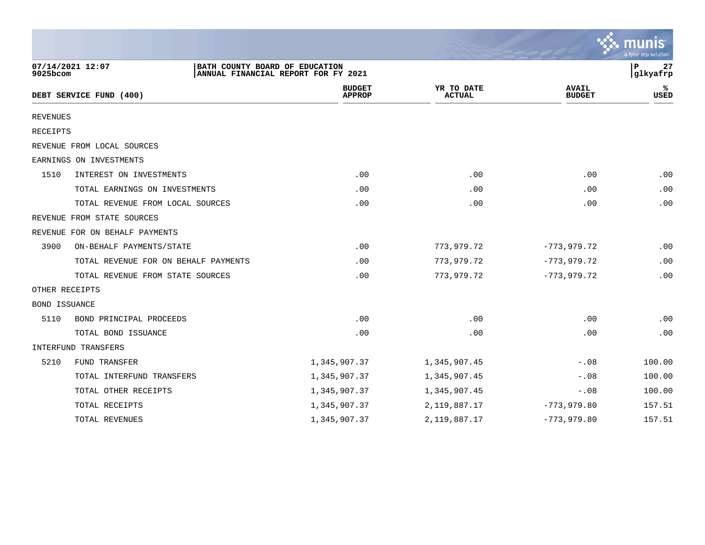|                      |                                      |                                                                       |                             |                               | a tyler erp solution |
|----------------------|--------------------------------------|-----------------------------------------------------------------------|-----------------------------|-------------------------------|----------------------|
| 9025bcom             | 07/14/2021 12:07                     | BATH COUNTY BOARD OF EDUCATION<br>ANNUAL FINANCIAL REPORT FOR FY 2021 |                             |                               | 27<br>P<br>glkyafrp  |
|                      | DEBT SERVICE FUND (400)              | <b>BUDGET</b><br><b>APPROP</b>                                        | YR TO DATE<br><b>ACTUAL</b> | <b>AVAIL</b><br><b>BUDGET</b> | USED                 |
| <b>REVENUES</b>      |                                      |                                                                       |                             |                               |                      |
| <b>RECEIPTS</b>      |                                      |                                                                       |                             |                               |                      |
|                      | REVENUE FROM LOCAL SOURCES           |                                                                       |                             |                               |                      |
|                      | EARNINGS ON INVESTMENTS              |                                                                       |                             |                               |                      |
| 1510                 | INTEREST ON INVESTMENTS              | .00                                                                   | .00                         | .00                           | .00                  |
|                      | TOTAL EARNINGS ON INVESTMENTS        | .00                                                                   | .00                         | .00                           | .00                  |
|                      | TOTAL REVENUE FROM LOCAL SOURCES     | .00                                                                   | .00                         | .00                           | .00                  |
|                      | REVENUE FROM STATE SOURCES           |                                                                       |                             |                               |                      |
|                      | REVENUE FOR ON BEHALF PAYMENTS       |                                                                       |                             |                               |                      |
| 3900                 | ON-BEHALF PAYMENTS/STATE             | .00                                                                   | 773,979.72                  | $-773,979.72$                 | .00                  |
|                      | TOTAL REVENUE FOR ON BEHALF PAYMENTS | .00                                                                   | 773,979.72                  | $-773,979.72$                 | .00                  |
|                      | TOTAL REVENUE FROM STATE SOURCES     | .00                                                                   | 773,979.72                  | $-773, 979.72$                | .00                  |
|                      | OTHER RECEIPTS                       |                                                                       |                             |                               |                      |
| <b>BOND ISSUANCE</b> |                                      |                                                                       |                             |                               |                      |
| 5110                 | BOND PRINCIPAL PROCEEDS              | .00                                                                   | .00                         | .00                           | .00                  |
|                      | TOTAL BOND ISSUANCE                  | .00                                                                   | .00                         | .00                           | .00                  |
|                      | INTERFUND TRANSFERS                  |                                                                       |                             |                               |                      |
| 5210                 | FUND TRANSFER                        | 1,345,907.37                                                          | 1,345,907.45                | $-.08$                        | 100.00               |
|                      | TOTAL INTERFUND TRANSFERS            | 1,345,907.37                                                          | 1,345,907.45                | $-.08$                        | 100.00               |
|                      | TOTAL OTHER RECEIPTS                 | 1,345,907.37                                                          | 1,345,907.45                | $-.08$                        | 100.00               |
|                      | TOTAL RECEIPTS                       | 1,345,907.37                                                          | 2, 119, 887. 17             | $-773,979.80$                 | 157.51               |
|                      | TOTAL REVENUES                       | 1,345,907.37                                                          | 2, 119, 887. 17             | $-773,979.80$                 | 157.51               |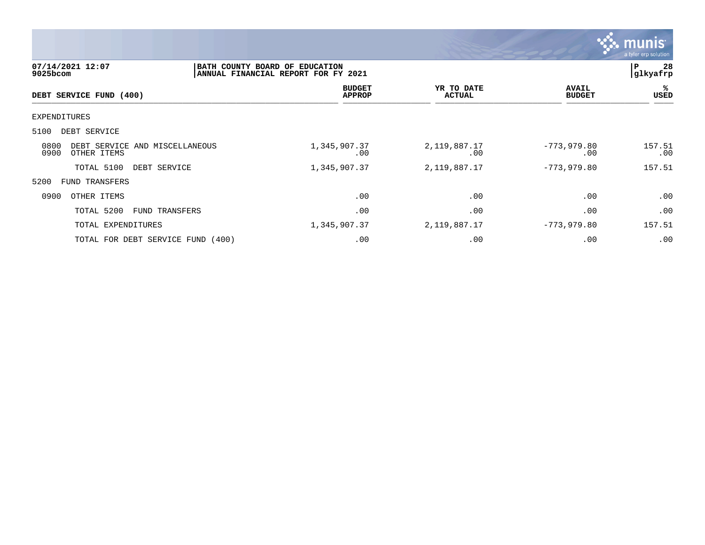

| 07/14/2021 12:07<br>$9025$ bcom                               | BATH COUNTY BOARD OF EDUCATION<br>ANNUAL FINANCIAL REPORT FOR FY 2021 |                                |  |                             | 28<br>ΙP<br> glkyafrp         |                   |
|---------------------------------------------------------------|-----------------------------------------------------------------------|--------------------------------|--|-----------------------------|-------------------------------|-------------------|
| DEBT SERVICE FUND (400)                                       |                                                                       | <b>BUDGET</b><br><b>APPROP</b> |  | YR TO DATE<br><b>ACTUAL</b> | <b>AVAIL</b><br><b>BUDGET</b> | %ะ<br><b>USED</b> |
| EXPENDITURES                                                  |                                                                       |                                |  |                             |                               |                   |
| 5100<br>DEBT SERVICE                                          |                                                                       |                                |  |                             |                               |                   |
| 0800<br>DEBT SERVICE AND MISCELLANEOUS<br>0900<br>OTHER ITEMS |                                                                       | 1,345,907.37<br>$.00 \ \rm$    |  | 2,119,887.17<br>.00         | $-773,979.80$<br>.00          | 157.51<br>.00     |
| TOTAL 5100                                                    | DEBT SERVICE                                                          | 1,345,907.37                   |  | 2,119,887.17                | $-773,979.80$                 | 157.51            |
| 5200<br>FUND TRANSFERS                                        |                                                                       |                                |  |                             |                               |                   |
| 0900<br>OTHER ITEMS                                           |                                                                       | .00                            |  | .00                         | .00                           | .00               |
| TOTAL 5200                                                    | FUND TRANSFERS                                                        | .00                            |  | .00                         | .00                           | .00               |
| TOTAL EXPENDITURES                                            |                                                                       | 1,345,907.37                   |  | 2,119,887.17                | $-773,979.80$                 | 157.51            |
| TOTAL FOR DEBT SERVICE FUND (400)                             |                                                                       | .00                            |  | .00                         | .00                           | .00               |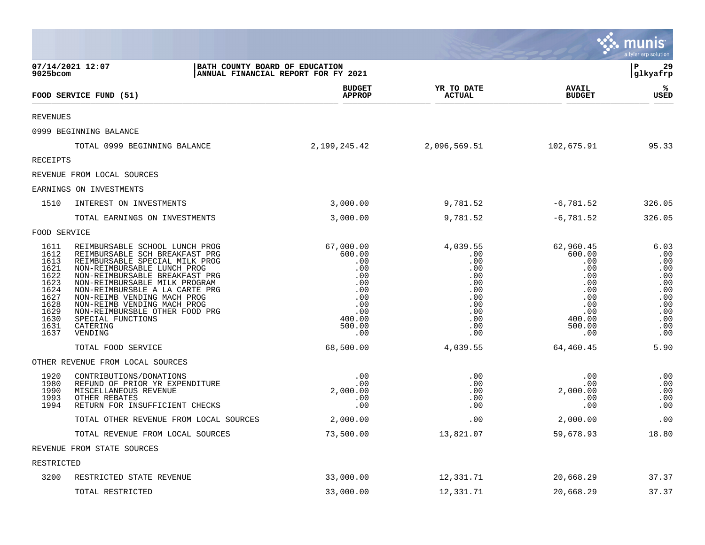|                                                                                                      |                                                                                                                                                                                                                                                                                                                                                                                    |                                                                                                        |                                                                                              |                                                                                                        | munis<br>a tyler erp solution                                                            |
|------------------------------------------------------------------------------------------------------|------------------------------------------------------------------------------------------------------------------------------------------------------------------------------------------------------------------------------------------------------------------------------------------------------------------------------------------------------------------------------------|--------------------------------------------------------------------------------------------------------|----------------------------------------------------------------------------------------------|--------------------------------------------------------------------------------------------------------|------------------------------------------------------------------------------------------|
| $9025$ bcom                                                                                          | 07/14/2021 12:07<br>BATH COUNTY BOARD OF EDUCATION                                                                                                                                                                                                                                                                                                                                 | ANNUAL FINANCIAL REPORT FOR FY 2021                                                                    |                                                                                              |                                                                                                        | l P<br>29<br> glkyafrp                                                                   |
|                                                                                                      | FOOD SERVICE FUND (51)                                                                                                                                                                                                                                                                                                                                                             | <b>BUDGET</b><br><b>APPROP</b>                                                                         | YR TO DATE<br><b>ACTUAL</b>                                                                  | <b>AVAIL</b><br><b>BUDGET</b>                                                                          | ℁<br><b>USED</b>                                                                         |
| <b>REVENUES</b>                                                                                      |                                                                                                                                                                                                                                                                                                                                                                                    |                                                                                                        |                                                                                              |                                                                                                        |                                                                                          |
|                                                                                                      | 0999 BEGINNING BALANCE                                                                                                                                                                                                                                                                                                                                                             |                                                                                                        |                                                                                              |                                                                                                        |                                                                                          |
|                                                                                                      | TOTAL 0999 BEGINNING BALANCE                                                                                                                                                                                                                                                                                                                                                       | 2,199,245.42                                                                                           | 2,096,569.51                                                                                 | 102,675.91                                                                                             | 95.33                                                                                    |
| <b>RECEIPTS</b>                                                                                      |                                                                                                                                                                                                                                                                                                                                                                                    |                                                                                                        |                                                                                              |                                                                                                        |                                                                                          |
|                                                                                                      | REVENUE FROM LOCAL SOURCES                                                                                                                                                                                                                                                                                                                                                         |                                                                                                        |                                                                                              |                                                                                                        |                                                                                          |
|                                                                                                      | EARNINGS ON INVESTMENTS                                                                                                                                                                                                                                                                                                                                                            |                                                                                                        |                                                                                              |                                                                                                        |                                                                                          |
| 1510                                                                                                 | INTEREST ON INVESTMENTS                                                                                                                                                                                                                                                                                                                                                            | 3,000.00                                                                                               | 9,781.52                                                                                     | $-6,781.52$                                                                                            | 326.05                                                                                   |
|                                                                                                      | TOTAL EARNINGS ON INVESTMENTS                                                                                                                                                                                                                                                                                                                                                      | 3,000.00                                                                                               | 9,781.52                                                                                     | $-6,781.52$                                                                                            | 326.05                                                                                   |
| FOOD SERVICE                                                                                         |                                                                                                                                                                                                                                                                                                                                                                                    |                                                                                                        |                                                                                              |                                                                                                        |                                                                                          |
| 1611<br>1612<br>1613<br>1621<br>1622<br>1623<br>1624<br>1627<br>1628<br>1629<br>1630<br>1631<br>1637 | REIMBURSABLE SCHOOL LUNCH PROG<br>REIMBURSABLE SCH BREAKFAST PRG<br>REIMBURSABLE SPECIAL MILK PROG<br>NON-REIMBURSABLE LUNCH PROG<br>NON-REIMBURSABLE BREAKFAST PRG<br>NON-REIMBURSABLE MILK PROGRAM<br>NON-REIMBURSBLE A LA CARTE PRG<br>NON-REIMB VENDING MACH PROG<br>NON-REIMB VENDING MACH PROG<br>NON-REIMBURSBLE OTHER FOOD PRG<br>SPECIAL FUNCTIONS<br>CATERING<br>VENDING | 67,000.00<br>600.00<br>.00<br>.00<br>.00<br>.00<br>.00<br>.00<br>.00<br>.00<br>400.00<br>500.00<br>.00 | 4,039.55<br>.00<br>.00<br>.00<br>.00<br>.00<br>.00<br>.00<br>.00<br>.00<br>.00<br>.00<br>.00 | 62,960.45<br>600.00<br>.00<br>.00<br>.00<br>.00<br>.00<br>.00<br>.00<br>.00<br>400.00<br>500.00<br>.00 | 6.03<br>.00<br>.00<br>.00<br>.00<br>.00<br>.00<br>.00<br>.00<br>.00<br>.00<br>.00<br>.00 |
|                                                                                                      | TOTAL FOOD SERVICE                                                                                                                                                                                                                                                                                                                                                                 | 68,500.00                                                                                              | 4,039.55                                                                                     | 64,460.45                                                                                              | 5.90                                                                                     |
|                                                                                                      | OTHER REVENUE FROM LOCAL SOURCES                                                                                                                                                                                                                                                                                                                                                   |                                                                                                        |                                                                                              |                                                                                                        |                                                                                          |
| 1920<br>1980<br>1990<br>1993<br>1994                                                                 | CONTRIBUTIONS/DONATIONS<br>REFUND OF PRIOR YR EXPENDITURE<br>MISCELLANEOUS REVENUE<br>OTHER REBATES<br>RETURN FOR INSUFFICIENT CHECKS                                                                                                                                                                                                                                              | .00<br>.00<br>2,000.00<br>.00<br>.00                                                                   | .00<br>.00<br>.00<br>.00<br>.00                                                              | .00<br>.00<br>2,000.00<br>.00<br>.00                                                                   | .00<br>.00<br>.00<br>.00<br>.00                                                          |
|                                                                                                      | TOTAL OTHER REVENUE FROM LOCAL SOURCES                                                                                                                                                                                                                                                                                                                                             | 2,000.00                                                                                               | .00                                                                                          | 2,000.00                                                                                               | .00                                                                                      |
|                                                                                                      | TOTAL REVENUE FROM LOCAL SOURCES                                                                                                                                                                                                                                                                                                                                                   | 73,500.00                                                                                              | 13,821.07                                                                                    | 59,678.93                                                                                              | 18.80                                                                                    |
|                                                                                                      | REVENUE FROM STATE SOURCES                                                                                                                                                                                                                                                                                                                                                         |                                                                                                        |                                                                                              |                                                                                                        |                                                                                          |
| RESTRICTED                                                                                           |                                                                                                                                                                                                                                                                                                                                                                                    |                                                                                                        |                                                                                              |                                                                                                        |                                                                                          |
| 3200                                                                                                 | RESTRICTED STATE REVENUE                                                                                                                                                                                                                                                                                                                                                           | 33,000.00                                                                                              | 12,331.71                                                                                    | 20,668.29                                                                                              | 37.37                                                                                    |
|                                                                                                      | TOTAL RESTRICTED                                                                                                                                                                                                                                                                                                                                                                   | 33,000.00                                                                                              | 12,331.71                                                                                    | 20,668.29                                                                                              | 37.37                                                                                    |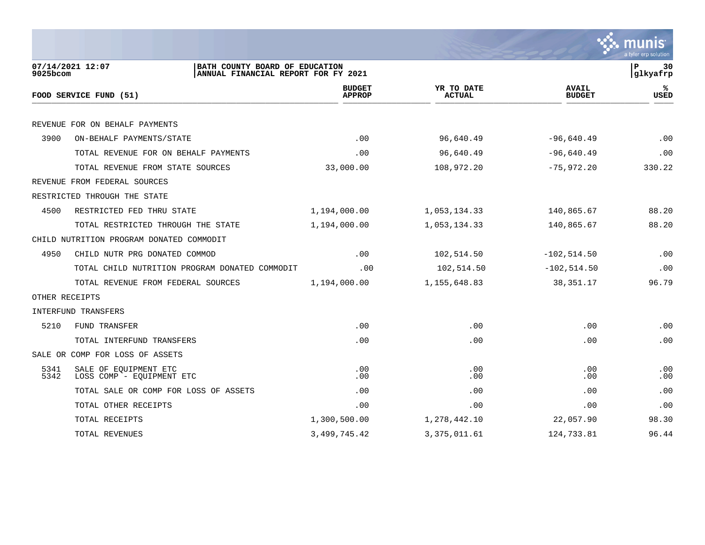

| 07/14/2021 12:07<br>BATH COUNTY BOARD OF EDUCATION<br>ANNUAL FINANCIAL REPORT FOR FY 2021<br>$9025$ bcom |                                                    |                                |                             |                               | 30<br>P<br>glkyafrp |
|----------------------------------------------------------------------------------------------------------|----------------------------------------------------|--------------------------------|-----------------------------|-------------------------------|---------------------|
|                                                                                                          | FOOD SERVICE FUND (51)                             | <b>BUDGET</b><br><b>APPROP</b> | YR TO DATE<br><b>ACTUAL</b> | <b>AVAIL</b><br><b>BUDGET</b> | ℁<br><b>USED</b>    |
|                                                                                                          |                                                    |                                |                             |                               |                     |
|                                                                                                          | REVENUE FOR ON BEHALF PAYMENTS                     |                                |                             |                               |                     |
| 3900                                                                                                     | ON-BEHALF PAYMENTS/STATE                           | .00                            | 96,640.49                   | $-96,640.49$                  | .00                 |
|                                                                                                          | TOTAL REVENUE FOR ON BEHALF PAYMENTS               | .00                            | 96,640.49                   | $-96,640.49$                  | .00                 |
|                                                                                                          | TOTAL REVENUE FROM STATE SOURCES                   | 33,000.00                      | 108,972.20                  | $-75,972.20$                  | 330.22              |
|                                                                                                          | REVENUE FROM FEDERAL SOURCES                       |                                |                             |                               |                     |
|                                                                                                          | RESTRICTED THROUGH THE STATE                       |                                |                             |                               |                     |
| 4500                                                                                                     | RESTRICTED FED THRU STATE                          | 1,194,000.00                   | 1,053,134.33                | 140,865.67                    | 88.20               |
|                                                                                                          | TOTAL RESTRICTED THROUGH THE STATE                 | 1,194,000.00                   | 1,053,134.33                | 140,865.67                    | 88.20               |
|                                                                                                          | CHILD NUTRITION PROGRAM DONATED COMMODIT           |                                |                             |                               |                     |
| 4950                                                                                                     | CHILD NUTR PRG DONATED COMMOD                      | .00                            | 102,514.50                  | $-102, 514.50$                | .00                 |
|                                                                                                          | TOTAL CHILD NUTRITION PROGRAM DONATED COMMODIT     | .00                            | 102,514.50                  | $-102, 514.50$                | .00                 |
|                                                                                                          | TOTAL REVENUE FROM FEDERAL SOURCES                 | 1,194,000.00                   | 1,155,648.83                | 38, 351. 17                   | 96.79               |
|                                                                                                          | OTHER RECEIPTS                                     |                                |                             |                               |                     |
|                                                                                                          | INTERFUND TRANSFERS                                |                                |                             |                               |                     |
| 5210                                                                                                     | FUND TRANSFER                                      | .00                            | .00                         | .00                           | .00                 |
|                                                                                                          | TOTAL INTERFUND TRANSFERS                          | .00                            | .00                         | .00                           | .00                 |
|                                                                                                          | SALE OR COMP FOR LOSS OF ASSETS                    |                                |                             |                               |                     |
| 5341<br>5342                                                                                             | SALE OF EQUIPMENT ETC<br>LOSS COMP - EQUIPMENT ETC | .00<br>.00                     | .00<br>.00                  | .00<br>.00                    | .00<br>.00          |
|                                                                                                          | TOTAL SALE OR COMP FOR LOSS OF ASSETS              | .00                            | .00                         | .00                           | .00                 |
|                                                                                                          | TOTAL OTHER RECEIPTS                               | .00                            | .00                         | .00                           | .00                 |
|                                                                                                          | TOTAL RECEIPTS                                     | 1,300,500.00                   | 1,278,442.10                | 22,057.90                     | 98.30               |
|                                                                                                          | TOTAL REVENUES                                     | 3, 499, 745.42                 | 3, 375, 011.61              | 124,733.81                    | 96.44               |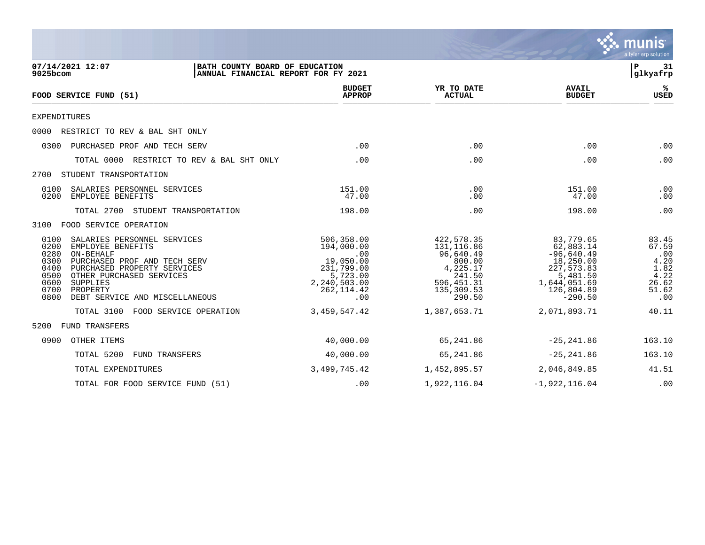

| 07/14/2021 12:07<br>BATH COUNTY BOARD OF EDUCATION<br>9025bcom<br>ANNUAL FINANCIAL REPORT FOR FY 2021                                                                                                                                                                                      |                                                                                                             |                                                                                                                |                                                                                                                          | ΙP<br>31<br>glkyafrp                                                   |
|--------------------------------------------------------------------------------------------------------------------------------------------------------------------------------------------------------------------------------------------------------------------------------------------|-------------------------------------------------------------------------------------------------------------|----------------------------------------------------------------------------------------------------------------|--------------------------------------------------------------------------------------------------------------------------|------------------------------------------------------------------------|
| FOOD SERVICE FUND (51)                                                                                                                                                                                                                                                                     | <b>BUDGET</b><br><b>APPROP</b>                                                                              | YR TO DATE<br><b>ACTUAL</b>                                                                                    | <b>AVAIL</b><br><b>BUDGET</b>                                                                                            | %ะ<br><b>USED</b>                                                      |
| <b>EXPENDITURES</b>                                                                                                                                                                                                                                                                        |                                                                                                             |                                                                                                                |                                                                                                                          |                                                                        |
| 0000<br>RESTRICT TO REV & BAL SHT ONLY                                                                                                                                                                                                                                                     |                                                                                                             |                                                                                                                |                                                                                                                          |                                                                        |
| 0300<br>PURCHASED PROF AND TECH SERV                                                                                                                                                                                                                                                       | .00                                                                                                         | .00                                                                                                            | .00                                                                                                                      | .00                                                                    |
| TOTAL 0000 RESTRICT TO REV & BAL SHT ONLY                                                                                                                                                                                                                                                  | .00                                                                                                         | .00                                                                                                            | .00                                                                                                                      | .00                                                                    |
| STUDENT TRANSPORTATION<br>2700                                                                                                                                                                                                                                                             |                                                                                                             |                                                                                                                |                                                                                                                          |                                                                        |
| 0100<br>SALARIES PERSONNEL SERVICES<br>0200<br>EMPLOYEE BENEFITS                                                                                                                                                                                                                           | 151.00<br>47.00                                                                                             | .00<br>.00                                                                                                     | 151.00<br>47.00                                                                                                          | .00<br>.00                                                             |
| TOTAL 2700<br>STUDENT TRANSPORTATION                                                                                                                                                                                                                                                       | 198.00                                                                                                      | .00                                                                                                            | 198.00                                                                                                                   | .00                                                                    |
| 3100 FOOD SERVICE OPERATION                                                                                                                                                                                                                                                                |                                                                                                             |                                                                                                                |                                                                                                                          |                                                                        |
| 0100<br>SALARIES PERSONNEL SERVICES<br>0200<br>EMPLOYEE BENEFITS<br>0280<br>ON-BEHALF<br>0300<br>PURCHASED PROF AND TECH SERV<br>0400<br>PURCHASED PROPERTY SERVICES<br>0500<br>OTHER PURCHASED SERVICES<br>0600<br>SUPPLIES<br>0700<br>PROPERTY<br>0800<br>DEBT SERVICE AND MISCELLANEOUS | 506,358.00<br>194,000.00<br>.00<br>19,050.00<br>231,799.00<br>5,723.00<br>2,240,503.00<br>262,114.42<br>.00 | 422, 578.35<br>131, 116.86<br>96,640.49<br>800.00<br>4,225.17<br>241.50<br>596, 451.31<br>135,309.53<br>290.50 | 83,779.65<br>62,883.14<br>$-96,640.49$<br>18,250.00<br>227,573.83<br>5,481.50<br>1,644,051.69<br>126,804.89<br>$-290.50$ | 83.45<br>67.59<br>.00<br>4.20<br>1.82<br>4.22<br>26.62<br>51.62<br>.00 |
| TOTAL 3100<br>FOOD SERVICE OPERATION                                                                                                                                                                                                                                                       | 3, 459, 547.42                                                                                              | 1,387,653.71                                                                                                   | 2,071,893.71                                                                                                             | 40.11                                                                  |
| FUND TRANSFERS<br>5200                                                                                                                                                                                                                                                                     |                                                                                                             |                                                                                                                |                                                                                                                          |                                                                        |
| OTHER ITEMS<br>0900                                                                                                                                                                                                                                                                        | 40,000.00                                                                                                   | 65,241.86                                                                                                      | $-25, 241.86$                                                                                                            | 163.10                                                                 |
| TOTAL 5200<br>FUND TRANSFERS                                                                                                                                                                                                                                                               | 40,000.00                                                                                                   | 65,241.86                                                                                                      | $-25, 241.86$                                                                                                            | 163.10                                                                 |
| TOTAL EXPENDITURES                                                                                                                                                                                                                                                                         | 3,499,745.42                                                                                                | 1,452,895.57                                                                                                   | 2,046,849.85                                                                                                             | 41.51                                                                  |
| TOTAL FOR FOOD SERVICE FUND (51)                                                                                                                                                                                                                                                           | .00                                                                                                         | 1,922,116.04                                                                                                   | $-1,922,116.04$                                                                                                          | .00                                                                    |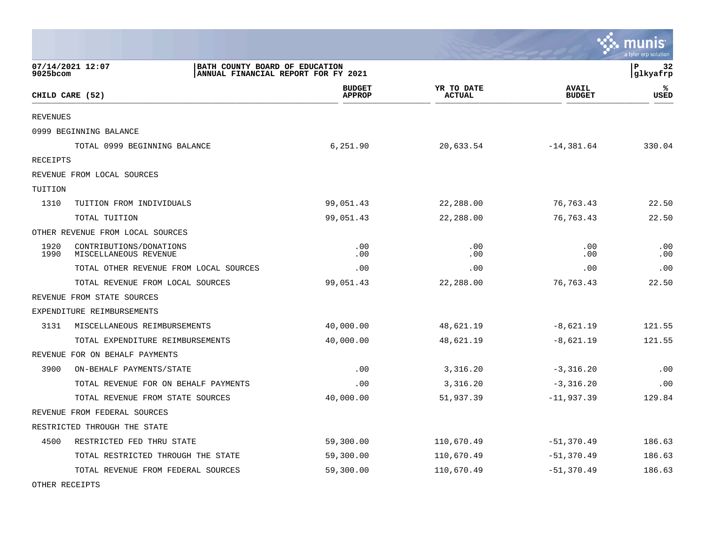|                 |                                                                                           |                                |                             |                               | munis<br>a tyler erp solution |
|-----------------|-------------------------------------------------------------------------------------------|--------------------------------|-----------------------------|-------------------------------|-------------------------------|
| 9025bcom        | 07/14/2021 12:07<br>BATH COUNTY BOARD OF EDUCATION<br>ANNUAL FINANCIAL REPORT FOR FY 2021 |                                |                             |                               | l P<br>32<br> glkyafrp        |
|                 | CHILD CARE (52)                                                                           | <b>BUDGET</b><br><b>APPROP</b> | YR TO DATE<br><b>ACTUAL</b> | <b>AVAIL</b><br><b>BUDGET</b> | ℁<br><b>USED</b>              |
| <b>REVENUES</b> |                                                                                           |                                |                             |                               |                               |
|                 | 0999 BEGINNING BALANCE                                                                    |                                |                             |                               |                               |
|                 | TOTAL 0999 BEGINNING BALANCE                                                              | 6,251.90                       | 20,633.54                   | $-14,381.64$                  | 330.04                        |
| RECEIPTS        |                                                                                           |                                |                             |                               |                               |
|                 | REVENUE FROM LOCAL SOURCES                                                                |                                |                             |                               |                               |
| TUITION         |                                                                                           |                                |                             |                               |                               |
| 1310            | TUITION FROM INDIVIDUALS                                                                  | 99,051.43                      | 22,288.00                   | 76,763.43                     | 22.50                         |
|                 | TOTAL TUITION                                                                             | 99,051.43                      | 22,288.00                   | 76, 763. 43                   | 22.50                         |
|                 | OTHER REVENUE FROM LOCAL SOURCES                                                          |                                |                             |                               |                               |
| 1920<br>1990    | CONTRIBUTIONS/DONATIONS<br>MISCELLANEOUS REVENUE                                          | .00<br>.00                     | .00<br>.00                  | .00<br>.00                    | .00<br>.00                    |
|                 | TOTAL OTHER REVENUE FROM LOCAL SOURCES                                                    | .00                            | .00                         | .00                           | .00                           |
|                 | TOTAL REVENUE FROM LOCAL SOURCES                                                          | 99,051.43                      | 22,288.00                   | 76, 763.43                    | 22.50                         |
|                 | REVENUE FROM STATE SOURCES                                                                |                                |                             |                               |                               |
|                 | EXPENDITURE REIMBURSEMENTS                                                                |                                |                             |                               |                               |
| 3131            | MISCELLANEOUS REIMBURSEMENTS                                                              | 40,000.00                      | 48,621.19                   | $-8,621.19$                   | 121.55                        |
|                 | TOTAL EXPENDITURE REIMBURSEMENTS                                                          | 40,000.00                      | 48,621.19                   | $-8,621.19$                   | 121.55                        |
|                 | REVENUE FOR ON BEHALF PAYMENTS                                                            |                                |                             |                               |                               |
| 3900            | ON-BEHALF PAYMENTS/STATE                                                                  | .00                            | 3,316.20                    | $-3,316.20$                   | .00                           |
|                 | TOTAL REVENUE FOR ON BEHALF PAYMENTS                                                      | .00                            | 3,316.20                    | $-3,316.20$                   | .00                           |
|                 | TOTAL REVENUE FROM STATE SOURCES                                                          | 40,000.00                      | 51,937.39                   | $-11,937.39$                  | 129.84                        |
|                 | REVENUE FROM FEDERAL SOURCES                                                              |                                |                             |                               |                               |
|                 | RESTRICTED THROUGH THE STATE                                                              |                                |                             |                               |                               |
| 4500            | RESTRICTED FED THRU STATE                                                                 | 59,300.00                      | 110,670.49                  | $-51,370.49$                  | 186.63                        |
|                 | TOTAL RESTRICTED THROUGH THE STATE                                                        | 59,300.00                      | 110,670.49                  | $-51,370.49$                  | 186.63                        |
|                 | TOTAL REVENUE FROM FEDERAL SOURCES                                                        | 59,300.00                      | 110,670.49                  | $-51,370.49$                  | 186.63                        |
|                 |                                                                                           |                                |                             |                               |                               |

 $\mathcal{L}$ 

OTHER RECEIPTS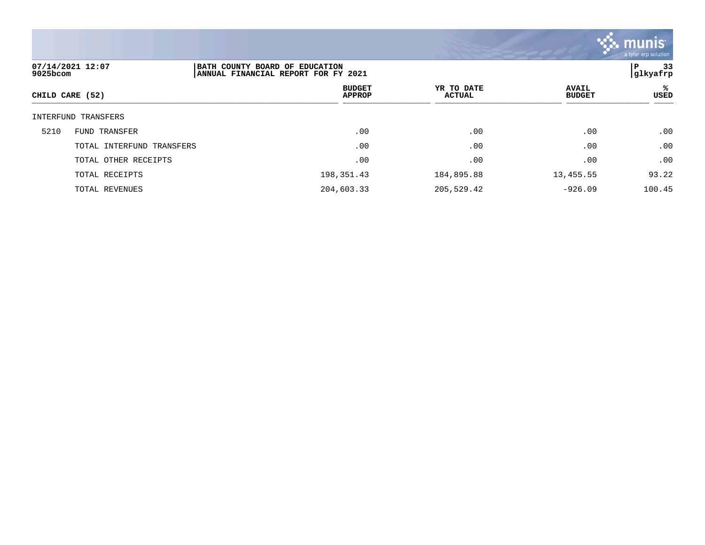

| 9025bcom        | 07/14/2021 12:07<br>BATH COUNTY BOARD OF EDUCATION<br> ANNUAL FINANCIAL REPORT FOR FY 2021 |                                |                             | -33<br>P<br> glkyafrp         |            |
|-----------------|--------------------------------------------------------------------------------------------|--------------------------------|-----------------------------|-------------------------------|------------|
| CHILD CARE (52) |                                                                                            | <b>BUDGET</b><br><b>APPROP</b> | YR TO DATE<br><b>ACTUAL</b> | <b>AVAIL</b><br><b>BUDGET</b> | %ะ<br>USED |
|                 | INTERFUND TRANSFERS                                                                        |                                |                             |                               |            |
| 5210            | FUND TRANSFER                                                                              | .00                            | .00                         | .00                           | .00        |
|                 | TOTAL INTERFUND TRANSFERS                                                                  | .00                            | .00                         | .00                           | .00        |
|                 | TOTAL OTHER RECEIPTS                                                                       | .00                            | .00                         | .00                           | .00        |
|                 | TOTAL RECEIPTS                                                                             | 198,351.43                     | 184,895.88                  | 13,455.55                     | 93.22      |
|                 | TOTAL REVENUES                                                                             | 204,603.33                     | 205,529.42                  | $-926.09$                     | 100.45     |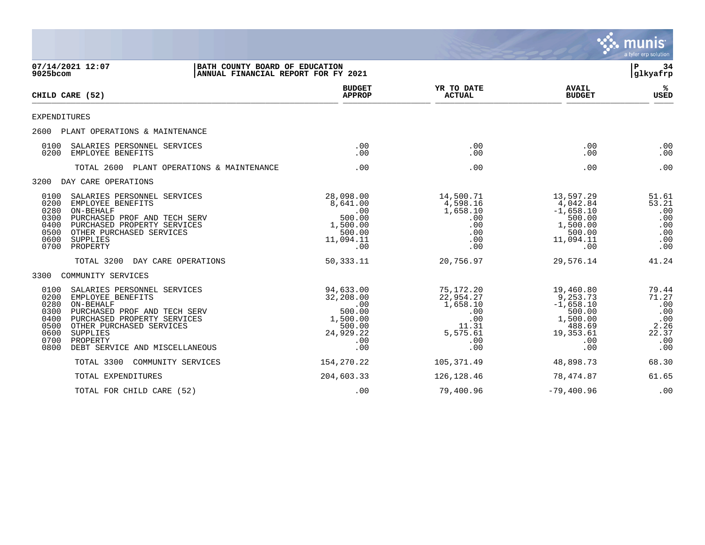|                                                                      |                                                                                                                                                                                                                    |                                                                                          |                                                                                          |                                                                                                  | munis<br>a tyler erp solution                                      |
|----------------------------------------------------------------------|--------------------------------------------------------------------------------------------------------------------------------------------------------------------------------------------------------------------|------------------------------------------------------------------------------------------|------------------------------------------------------------------------------------------|--------------------------------------------------------------------------------------------------|--------------------------------------------------------------------|
| 9025bcom                                                             | 07/14/2021 12:07<br> BATH COUNTY BOARD OF EDUCATION<br>ANNUAL FINANCIAL REPORT FOR FY 2021                                                                                                                         |                                                                                          |                                                                                          |                                                                                                  | l P<br>34<br>glkyafrp                                              |
|                                                                      | CHILD CARE (52)                                                                                                                                                                                                    | <b>BUDGET</b><br><b>APPROP</b>                                                           | YR TO DATE<br><b>ACTUAL</b>                                                              | <b>AVAIL</b><br><b>BUDGET</b>                                                                    | ℁<br><b>USED</b>                                                   |
| EXPENDITURES                                                         |                                                                                                                                                                                                                    |                                                                                          |                                                                                          |                                                                                                  |                                                                    |
|                                                                      | 2600 PLANT OPERATIONS & MAINTENANCE                                                                                                                                                                                |                                                                                          |                                                                                          |                                                                                                  |                                                                    |
| 0100<br>0200                                                         | SALARIES PERSONNEL SERVICES<br>EMPLOYEE BENEFITS                                                                                                                                                                   | .00<br>.00.                                                                              | .00<br>.00                                                                               | .00<br>.00                                                                                       | .00<br>.00                                                         |
|                                                                      | TOTAL 2600 PLANT OPERATIONS & MAINTENANCE                                                                                                                                                                          | .00                                                                                      | .00                                                                                      | .00                                                                                              | .00                                                                |
|                                                                      | 3200 DAY CARE OPERATIONS                                                                                                                                                                                           |                                                                                          |                                                                                          |                                                                                                  |                                                                    |
| 0100<br>0200<br>0280<br>0300<br>0400<br>0500<br>0600<br>0700         | SALARIES PERSONNEL SERVICES<br>EMPLOYEE BENEFITS<br>ON-BEHALF<br>PURCHASED PROF AND TECH SERV<br>PURCHASED PROPERTY SERVICES<br>OTHER PURCHASED SERVICES<br>SUPPLIES<br>PROPERTY                                   | 28,098.00<br>8,641.00<br>.00<br>500.00<br>1,500.00<br>500.00<br>11,094.11<br>.00         | 14,500.71<br>4,598.16<br>1,658.10<br>.00<br>.00<br>.00<br>.00<br>.00                     | 13,597.29<br>4,042.84<br>$-1,658.10$<br>500.00<br>1,500.00<br>500.00<br>11,094.11<br>.00         | 51.61<br>53.21<br>.00<br>.00<br>.00<br>.00<br>.00<br>.00           |
|                                                                      | TOTAL 3200<br>DAY CARE OPERATIONS                                                                                                                                                                                  | 50, 333.11                                                                               | 20,756.97                                                                                | 29,576.14                                                                                        | 41.24                                                              |
| 3300                                                                 | COMMUNITY SERVICES                                                                                                                                                                                                 |                                                                                          |                                                                                          |                                                                                                  |                                                                    |
| 0100<br>0200<br>0280<br>0300<br>0400<br>0500<br>0600<br>0700<br>0800 | SALARIES PERSONNEL SERVICES<br>EMPLOYEE BENEFITS<br>ON-BEHALF<br>PURCHASED PROF AND TECH SERV<br>PURCHASED PROPERTY SERVICES<br>OTHER PURCHASED SERVICES<br>SUPPLIES<br>PROPERTY<br>DEBT SERVICE AND MISCELLANEOUS | 94,633.00<br>32,208.00<br>.00<br>500.00<br>1,500.00<br>500.00<br>24,929.22<br>.00<br>.00 | 75,172.20<br>22,954.27<br>1,658.10<br>.00<br>.00<br>11.31<br>5,575.61<br>$.00 \,$<br>.00 | 19,460.80<br>9,253.73<br>$-1,658.10$<br>500.00<br>1,500.00<br>488.69<br>19,353.61<br>.00.<br>.00 | 79.44<br>71.27<br>.00<br>.00<br>.00<br>2.26<br>22.37<br>.00<br>.00 |
|                                                                      | TOTAL 3300<br>COMMUNITY SERVICES                                                                                                                                                                                   | 154, 270. 22                                                                             | 105, 371.49                                                                              | 48,898.73                                                                                        | 68.30                                                              |
|                                                                      | TOTAL EXPENDITURES                                                                                                                                                                                                 | 204,603.33                                                                               | 126, 128.46                                                                              | 78,474.87                                                                                        | 61.65                                                              |
|                                                                      | TOTAL FOR CHILD CARE (52)                                                                                                                                                                                          | .00                                                                                      | 79,400.96                                                                                | $-79,400.96$                                                                                     | .00                                                                |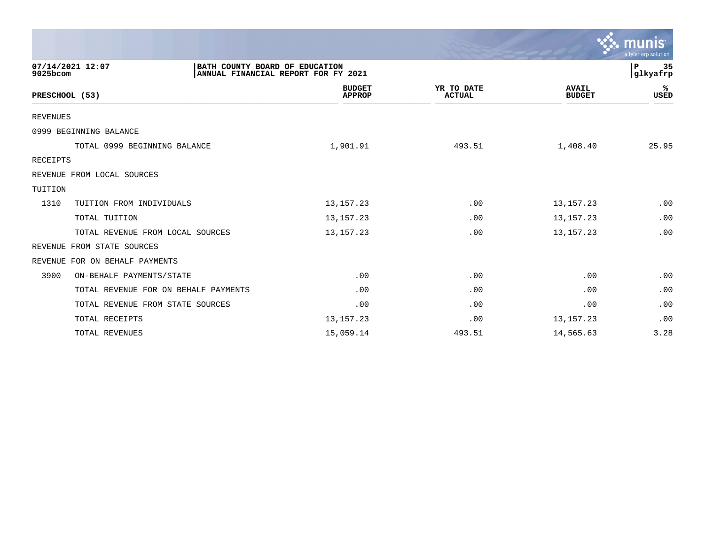|                                                                                                       |                                |                             |                               | <u>'እ. munis</u><br>a tyler erp solution |
|-------------------------------------------------------------------------------------------------------|--------------------------------|-----------------------------|-------------------------------|------------------------------------------|
| 07/14/2021 12:07<br>BATH COUNTY BOARD OF EDUCATION<br>ANNUAL FINANCIAL REPORT FOR FY 2021<br>9025bcom |                                |                             |                               |                                          |
| PRESCHOOL (53)                                                                                        | <b>BUDGET</b><br><b>APPROP</b> | YR TO DATE<br><b>ACTUAL</b> | <b>AVAIL</b><br><b>BUDGET</b> | ℁<br>USED                                |
| <b>REVENUES</b>                                                                                       |                                |                             |                               |                                          |
| 0999 BEGINNING BALANCE                                                                                |                                |                             |                               |                                          |
| TOTAL 0999 BEGINNING BALANCE                                                                          | 1,901.91                       | 493.51                      | 1,408.40                      | 25.95                                    |
| <b>RECEIPTS</b>                                                                                       |                                |                             |                               |                                          |
| REVENUE FROM LOCAL SOURCES                                                                            |                                |                             |                               |                                          |
| TUITION                                                                                               |                                |                             |                               |                                          |
| 1310<br>TUITION FROM INDIVIDUALS                                                                      | 13, 157. 23                    | .00                         | 13, 157. 23                   | .00                                      |
| TOTAL TUITION                                                                                         | 13, 157. 23                    | .00                         | 13, 157. 23                   | .00                                      |
| TOTAL REVENUE FROM LOCAL SOURCES                                                                      | 13, 157. 23                    | .00                         | 13, 157. 23                   | .00                                      |
| REVENUE FROM STATE SOURCES                                                                            |                                |                             |                               |                                          |
| REVENUE FOR ON BEHALF PAYMENTS                                                                        |                                |                             |                               |                                          |
| 3900<br>ON-BEHALF PAYMENTS/STATE                                                                      | .00                            | .00                         | .00                           | .00                                      |
| TOTAL REVENUE FOR ON BEHALF PAYMENTS                                                                  | .00                            | .00                         | .00                           | .00                                      |
| TOTAL REVENUE FROM STATE SOURCES                                                                      | .00                            | .00                         | .00                           | .00                                      |
| TOTAL RECEIPTS                                                                                        | 13, 157. 23                    | .00                         | 13, 157. 23                   | .00                                      |
| TOTAL REVENUES                                                                                        | 15,059.14                      | 493.51                      | 14,565.63                     | 3.28                                     |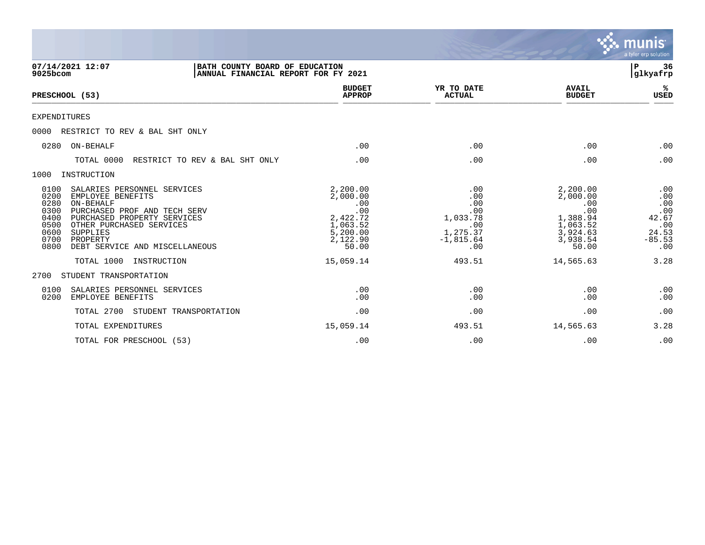|                                                                                                                                                                                                                                                                                            |                                                                                             |                                                                               |                                                                                             | munis<br>a tyler erp solution                                        |
|--------------------------------------------------------------------------------------------------------------------------------------------------------------------------------------------------------------------------------------------------------------------------------------------|---------------------------------------------------------------------------------------------|-------------------------------------------------------------------------------|---------------------------------------------------------------------------------------------|----------------------------------------------------------------------|
| 07/14/2021 12:07<br>BATH COUNTY BOARD OF EDUCATION<br>9025bcom<br>ANNUAL FINANCIAL REPORT FOR FY 2021                                                                                                                                                                                      |                                                                                             |                                                                               |                                                                                             | 36<br>P<br>glkyafrp                                                  |
| PRESCHOOL (53)                                                                                                                                                                                                                                                                             | <b>BUDGET</b><br><b>APPROP</b>                                                              | YR TO DATE<br><b>ACTUAL</b>                                                   | <b>AVAIL</b><br><b>BUDGET</b>                                                               | ℁<br><b>USED</b>                                                     |
| <b>EXPENDITURES</b>                                                                                                                                                                                                                                                                        |                                                                                             |                                                                               |                                                                                             |                                                                      |
| 0000<br>RESTRICT TO REV & BAL SHT ONLY                                                                                                                                                                                                                                                     |                                                                                             |                                                                               |                                                                                             |                                                                      |
| ON-BEHALF<br>0280                                                                                                                                                                                                                                                                          | .00                                                                                         | .00                                                                           | .00                                                                                         | .00                                                                  |
| RESTRICT TO REV & BAL SHT ONLY<br>TOTAL 0000                                                                                                                                                                                                                                               | .00                                                                                         | .00                                                                           | .00                                                                                         | .00                                                                  |
| 1000<br>INSTRUCTION                                                                                                                                                                                                                                                                        |                                                                                             |                                                                               |                                                                                             |                                                                      |
| 0100<br>SALARIES PERSONNEL SERVICES<br>0200<br>EMPLOYEE BENEFITS<br>0280<br>ON-BEHALF<br>0300<br>PURCHASED PROF AND TECH SERV<br>0400<br>PURCHASED PROPERTY SERVICES<br>OTHER PURCHASED SERVICES<br>0500<br>0600<br>SUPPLIES<br>0700<br>PROPERTY<br>0800<br>DEBT SERVICE AND MISCELLANEOUS | 2,200.00<br>2,000.00<br>.00<br>.00<br>2,422.72<br>1,063.52<br>5,200.00<br>2,122.90<br>50.00 | .00<br>.00<br>.00<br>.00<br>1,033.78<br>.00<br>1,275.37<br>$-1,815.64$<br>.00 | 2,200.00<br>2,000.00<br>.00<br>.00<br>1,388.94<br>1,063.52<br>3,924.63<br>3,938.54<br>50.00 | .00<br>.00<br>.00<br>.00<br>42.67<br>.00<br>24.53<br>$-85.53$<br>.00 |
| TOTAL 1000<br>INSTRUCTION                                                                                                                                                                                                                                                                  | 15,059.14                                                                                   | 493.51                                                                        | 14,565.63                                                                                   | 3.28                                                                 |
| STUDENT TRANSPORTATION<br>2700                                                                                                                                                                                                                                                             |                                                                                             |                                                                               |                                                                                             |                                                                      |
| 0100<br>SALARIES PERSONNEL SERVICES<br>0200<br>EMPLOYEE BENEFITS                                                                                                                                                                                                                           | .00<br>.00                                                                                  | .00<br>.00                                                                    | .00<br>.00                                                                                  | .00<br>.00                                                           |
| TOTAL 2700<br>STUDENT TRANSPORTATION                                                                                                                                                                                                                                                       | .00                                                                                         | .00                                                                           | .00                                                                                         | .00                                                                  |
| TOTAL EXPENDITURES                                                                                                                                                                                                                                                                         | 15,059.14                                                                                   | 493.51                                                                        | 14,565.63                                                                                   | 3.28                                                                 |
| TOTAL FOR PRESCHOOL (53)                                                                                                                                                                                                                                                                   | .00                                                                                         | .00                                                                           | .00                                                                                         | .00                                                                  |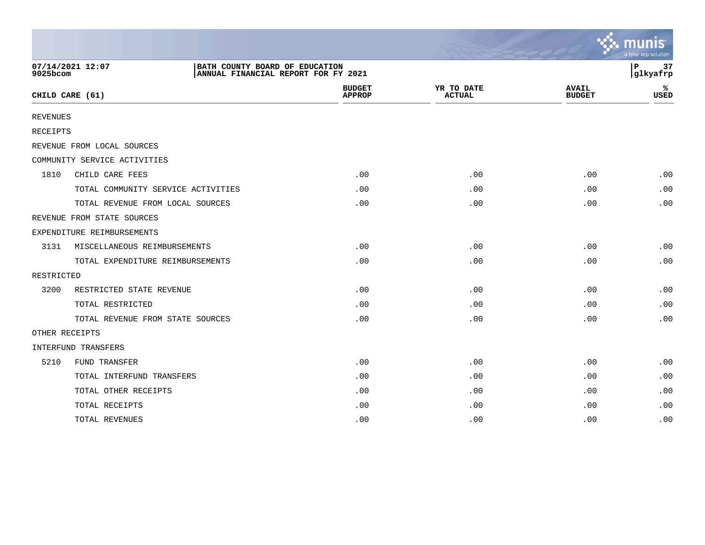|                 |                                                                                           |                                |                             |                               | $\sim$ munis<br>a tyler erp solution |
|-----------------|-------------------------------------------------------------------------------------------|--------------------------------|-----------------------------|-------------------------------|--------------------------------------|
| 9025bcom        | 07/14/2021 12:07<br>BATH COUNTY BOARD OF EDUCATION<br>ANNUAL FINANCIAL REPORT FOR FY 2021 |                                |                             |                               | 37<br>P<br>glkyafrp                  |
|                 | CHILD CARE (61)                                                                           | <b>BUDGET</b><br><b>APPROP</b> | YR TO DATE<br><b>ACTUAL</b> | <b>AVAIL</b><br><b>BUDGET</b> | ℁<br><b>USED</b>                     |
| <b>REVENUES</b> |                                                                                           |                                |                             |                               |                                      |
| <b>RECEIPTS</b> |                                                                                           |                                |                             |                               |                                      |
|                 | REVENUE FROM LOCAL SOURCES                                                                |                                |                             |                               |                                      |
|                 | COMMUNITY SERVICE ACTIVITIES                                                              |                                |                             |                               |                                      |
| 1810            | CHILD CARE FEES                                                                           | .00                            | .00                         | .00                           | .00                                  |
|                 | TOTAL COMMUNITY SERVICE ACTIVITIES                                                        | .00                            | .00                         | .00                           | .00                                  |
|                 | TOTAL REVENUE FROM LOCAL SOURCES                                                          | .00                            | .00                         | .00                           | .00                                  |
|                 | REVENUE FROM STATE SOURCES                                                                |                                |                             |                               |                                      |
|                 | EXPENDITURE REIMBURSEMENTS                                                                |                                |                             |                               |                                      |
| 3131            | MISCELLANEOUS REIMBURSEMENTS                                                              | .00                            | .00                         | .00                           | .00                                  |
|                 | TOTAL EXPENDITURE REIMBURSEMENTS                                                          | .00                            | .00                         | .00                           | .00                                  |
| RESTRICTED      |                                                                                           |                                |                             |                               |                                      |
| 3200            | RESTRICTED STATE REVENUE                                                                  | .00                            | .00                         | .00                           | .00                                  |
|                 | TOTAL RESTRICTED                                                                          | .00                            | .00                         | .00                           | .00                                  |
|                 | TOTAL REVENUE FROM STATE SOURCES                                                          | .00                            | .00                         | .00                           | .00                                  |
|                 | OTHER RECEIPTS                                                                            |                                |                             |                               |                                      |
|                 | INTERFUND TRANSFERS                                                                       |                                |                             |                               |                                      |
| 5210            | FUND TRANSFER                                                                             | .00                            | .00                         | .00                           | .00                                  |
|                 | TOTAL INTERFUND TRANSFERS                                                                 | .00                            | .00                         | .00                           | .00                                  |
|                 | TOTAL OTHER RECEIPTS                                                                      | .00                            | .00                         | .00                           | .00                                  |
|                 | TOTAL RECEIPTS                                                                            | .00                            | .00                         | .00                           | .00                                  |
|                 | TOTAL REVENUES                                                                            | .00                            | .00                         | .00                           | .00                                  |

 $\sim$   $\sim$   $\sim$   $\sim$   $\sim$   $\sim$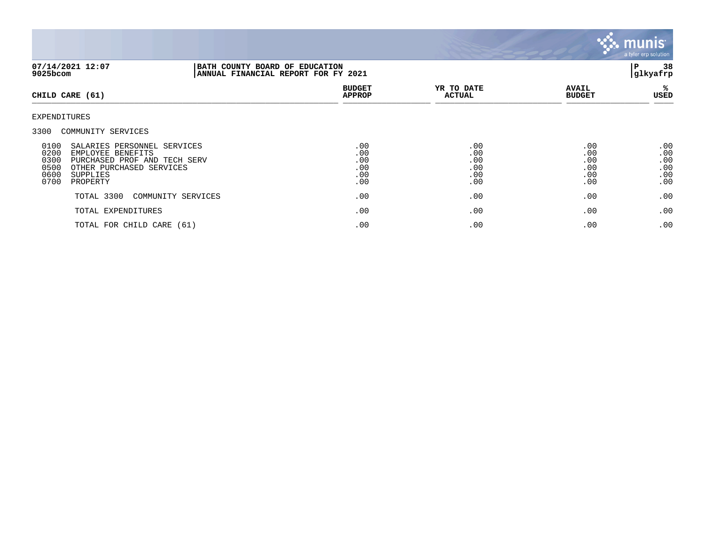

| 07/14/2021 12:07<br>9025bcom                                                                                                                                                                                    |                    | BATH COUNTY BOARD OF EDUCATION<br>ANNUAL FINANCIAL REPORT FOR FY 2021 |                                        |                                        |                                        |
|-----------------------------------------------------------------------------------------------------------------------------------------------------------------------------------------------------------------|--------------------|-----------------------------------------------------------------------|----------------------------------------|----------------------------------------|----------------------------------------|
| CHILD CARE (61)                                                                                                                                                                                                 |                    | <b>BUDGET</b><br><b>APPROP</b>                                        | YR TO DATE<br><b>ACTUAL</b>            | <b>AVAIL</b><br><b>BUDGET</b>          | %ะ<br>USED                             |
| EXPENDITURES                                                                                                                                                                                                    |                    |                                                                       |                                        |                                        |                                        |
| 3300 COMMUNITY SERVICES<br>0100<br>SALARIES PERSONNEL SERVICES<br>0200<br>EMPLOYEE BENEFITS<br>0300<br>PURCHASED PROF AND TECH SERV<br>0500<br>OTHER PURCHASED SERVICES<br>0600<br>SUPPLIES<br>0700<br>PROPERTY |                    | .00<br>.00<br>.00<br>.00<br>.00<br>.00                                | .00<br>.00<br>.00<br>.00<br>.00<br>.00 | .00<br>.00<br>.00<br>.00<br>.00<br>.00 | .00<br>.00<br>.00<br>.00<br>.00<br>.00 |
| TOTAL 3300                                                                                                                                                                                                      | COMMUNITY SERVICES | .00                                                                   | .00                                    | .00                                    | .00                                    |
| TOTAL EXPENDITURES                                                                                                                                                                                              |                    | .00                                                                   | .00                                    | .00                                    | .00                                    |
| TOTAL FOR CHILD CARE (61)                                                                                                                                                                                       |                    | .00                                                                   | .00                                    | .00                                    | .00                                    |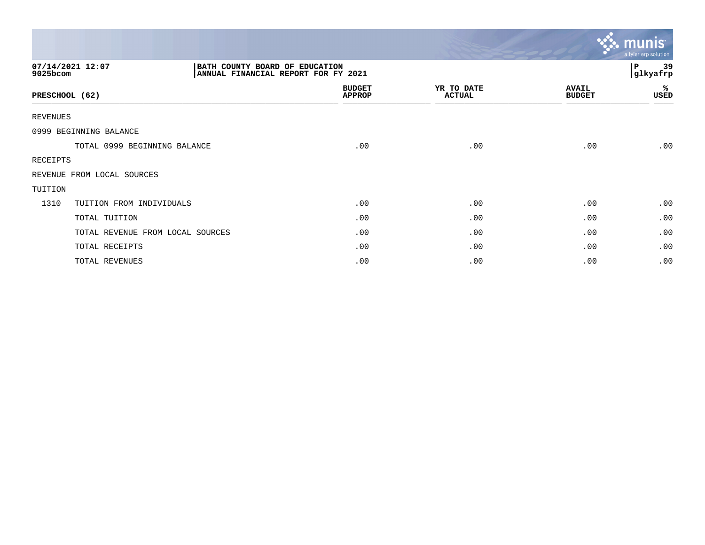|                |                                                                                           |                                |                             |                               | munis<br>a tyler erp solution |
|----------------|-------------------------------------------------------------------------------------------|--------------------------------|-----------------------------|-------------------------------|-------------------------------|
| 9025bcom       | 07/14/2021 12:07<br>BATH COUNTY BOARD OF EDUCATION<br>ANNUAL FINANCIAL REPORT FOR FY 2021 |                                |                             |                               | 39<br>P<br>glkyafrp           |
| PRESCHOOL (62) |                                                                                           | <b>BUDGET</b><br><b>APPROP</b> | YR TO DATE<br><b>ACTUAL</b> | <b>AVAIL</b><br><b>BUDGET</b> | %<br>USED                     |
| REVENUES       |                                                                                           |                                |                             |                               |                               |
|                | 0999 BEGINNING BALANCE                                                                    |                                |                             |                               |                               |
|                | TOTAL 0999 BEGINNING BALANCE                                                              | .00                            | .00                         | .00                           | .00                           |
| RECEIPTS       |                                                                                           |                                |                             |                               |                               |
|                | REVENUE FROM LOCAL SOURCES                                                                |                                |                             |                               |                               |
| TUITION        |                                                                                           |                                |                             |                               |                               |
| 1310           | TUITION FROM INDIVIDUALS                                                                  | .00                            | .00                         | .00                           | .00                           |
|                | TOTAL TUITION                                                                             | .00                            | .00                         | .00                           | .00                           |
|                | TOTAL REVENUE FROM LOCAL SOURCES                                                          | .00                            | .00                         | .00                           | .00                           |
|                | TOTAL RECEIPTS                                                                            | .00                            | .00                         | .00                           | .00                           |
|                | TOTAL REVENUES                                                                            | .00                            | .00                         | .00                           | .00                           |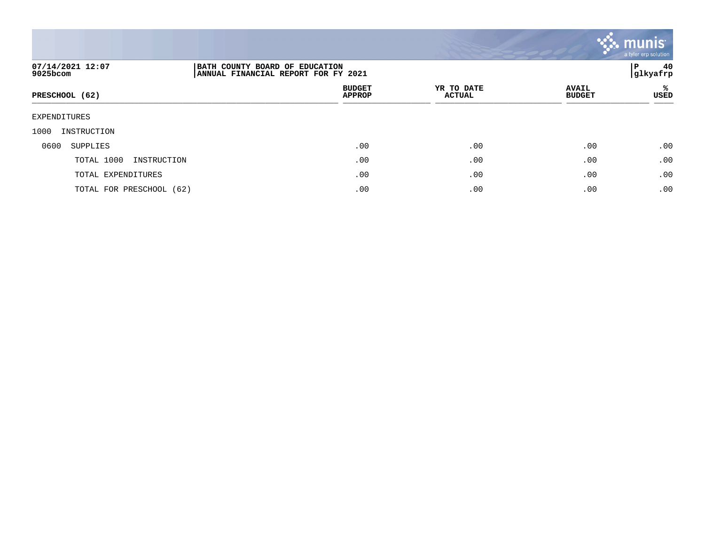

| 07/14/2021 12:07<br>9025bcom | BATH COUNTY BOARD OF EDUCATION<br>ANNUAL FINANCIAL REPORT FOR FY 2021 |                             |                               | 40<br>P<br> glkyafrp |
|------------------------------|-----------------------------------------------------------------------|-----------------------------|-------------------------------|----------------------|
| PRESCHOOL (62)               | <b>BUDGET</b><br><b>APPROP</b>                                        | YR TO DATE<br><b>ACTUAL</b> | <b>AVAIL</b><br><b>BUDGET</b> | %ะ<br>USED           |
| EXPENDITURES                 |                                                                       |                             |                               |                      |
| 1000<br>INSTRUCTION          |                                                                       |                             |                               |                      |
| 0600<br>SUPPLIES             | .00                                                                   | .00                         | .00                           | .00                  |
| TOTAL 1000<br>INSTRUCTION    | .00                                                                   | .00                         | .00                           | .00                  |
| TOTAL EXPENDITURES           | .00                                                                   | .00                         | .00                           | .00                  |
| TOTAL FOR PRESCHOOL (62)     | .00                                                                   | .00                         | .00                           | .00                  |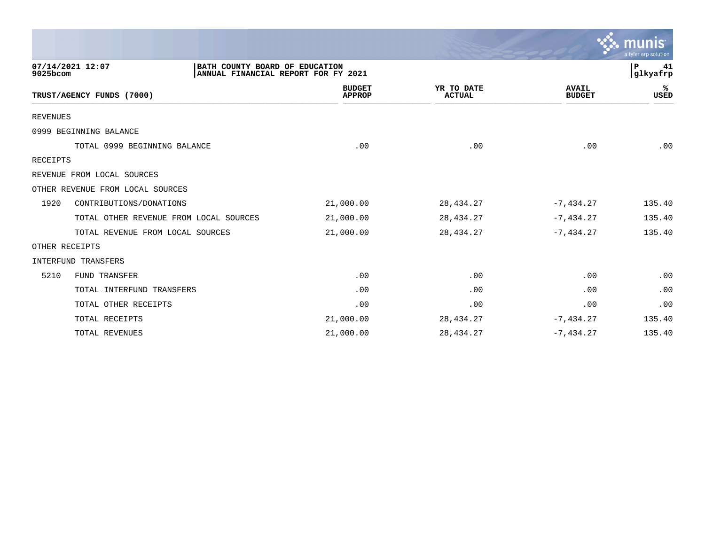|                 |                                                                                           |                                |                             |                               | munis<br>a tyler erp solution |
|-----------------|-------------------------------------------------------------------------------------------|--------------------------------|-----------------------------|-------------------------------|-------------------------------|
| 9025bcom        | 07/14/2021 12:07<br>BATH COUNTY BOARD OF EDUCATION<br>ANNUAL FINANCIAL REPORT FOR FY 2021 |                                |                             |                               | P<br>41<br>glkyafrp           |
|                 | TRUST/AGENCY FUNDS (7000)                                                                 | <b>BUDGET</b><br><b>APPROP</b> | YR TO DATE<br><b>ACTUAL</b> | <b>AVAIL</b><br><b>BUDGET</b> | %ะ<br><b>USED</b>             |
| <b>REVENUES</b> |                                                                                           |                                |                             |                               |                               |
|                 | 0999 BEGINNING BALANCE                                                                    |                                |                             |                               |                               |
|                 | TOTAL 0999 BEGINNING BALANCE                                                              | .00                            | .00                         | .00                           | .00                           |
| <b>RECEIPTS</b> |                                                                                           |                                |                             |                               |                               |
|                 | REVENUE FROM LOCAL SOURCES                                                                |                                |                             |                               |                               |
|                 | OTHER REVENUE FROM LOCAL SOURCES                                                          |                                |                             |                               |                               |
| 1920            | CONTRIBUTIONS/DONATIONS                                                                   | 21,000.00                      | 28, 434. 27                 | $-7,434.27$                   | 135.40                        |
|                 | TOTAL OTHER REVENUE FROM LOCAL SOURCES                                                    | 21,000.00                      | 28, 434. 27                 | $-7, 434.27$                  | 135.40                        |
|                 | TOTAL REVENUE FROM LOCAL SOURCES                                                          | 21,000.00                      | 28, 434. 27                 | $-7,434.27$                   | 135.40                        |
|                 | OTHER RECEIPTS                                                                            |                                |                             |                               |                               |
|                 | <b>INTERFUND TRANSFERS</b>                                                                |                                |                             |                               |                               |
| 5210            | FUND TRANSFER                                                                             | .00                            | .00                         | .00                           | .00                           |
|                 | TOTAL INTERFUND TRANSFERS                                                                 | .00                            | .00                         | .00                           | .00                           |
|                 | TOTAL OTHER RECEIPTS                                                                      | .00                            | .00                         | .00                           | .00                           |
|                 | TOTAL RECEIPTS                                                                            | 21,000.00                      | 28, 434. 27                 | $-7, 434.27$                  | 135.40                        |
|                 | TOTAL REVENUES                                                                            | 21,000.00                      | 28, 434. 27                 | $-7,434.27$                   | 135.40                        |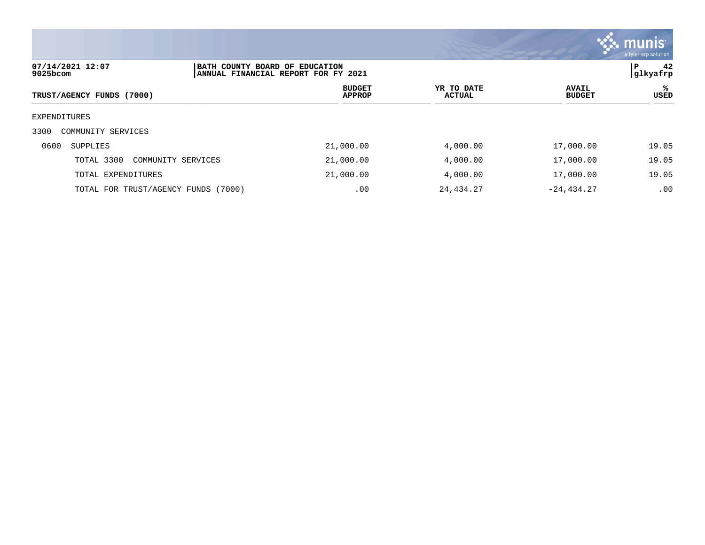

| 07/14/2021 12:07<br>9025bcom        | BATH COUNTY BOARD OF EDUCATION<br>ANNUAL FINANCIAL REPORT FOR FY 2021 |                             |                               |           |
|-------------------------------------|-----------------------------------------------------------------------|-----------------------------|-------------------------------|-----------|
| TRUST/AGENCY FUNDS (7000)           | <b>BUDGET</b><br><b>APPROP</b>                                        | YR TO DATE<br><b>ACTUAL</b> | <b>AVAIL</b><br><b>BUDGET</b> | ℁<br>USED |
| EXPENDITURES                        |                                                                       |                             |                               |           |
| 3300<br>COMMUNITY SERVICES          |                                                                       |                             |                               |           |
| 0600<br>SUPPLIES                    | 21,000.00                                                             | 4,000.00                    | 17,000.00                     | 19.05     |
| TOTAL 3300<br>COMMUNITY SERVICES    | 21,000.00                                                             | 4,000.00                    | 17,000.00                     | 19.05     |
| TOTAL EXPENDITURES                  | 21,000.00                                                             | 4,000.00                    | 17,000.00                     | 19.05     |
| TOTAL FOR TRUST/AGENCY FUNDS (7000) | .00                                                                   | 24,434.27                   | $-24, 434.27$                 | .00       |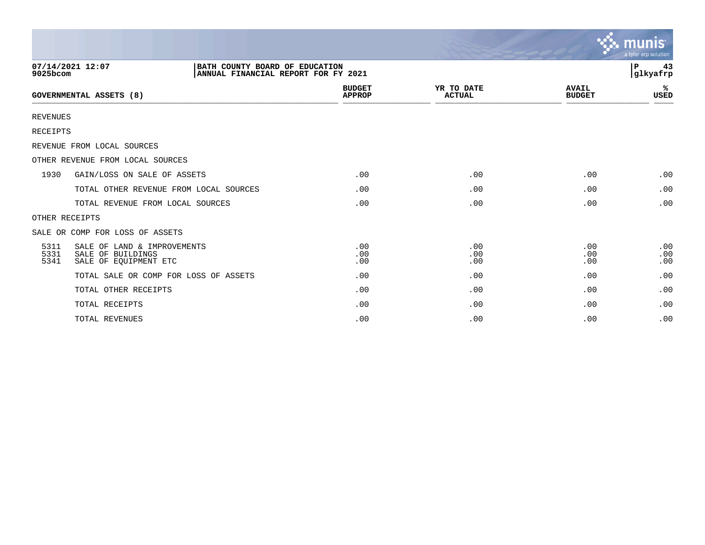|                      |                                                                                           |                                |                             |                               | $\sim$ munis<br>a tyler erp solution |
|----------------------|-------------------------------------------------------------------------------------------|--------------------------------|-----------------------------|-------------------------------|--------------------------------------|
| 9025bcom             | 07/14/2021 12:07<br>BATH COUNTY BOARD OF EDUCATION<br>ANNUAL FINANCIAL REPORT FOR FY 2021 |                                |                             |                               | l P<br>43<br>glkyafrp                |
|                      | <b>GOVERNMENTAL ASSETS (8)</b>                                                            | <b>BUDGET</b><br><b>APPROP</b> | YR TO DATE<br><b>ACTUAL</b> | <b>AVAIL</b><br><b>BUDGET</b> | ℁<br><b>USED</b>                     |
| <b>REVENUES</b>      |                                                                                           |                                |                             |                               |                                      |
| <b>RECEIPTS</b>      |                                                                                           |                                |                             |                               |                                      |
|                      | REVENUE FROM LOCAL SOURCES                                                                |                                |                             |                               |                                      |
|                      | OTHER REVENUE FROM LOCAL SOURCES                                                          |                                |                             |                               |                                      |
| 1930                 | GAIN/LOSS ON SALE OF ASSETS                                                               | .00                            | .00                         | .00                           | .00                                  |
|                      | TOTAL OTHER REVENUE FROM LOCAL SOURCES                                                    | .00                            | .00                         | .00                           | .00                                  |
|                      | TOTAL REVENUE FROM LOCAL SOURCES                                                          | .00                            | .00                         | .00                           | .00                                  |
| OTHER RECEIPTS       |                                                                                           |                                |                             |                               |                                      |
|                      | SALE OR COMP FOR LOSS OF ASSETS                                                           |                                |                             |                               |                                      |
| 5311<br>5331<br>5341 | SALE OF LAND & IMPROVEMENTS<br>SALE OF BUILDINGS<br>SALE OF EOUIPMENT ETC                 | .00<br>.00<br>.00              | .00<br>.00<br>.00           | .00<br>.00<br>.00             | .00<br>.00<br>.00                    |
|                      | TOTAL SALE OR COMP FOR LOSS OF ASSETS                                                     | .00                            | .00                         | .00                           | .00                                  |
|                      | TOTAL OTHER RECEIPTS                                                                      | .00                            | .00                         | .00                           | .00                                  |
|                      | TOTAL RECEIPTS                                                                            | .00                            | .00                         | .00                           | .00                                  |
|                      | TOTAL REVENUES                                                                            | .00                            | .00                         | .00                           | .00                                  |

 $\sim$   $\sim$   $\sim$   $\sim$   $\sim$   $\sim$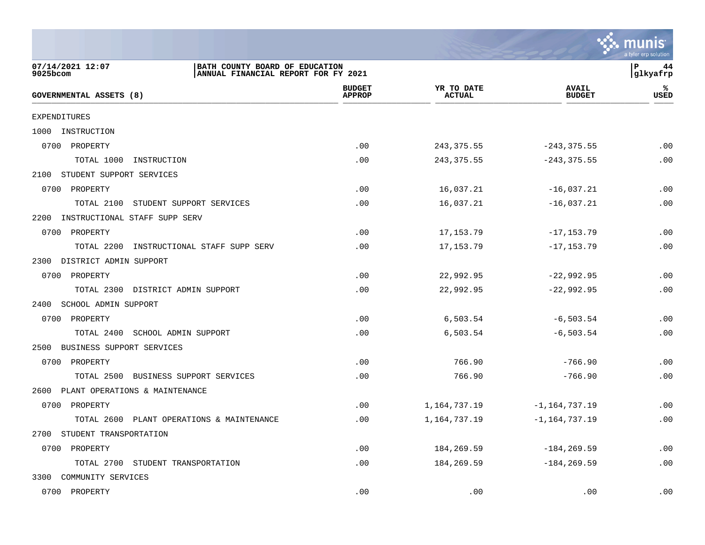

| 07/14/2021 12:07<br>9025bcom          | BATH COUNTY BOARD OF EDUCATION<br>ANNUAL FINANCIAL REPORT FOR FY 2021 |                                |                             |                               | l P<br>44<br>glkyafrp |
|---------------------------------------|-----------------------------------------------------------------------|--------------------------------|-----------------------------|-------------------------------|-----------------------|
| GOVERNMENTAL ASSETS (8)               |                                                                       | <b>BUDGET</b><br><b>APPROP</b> | YR TO DATE<br><b>ACTUAL</b> | <b>AVAIL</b><br><b>BUDGET</b> | ℁<br><b>USED</b>      |
| EXPENDITURES                          |                                                                       |                                |                             |                               |                       |
| 1000 INSTRUCTION                      |                                                                       |                                |                             |                               |                       |
| 0700 PROPERTY                         |                                                                       | .00                            | 243, 375.55                 | $-243, 375.55$                | .00                   |
| TOTAL 1000                            | INSTRUCTION                                                           | .00                            | 243, 375.55                 | $-243, 375.55$                | .00                   |
| 2100 STUDENT SUPPORT SERVICES         |                                                                       |                                |                             |                               |                       |
| 0700 PROPERTY                         |                                                                       | .00                            | 16,037.21                   | $-16,037.21$                  | .00                   |
| TOTAL 2100                            | STUDENT SUPPORT SERVICES                                              | .00                            | 16,037.21                   | $-16,037.21$                  | .00                   |
| INSTRUCTIONAL STAFF SUPP SERV<br>2200 |                                                                       |                                |                             |                               |                       |
| 0700 PROPERTY                         |                                                                       | .00                            | 17, 153. 79                 | $-17, 153.79$                 | .00                   |
| TOTAL 2200                            | INSTRUCTIONAL STAFF SUPP SERV                                         | .00                            | 17, 153. 79                 | $-17, 153.79$                 | .00                   |
| 2300 DISTRICT ADMIN SUPPORT           |                                                                       |                                |                             |                               |                       |
| 0700 PROPERTY                         |                                                                       | .00                            | 22,992.95                   | $-22,992.95$                  | .00                   |
|                                       | TOTAL 2300 DISTRICT ADMIN SUPPORT                                     | .00                            | 22,992.95                   | $-22,992.95$                  | .00                   |
| 2400 SCHOOL ADMIN SUPPORT             |                                                                       |                                |                             |                               |                       |
| 0700 PROPERTY                         |                                                                       | .00                            | 6,503.54                    | $-6, 503.54$                  | .00                   |
| TOTAL 2400 SCHOOL ADMIN SUPPORT       |                                                                       | .00                            | 6,503.54                    | $-6, 503.54$                  | .00                   |
| 2500 BUSINESS SUPPORT SERVICES        |                                                                       |                                |                             |                               |                       |
| 0700 PROPERTY                         |                                                                       | .00                            | 766.90                      | $-766.90$                     | .00                   |
|                                       | TOTAL 2500 BUSINESS SUPPORT SERVICES                                  | .00                            | 766.90                      | $-766.90$                     | .00                   |
| 2600 PLANT OPERATIONS & MAINTENANCE   |                                                                       |                                |                             |                               |                       |
| 0700 PROPERTY                         |                                                                       | .00                            | 1,164,737.19                | $-1, 164, 737.19$             | .00                   |
|                                       | TOTAL 2600 PLANT OPERATIONS & MAINTENANCE                             | .00                            | 1,164,737.19                | $-1, 164, 737.19$             | .00                   |
| 2700 STUDENT TRANSPORTATION           |                                                                       |                                |                             |                               |                       |
| 0700 PROPERTY                         |                                                                       | .00                            | 184,269.59                  | $-184, 269.59$                | .00                   |
| TOTAL 2700                            | STUDENT TRANSPORTATION                                                | .00                            | 184,269.59                  | $-184, 269.59$                | .00                   |
| 3300 COMMUNITY SERVICES               |                                                                       |                                |                             |                               |                       |
| 0700 PROPERTY                         |                                                                       | .00                            | .00                         | .00                           | .00                   |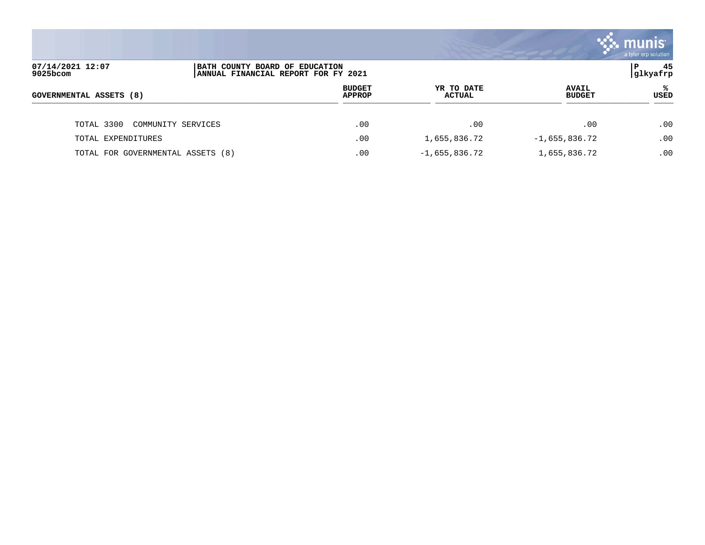|                                   |                                                                       |                             |                               | $\boldsymbol{\ddot{\cdot}}$ . munis<br>a tyler erp solution |
|-----------------------------------|-----------------------------------------------------------------------|-----------------------------|-------------------------------|-------------------------------------------------------------|
| 07/14/2021 12:07<br>9025bcom      | BATH COUNTY BOARD OF EDUCATION<br>ANNUAL FINANCIAL REPORT FOR FY 2021 |                             |                               | 45<br>ΙP<br> glkyafrp                                       |
| <b>GOVERNMENTAL ASSETS (8)</b>    | <b>BUDGET</b><br><b>APPROP</b>                                        | YR TO DATE<br><b>ACTUAL</b> | <b>AVAIL</b><br><b>BUDGET</b> | %ะ<br><b>USED</b>                                           |
| TOTAL 3300<br>COMMUNITY SERVICES  | .00                                                                   | .00                         | .00                           | .00                                                         |
| TOTAL EXPENDITURES                | .00                                                                   | 1,655,836.72                | $-1,655,836.72$               | .00                                                         |
| TOTAL FOR GOVERNMENTAL ASSETS (8) | .00                                                                   | $-1,655,836.72$             | 1,655,836.72                  | .00                                                         |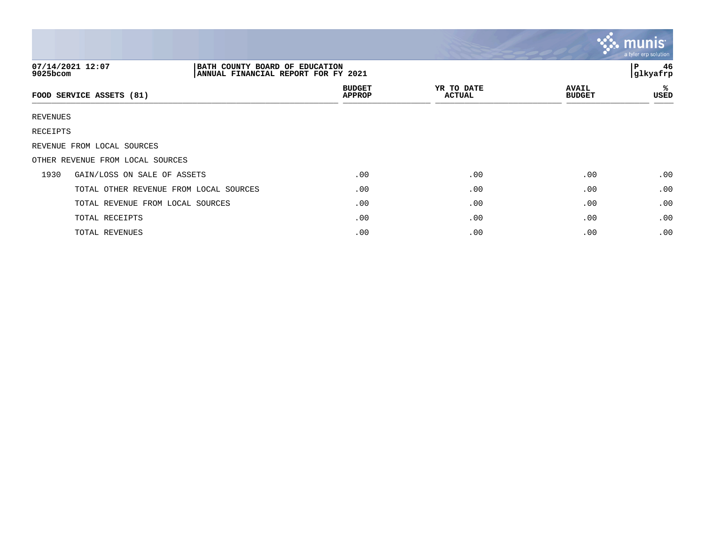|             |                                                                                           |                                |                             |                               | $\mathcal{C}$ . munist<br>a tyler erp solution |
|-------------|-------------------------------------------------------------------------------------------|--------------------------------|-----------------------------|-------------------------------|------------------------------------------------|
| $9025$ bcom | 07/14/2021 12:07<br>BATH COUNTY BOARD OF EDUCATION<br>ANNUAL FINANCIAL REPORT FOR FY 2021 |                                |                             |                               | 46<br>P<br>glkyafrp                            |
|             | FOOD SERVICE ASSETS (81)                                                                  | <b>BUDGET</b><br><b>APPROP</b> | YR TO DATE<br><b>ACTUAL</b> | <b>AVAIL</b><br><b>BUDGET</b> | ℁<br>USED                                      |
| REVENUES    |                                                                                           |                                |                             |                               |                                                |
| RECEIPTS    |                                                                                           |                                |                             |                               |                                                |
|             | REVENUE FROM LOCAL SOURCES                                                                |                                |                             |                               |                                                |
|             | OTHER REVENUE FROM LOCAL SOURCES                                                          |                                |                             |                               |                                                |
| 1930        | GAIN/LOSS ON SALE OF ASSETS                                                               | .00                            | .00                         | .00                           | .00                                            |
|             | TOTAL OTHER REVENUE FROM LOCAL SOURCES                                                    | .00                            | .00                         | .00                           | .00                                            |
|             | TOTAL REVENUE FROM LOCAL SOURCES                                                          | .00                            | .00                         | .00                           | .00                                            |
|             | TOTAL RECEIPTS                                                                            | .00                            | .00                         | .00                           | .00                                            |
|             | TOTAL REVENUES                                                                            | .00                            | .00                         | .00                           | .00                                            |

the contract of the contract of the contract of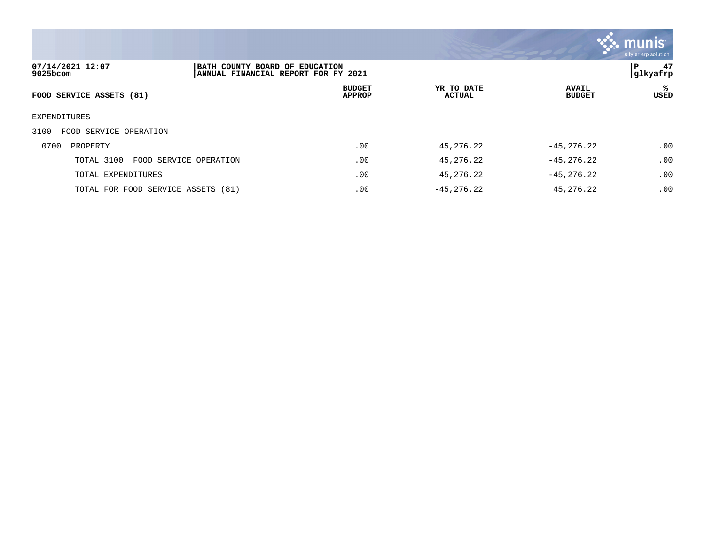

| 07/14/2021 12:07<br>9025bcom         | BATH COUNTY BOARD OF EDUCATION<br>ANNUAL FINANCIAL REPORT FOR FY 2021 |                                |                      |                               | 47<br>l P<br> glkyafrp |  |
|--------------------------------------|-----------------------------------------------------------------------|--------------------------------|----------------------|-------------------------------|------------------------|--|
| FOOD SERVICE ASSETS (81)             |                                                                       | <b>BUDGET</b><br><b>APPROP</b> | YR TO DATE<br>ACTUAL | <b>AVAIL</b><br><b>BUDGET</b> | ℁<br>USED              |  |
| EXPENDITURES                         |                                                                       |                                |                      |                               |                        |  |
| 3100<br>FOOD SERVICE OPERATION       |                                                                       |                                |                      |                               |                        |  |
| 0700<br>PROPERTY                     |                                                                       | .00                            | 45,276.22            | $-45, 276.22$                 | .00                    |  |
| TOTAL 3100<br>FOOD SERVICE OPERATION |                                                                       | .00                            | 45,276.22            | $-45, 276.22$                 | .00                    |  |
| TOTAL EXPENDITURES                   |                                                                       | .00                            | 45,276.22            | $-45, 276.22$                 | .00                    |  |
| TOTAL FOR FOOD SERVICE ASSETS (81)   |                                                                       | .00                            | $-45.276.22$         | 45, 276, 22                   | .00                    |  |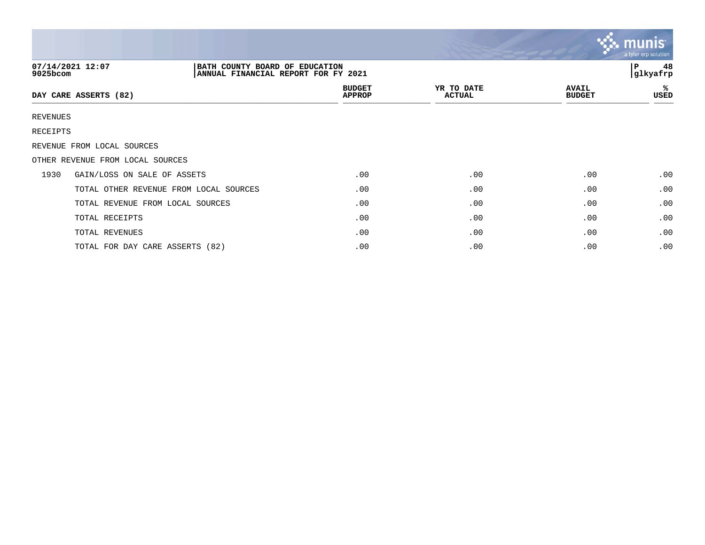|                              |                                                                       |                                |                             |                               | $\mathbf{v}$ . munist<br>a tyler erp solution |
|------------------------------|-----------------------------------------------------------------------|--------------------------------|-----------------------------|-------------------------------|-----------------------------------------------|
| 07/14/2021 12:07<br>9025bcom | BATH COUNTY BOARD OF EDUCATION<br>ANNUAL FINANCIAL REPORT FOR FY 2021 |                                |                             |                               | 48<br>l P<br>glkyafrp                         |
| DAY CARE ASSERTS (82)        |                                                                       | <b>BUDGET</b><br><b>APPROP</b> | YR TO DATE<br><b>ACTUAL</b> | <b>AVAIL</b><br><b>BUDGET</b> | ℁<br>USED                                     |
| REVENUES                     |                                                                       |                                |                             |                               |                                               |
| RECEIPTS                     |                                                                       |                                |                             |                               |                                               |
| REVENUE FROM LOCAL SOURCES   |                                                                       |                                |                             |                               |                                               |
|                              | OTHER REVENUE FROM LOCAL SOURCES                                      |                                |                             |                               |                                               |
| 1930                         | GAIN/LOSS ON SALE OF ASSETS                                           | .00                            | .00                         | .00                           | .00                                           |
|                              | TOTAL OTHER REVENUE FROM LOCAL SOURCES                                | .00                            | .00                         | .00                           | .00                                           |
|                              | TOTAL REVENUE FROM LOCAL SOURCES                                      | .00                            | .00                         | .00                           | .00                                           |
|                              | TOTAL RECEIPTS                                                        | .00                            | .00                         | .00                           | .00                                           |
|                              | TOTAL REVENUES                                                        | .00                            | .00                         | .00                           | .00                                           |
|                              | TOTAL FOR DAY CARE ASSERTS (82)                                       | .00                            | .00                         | .00                           | .00                                           |

 $\mathbf{r}$ 

 $\mathbf{L}$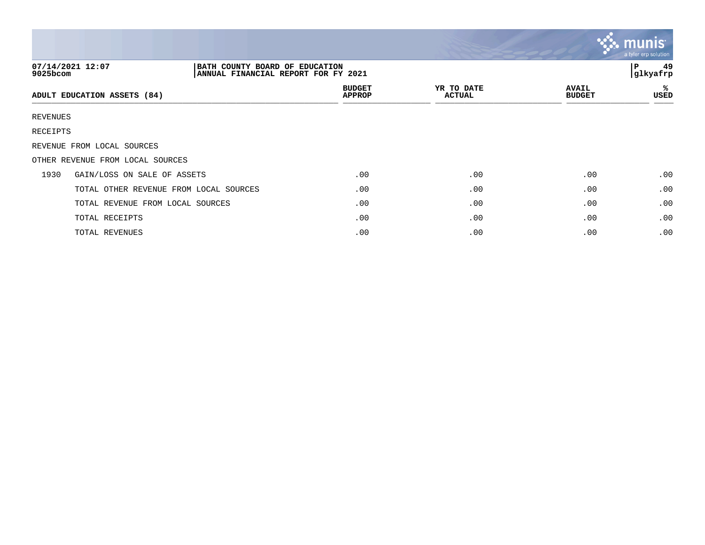|          |                                                                                           |                                |                             |                               | munis<br>a tyler erp solution |
|----------|-------------------------------------------------------------------------------------------|--------------------------------|-----------------------------|-------------------------------|-------------------------------|
| 9025bcom | 07/14/2021 12:07<br>BATH COUNTY BOARD OF EDUCATION<br>ANNUAL FINANCIAL REPORT FOR FY 2021 |                                |                             |                               | 49<br>P<br>glkyafrp           |
|          | ADULT EDUCATION ASSETS (84)                                                               | <b>BUDGET</b><br><b>APPROP</b> | YR TO DATE<br><b>ACTUAL</b> | <b>AVAIL</b><br><b>BUDGET</b> | ℁<br>USED                     |
| REVENUES |                                                                                           |                                |                             |                               |                               |
| RECEIPTS |                                                                                           |                                |                             |                               |                               |
|          | REVENUE FROM LOCAL SOURCES                                                                |                                |                             |                               |                               |
|          | OTHER REVENUE FROM LOCAL SOURCES                                                          |                                |                             |                               |                               |
| 1930     | GAIN/LOSS ON SALE OF ASSETS                                                               | .00                            | .00                         | .00                           | .00                           |
|          | TOTAL OTHER REVENUE FROM LOCAL SOURCES                                                    | .00                            | .00                         | .00                           | .00                           |
|          | TOTAL REVENUE FROM LOCAL SOURCES                                                          | .00                            | .00                         | .00                           | .00                           |
|          | TOTAL RECEIPTS                                                                            | .00                            | .00                         | .00                           | .00                           |
|          | TOTAL REVENUES                                                                            | .00                            | .00                         | .00                           | .00                           |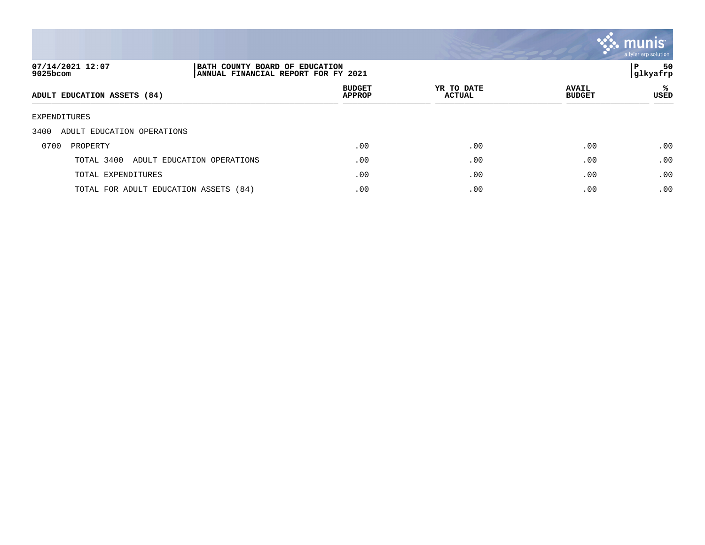

| 07/14/2021 12:07<br>9025bcom          |                            | BATH COUNTY BOARD OF EDUCATION<br>ANNUAL FINANCIAL REPORT FOR FY 2021 |                             |                               |           |
|---------------------------------------|----------------------------|-----------------------------------------------------------------------|-----------------------------|-------------------------------|-----------|
| ADULT EDUCATION ASSETS (84)           |                            | <b>BUDGET</b><br><b>APPROP</b>                                        | YR TO DATE<br><b>ACTUAL</b> | <b>AVAIL</b><br><b>BUDGET</b> | ႜ<br>USED |
| EXPENDITURES                          |                            |                                                                       |                             |                               |           |
| 3400<br>ADULT EDUCATION OPERATIONS    |                            |                                                                       |                             |                               |           |
| 0700<br>PROPERTY                      |                            | .00                                                                   | .00                         | .00                           | .00       |
| TOTAL 3400                            | ADULT EDUCATION OPERATIONS | .00                                                                   | .00                         | .00                           | .00       |
| TOTAL EXPENDITURES                    |                            | .00                                                                   | .00                         | .00                           | .00       |
| TOTAL FOR ADULT EDUCATION ASSETS (84) |                            | .00                                                                   | .00                         | .00                           | .00       |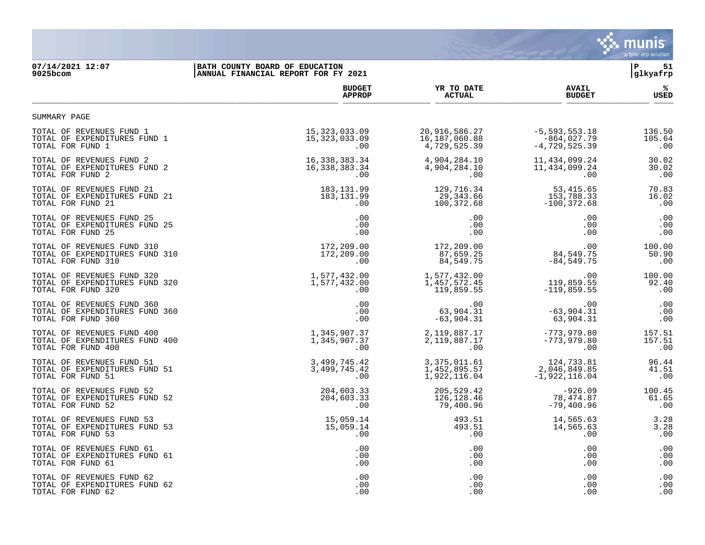

## **07/14/2021 12:07 |BATH COUNTY BOARD OF EDUCATION |P 51 9025bcom |ANNUAL FINANCIAL REPORT FOR FY 2021 |glkyafrp**

|                                | <b>BUDGET</b>    | YR TO DATE     | <b>AVAIL</b>      | %           |
|--------------------------------|------------------|----------------|-------------------|-------------|
|                                | <b>APPROP</b>    | <b>ACTUAL</b>  | <b>BUDGET</b>     | <b>USED</b> |
| SUMMARY PAGE                   |                  |                |                   |             |
| TOTAL OF REVENUES FUND 1       | 15, 323, 033.09  | 20,916,586.27  | $-5, 593, 553.18$ | 136.50      |
| TOTAL OF EXPENDITURES FUND 1   | 15, 323, 033.09  | 16,187,060.88  | $-864,027.79$     | 105.64      |
| TOTAL FOR FUND 1               | .00              | 4,729,525.39   | $-4,729,525.39$   | .00         |
| TOTAL OF REVENUES FUND 2       | 16, 338, 383. 34 | 4,904,284.10   | 11,434,099.24     | 30.02       |
| TOTAL OF EXPENDITURES FUND 2   | 16, 338, 383. 34 | 4,904,284.10   | 11, 434, 099. 24  | 30.02       |
| TOTAL FOR FUND 2               | .00              | .00            | .00               | .00         |
| TOTAL OF REVENUES FUND 21      | 183, 131.99      | 129,716.34     | 53,415.65         | 70.83       |
| TOTAL OF EXPENDITURES FUND 21  | 183,131.99       | 29,343.66      | 153,788.33        | 16.02       |
| TOTAL FOR FUND 21              | $.00 \,$         | 100,372.68     | $-100, 372.68$    | .00         |
| TOTAL OF REVENUES FUND 25      | .00              | .00            | .00               | .00         |
| TOTAL OF EXPENDITURES FUND 25  | .00              | .00            | .00               | .00         |
| TOTAL FOR FUND 25              | $.00 \,$         | .00            | .00               | .00         |
| TOTAL OF REVENUES FUND 310     | 172,209.00       | 172,209.00     | .00               | 100.00      |
| TOTAL OF EXPENDITURES FUND 310 | 172,209.00       | 87,659.25      | 84,549.75         | 50.90       |
| TOTAL FOR FUND 310             | .00              | 84,549.75      | $-84,549.75$      | .00         |
| TOTAL OF REVENUES FUND 320     | 1,577,432.00     | 1,577,432.00   | .00               | 100.00      |
| TOTAL OF EXPENDITURES FUND 320 | 1,577,432.00     | 1,457,572.45   | 119,859.55        | 92.40       |
| TOTAL FOR FUND 320             | .00.             | 119,859.55     | $-119,859.55$     | .00         |
| TOTAL OF REVENUES FUND 360     | .00              | .00            | .00               | .00         |
| TOTAL OF EXPENDITURES FUND 360 | .00              | 63,904.31      | $-63,904.31$      | .00         |
| TOTAL FOR FUND 360             | .00              | $-63,904.31$   | 63,904.31         | .00         |
| TOTAL OF REVENUES FUND 400     | 1,345,907.37     | 2,119,887.17   | $-773,979.80$     | 157.51      |
| TOTAL OF EXPENDITURES FUND 400 | 1,345,907.37     | 2,119,887.17   | $-773,979.80$     | 157.51      |
| TOTAL FOR FUND 400             | .00              | .00            | .00               | .00         |
| TOTAL OF REVENUES FUND 51      | 3, 499, 745.42   | 3, 375, 011.61 | 124,733.81        | 96.44       |
| TOTAL OF EXPENDITURES FUND 51  | 3, 499, 745.42   | 1,452,895.57   | 2,046,849.85      | 41.51       |
| TOTAL FOR FUND 51              | .00              | 1,922,116.04   | $-1,922,116.04$   | .00         |
| TOTAL OF REVENUES FUND 52      | 204,603.33       | 205,529.42     | $-926.09$         | 100.45      |
| TOTAL OF EXPENDITURES FUND 52  | 204,603.33       | 126,128.46     | 78,474.87         | 61.65       |
| TOTAL FOR FUND 52              | .00              | 79,400.96      | $-79,400.96$      | .00         |
| TOTAL OF REVENUES FUND 53      | 15,059.14        | 493.51         | 14,565.63         | 3.28        |
| TOTAL OF EXPENDITURES FUND 53  | 15,059.14        | 493.51         | 14,565.63         | 3.28        |
| TOTAL FOR FUND 53              | $.00 \ \rm$      | $.00 \,$       | .00               | .00         |
| TOTAL OF REVENUES FUND 61      | .00              | .00            | .00               | .00         |
| TOTAL OF EXPENDITURES FUND 61  | .00              | .00            | .00               | .00         |
| TOTAL FOR FUND 61              | .00              | .00.           | .00               | .00         |
| TOTAL OF REVENUES FUND 62      | .00              | .00            | .00               | .00         |
| TOTAL OF EXPENDITURES FUND 62  | $.00 \,$         | .00            | .00               | .00         |
| TOTAL FOR FUND 62              | .00              | .00            | .00               | .00         |